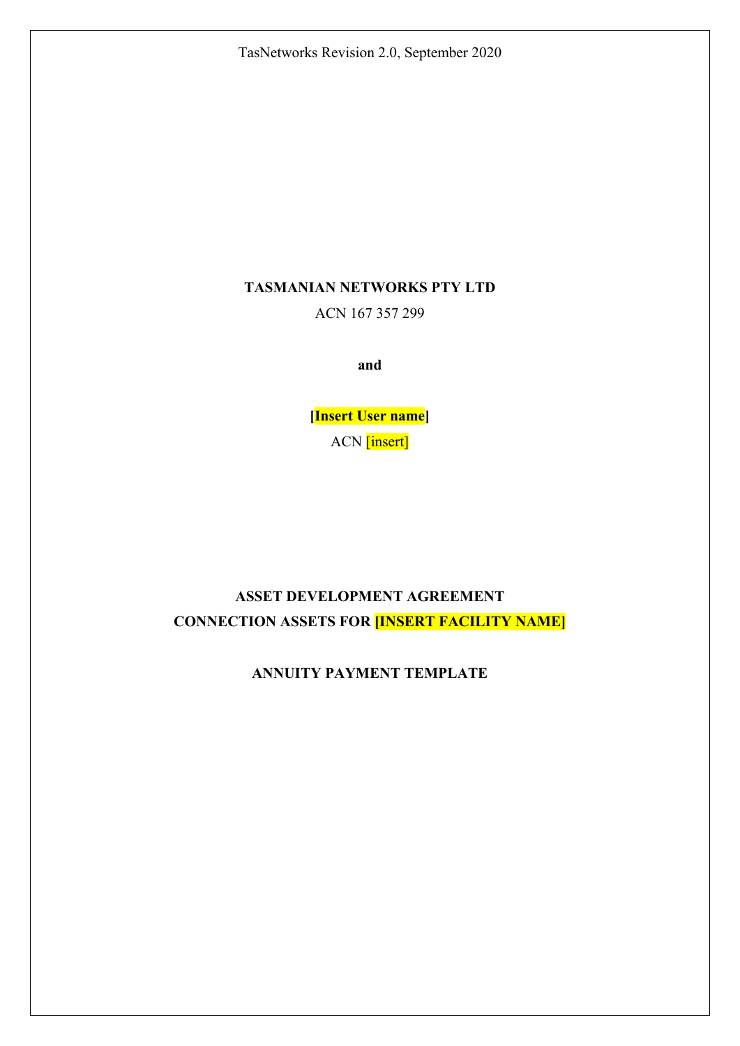TasNetworks Revision 2.0, September 2020

## **TASMANIAN NETWORKS PTY LTD**

ACN 167 357 299

**and** 

**[Insert User name]**  ACN [insert]

# **ASSET DEVELOPMENT AGREEMENT CONNECTION ASSETS FOR [INSERT FACILITY NAME]**

**ANNUITY PAYMENT TEMPLATE**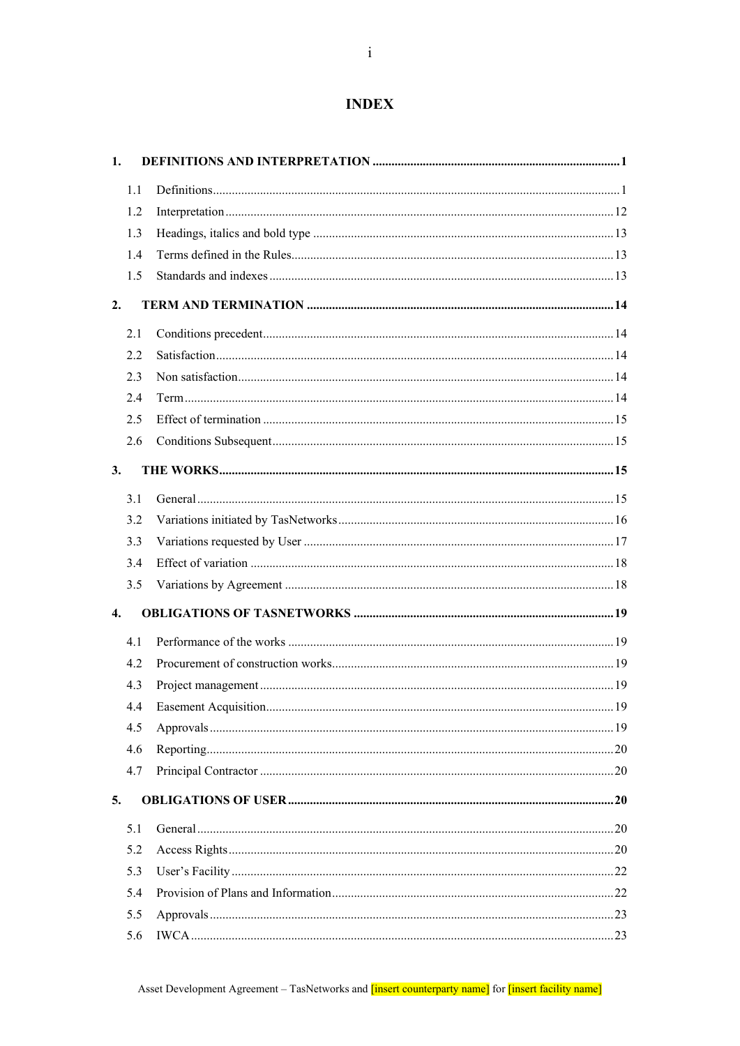## **INDEX**

| 1.                 |  |
|--------------------|--|
| 1.1                |  |
| 1.2                |  |
| 1.3                |  |
| 1.4                |  |
| 1.5                |  |
| 2.                 |  |
| 2.1                |  |
| 2.2                |  |
| 2.3                |  |
| 2.4                |  |
| 2.5                |  |
| 2.6                |  |
| 3.                 |  |
| 3.1                |  |
| 3.2                |  |
| 3.3                |  |
| 3.4                |  |
| 3.5                |  |
| $\boldsymbol{4}$ . |  |
| 4.1                |  |
| 4.2                |  |
| 4.3                |  |
| 4.4                |  |
| 4.5                |  |
| 4.6                |  |
| 4.7                |  |
| 5.                 |  |
| 5.1                |  |
| 5.2                |  |
| 5.3                |  |
| 5.4                |  |
| 5.5                |  |
| 5.6                |  |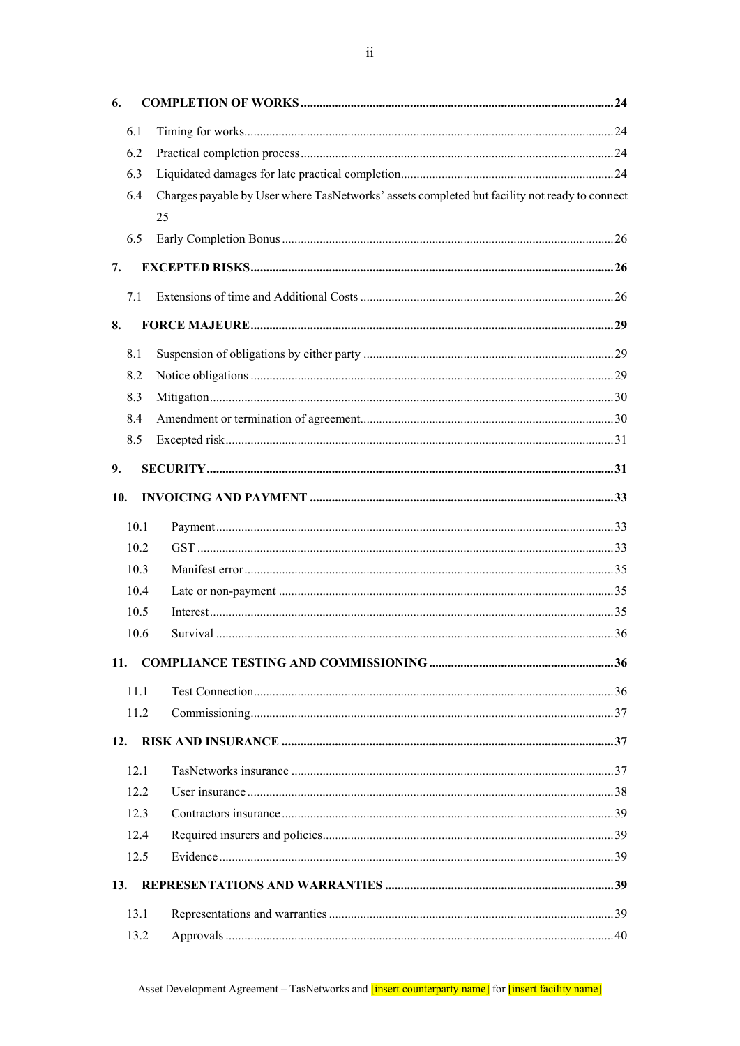| 6.         |      |                                                                                               |  |
|------------|------|-----------------------------------------------------------------------------------------------|--|
|            | 6.1  |                                                                                               |  |
|            | 6.2  |                                                                                               |  |
|            | 6.3  |                                                                                               |  |
|            | 6.4  | Charges payable by User where TasNetworks' assets completed but facility not ready to connect |  |
|            |      | 25                                                                                            |  |
|            | 6.5  |                                                                                               |  |
| 7.         |      |                                                                                               |  |
|            | 7.1  |                                                                                               |  |
| 8.         |      |                                                                                               |  |
|            | 8.1  |                                                                                               |  |
|            | 8.2  |                                                                                               |  |
|            | 8.3  |                                                                                               |  |
|            | 8.4  |                                                                                               |  |
|            | 8.5  |                                                                                               |  |
| 9.         |      |                                                                                               |  |
| 10.        |      |                                                                                               |  |
|            | 10.1 |                                                                                               |  |
|            | 10.2 |                                                                                               |  |
|            | 10.3 |                                                                                               |  |
|            | 10.4 |                                                                                               |  |
|            | 10.5 |                                                                                               |  |
|            | 10.6 |                                                                                               |  |
| <b>11.</b> |      |                                                                                               |  |
|            | 11.1 |                                                                                               |  |
|            | 11.2 |                                                                                               |  |
| 12.        |      |                                                                                               |  |
|            | 12.1 |                                                                                               |  |
|            | 12.2 |                                                                                               |  |
|            | 12.3 |                                                                                               |  |
|            | 12.4 |                                                                                               |  |
|            | 12.5 |                                                                                               |  |
| 13.        |      |                                                                                               |  |
|            | 13.1 |                                                                                               |  |
|            | 13.2 |                                                                                               |  |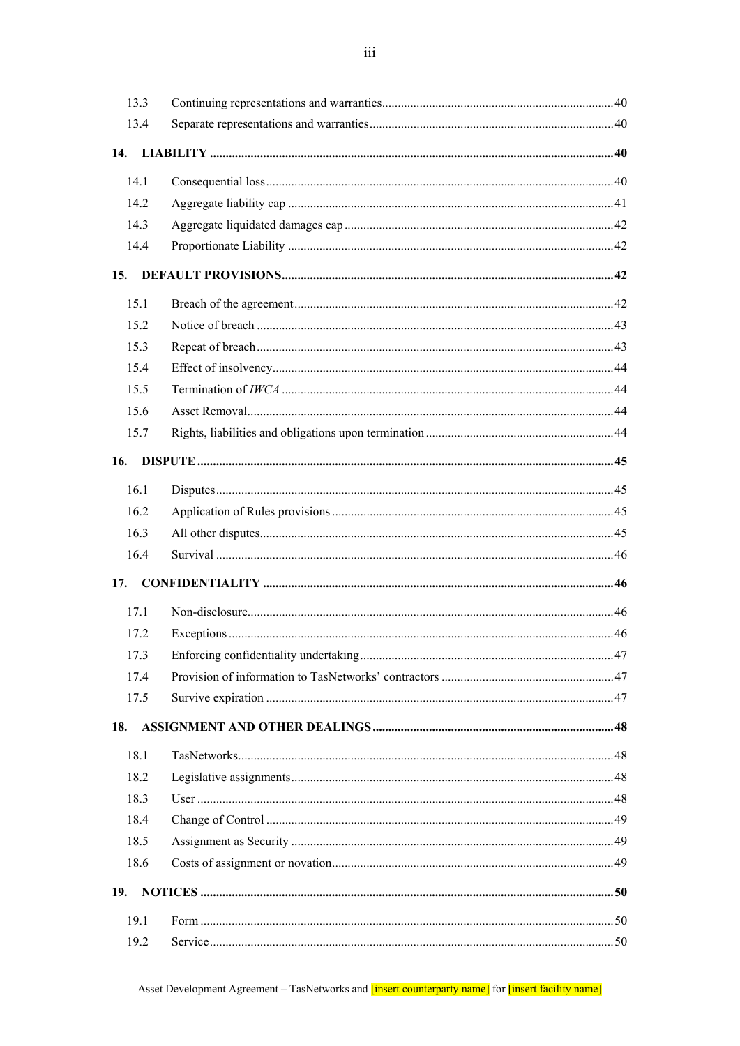| 13.3       |  |
|------------|--|
| 13.4       |  |
| 14.        |  |
| 14.1       |  |
| 14.2       |  |
| 14.3       |  |
| 14.4       |  |
| 15.        |  |
| 15.1       |  |
| 15.2       |  |
| 15.3       |  |
| 15.4       |  |
| 15.5       |  |
| 15.6       |  |
| 15.7       |  |
| 16.        |  |
| 16.1       |  |
| 16.2       |  |
| 16.3       |  |
| 16.4       |  |
|            |  |
| 17.        |  |
| 17.1       |  |
| 17.2       |  |
| 17.3       |  |
| 17.4       |  |
| 17.5       |  |
| 18.        |  |
| 18.1       |  |
| 18.2       |  |
| 18.3       |  |
| 18.4       |  |
| 18.5       |  |
| 18.6       |  |
| <b>19.</b> |  |
| 19.1       |  |
| 19.2       |  |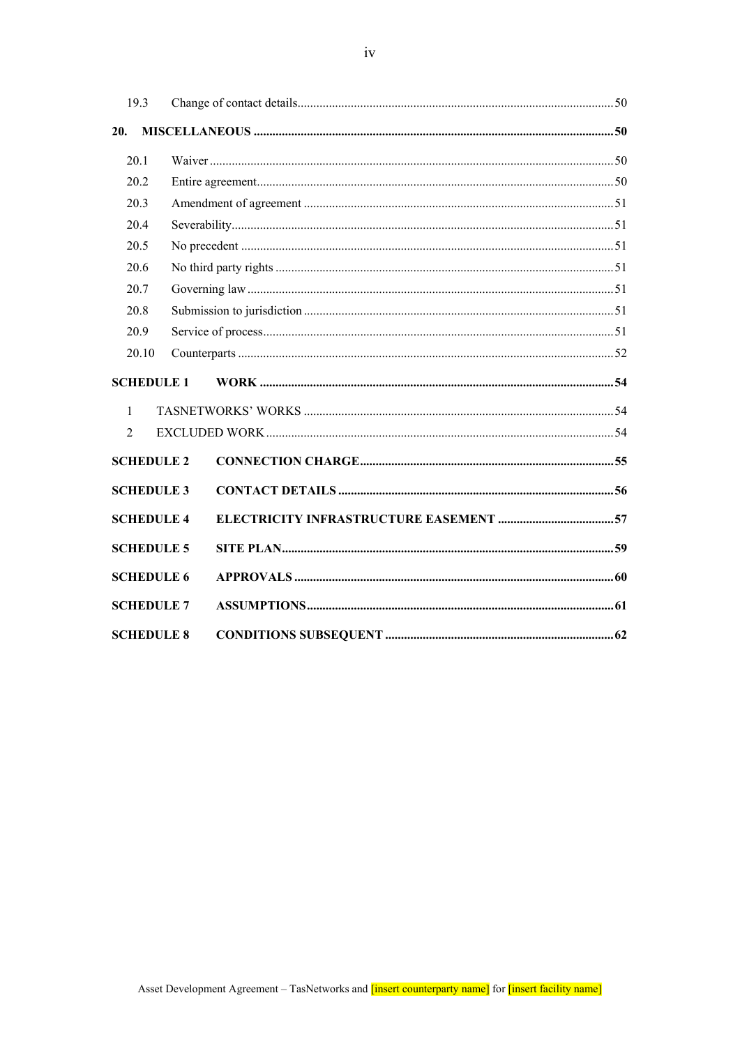| 19.3              |  |
|-------------------|--|
| 20.               |  |
| 20.1              |  |
| 20.2              |  |
| 20.3              |  |
| 20.4              |  |
| 20.5              |  |
| 20.6              |  |
| 20.7              |  |
| 20.8              |  |
| 20.9              |  |
| 20.10             |  |
| <b>SCHEDULE 1</b> |  |
| $\mathbf{1}$      |  |
| $\mathfrak{D}$    |  |
| <b>SCHEDULE 2</b> |  |
| <b>SCHEDULE 3</b> |  |
| <b>SCHEDULE 4</b> |  |
| <b>SCHEDULE 5</b> |  |
| <b>SCHEDULE 6</b> |  |
| <b>SCHEDULE 7</b> |  |
| <b>SCHEDULE 8</b> |  |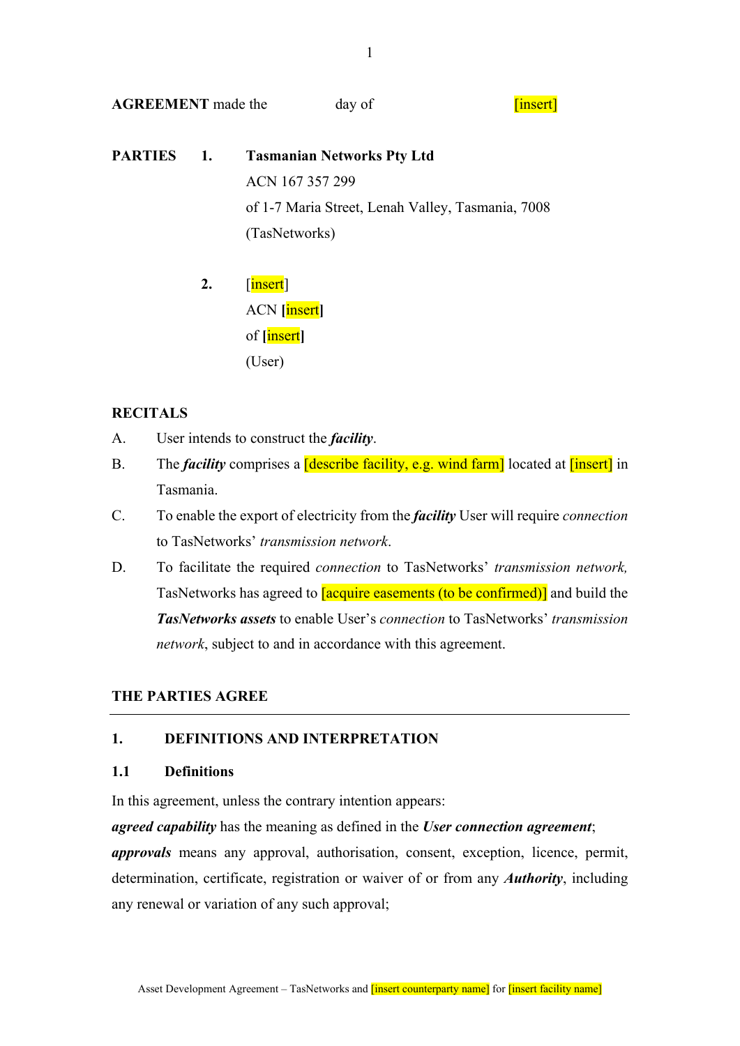**AGREEMENT** made the day of **containers** and **containers** and **containers** and **containers** and **containers** and **containers** and **containers** and **containers** and **containers** and **containers** and **containers** and **contai** 

- **PARTIES 1. Tasmanian Networks Pty Ltd**  ACN 167 357 299 of 1-7 Maria Street, Lenah Valley, Tasmania, 7008 (TasNetworks)
	- **2.** [insert] ACN **[**insert**]** of **[**insert**]** (User)

## **RECITALS**

- A. User intends to construct the *facility*.
- B. The *facility* comprises a *describe facility*, e.g. wind farm<sup>1</sup> located at *linsert*<sup>1</sup> in Tasmania.
- C. To enable the export of electricity from the *facility* User will require *connection* to TasNetworks' *transmission network*.
- D. To facilitate the required *connection* to TasNetworks' *transmission network,* TasNetworks has agreed to **[acquire easements (to be confirmed)** and build the *TasNetworks assets* to enable User's *connection* to TasNetworks' *transmission network*, subject to and in accordance with this agreement.

## **THE PARTIES AGREE**

## **1. DEFINITIONS AND INTERPRETATION**

## **1.1 Definitions**

In this agreement, unless the contrary intention appears:

*agreed capability* has the meaning as defined in the *User connection agreement*;

*approvals* means any approval, authorisation, consent, exception, licence, permit, determination, certificate, registration or waiver of or from any *Authority*, including any renewal or variation of any such approval;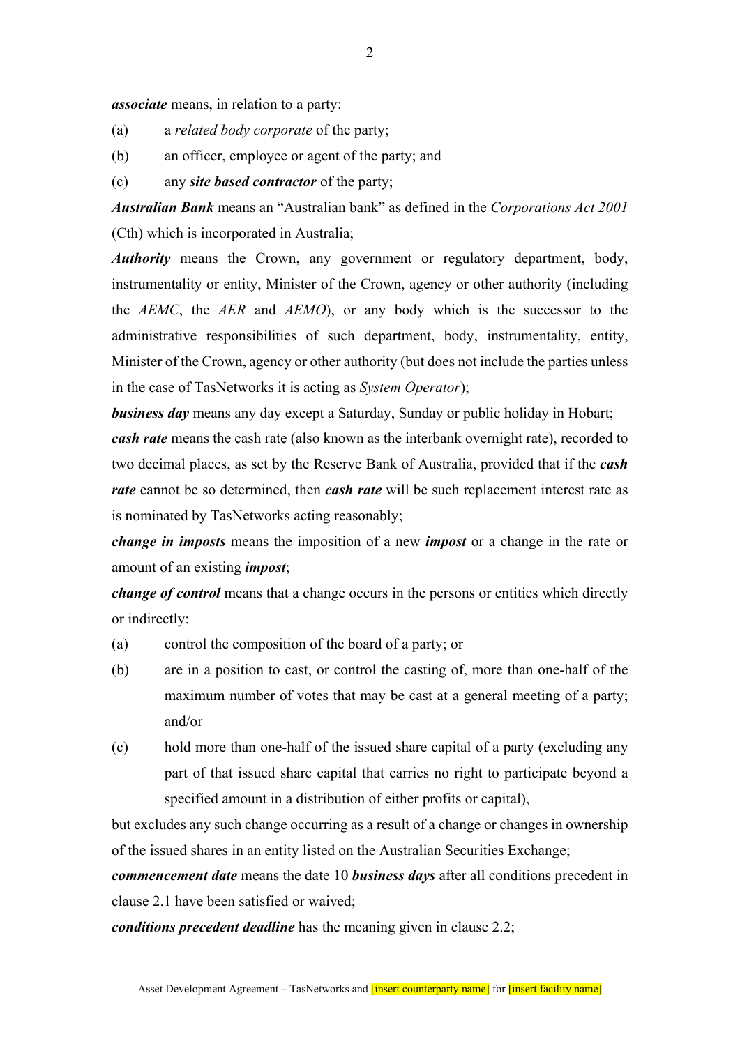*associate* means, in relation to a party:

- (a) a *related body corporate* of the party;
- (b) an officer, employee or agent of the party; and
- (c) any *site based contractor* of the party;

*Australian Bank* means an "Australian bank" as defined in the *Corporations Act 2001*  (Cth) which is incorporated in Australia;

*Authority* means the Crown, any government or regulatory department, body, instrumentality or entity, Minister of the Crown, agency or other authority (including the *AEMC*, the *AER* and *AEMO*), or any body which is the successor to the administrative responsibilities of such department, body, instrumentality, entity, Minister of the Crown, agency or other authority (but does not include the parties unless in the case of TasNetworks it is acting as *System Operator*);

*business day* means any day except a Saturday, Sunday or public holiday in Hobart; *cash rate* means the cash rate (also known as the interbank overnight rate), recorded to two decimal places, as set by the Reserve Bank of Australia, provided that if the *cash rate* cannot be so determined, then *cash rate* will be such replacement interest rate as is nominated by TasNetworks acting reasonably;

*change in imposts* means the imposition of a new *impost* or a change in the rate or amount of an existing *impost*;

*change of control* means that a change occurs in the persons or entities which directly or indirectly:

- (a) control the composition of the board of a party; or
- (b) are in a position to cast, or control the casting of, more than one-half of the maximum number of votes that may be cast at a general meeting of a party; and/or
- (c) hold more than one-half of the issued share capital of a party (excluding any part of that issued share capital that carries no right to participate beyond a specified amount in a distribution of either profits or capital),

but excludes any such change occurring as a result of a change or changes in ownership of the issued shares in an entity listed on the Australian Securities Exchange;

*commencement date* means the date 10 *business days* after all conditions precedent in clause 2.1 have been satisfied or waived;

*conditions precedent deadline* has the meaning given in clause 2.2;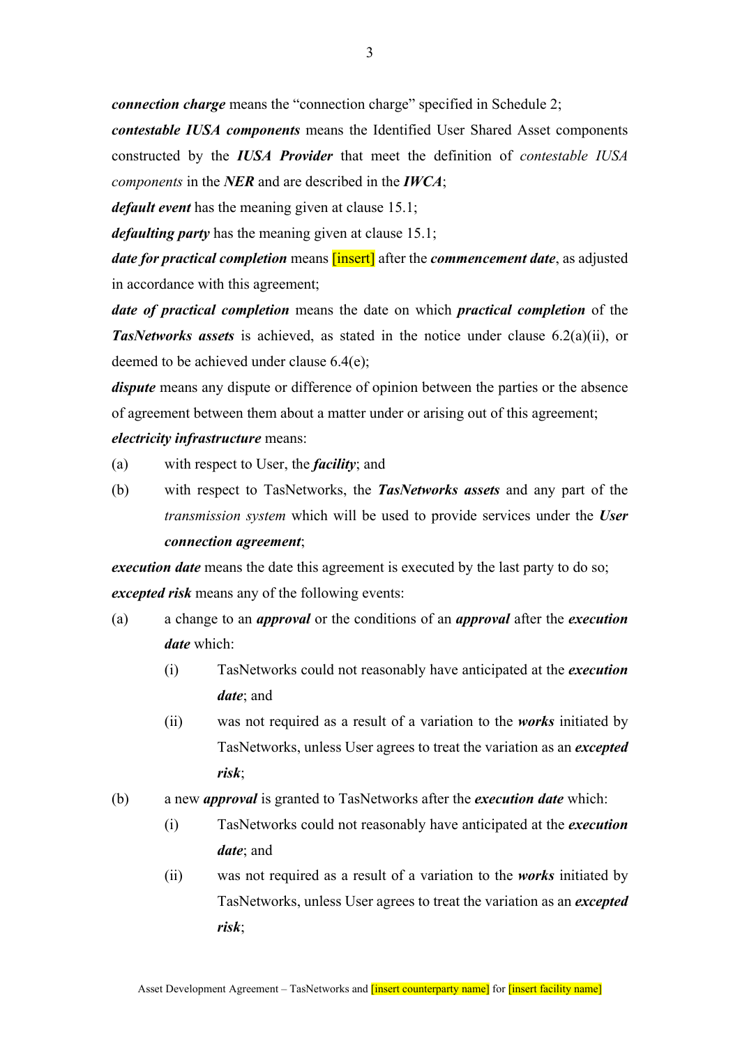*connection charge* means the "connection charge" specified in Schedule 2;

*contestable IUSA components* means the Identified User Shared Asset components constructed by the *IUSA Provider* that meet the definition of *contestable IUSA components* in the *NER* and are described in the *IWCA*;

*default event* has the meaning given at clause 15.1;

*defaulting party* has the meaning given at clause 15.1;

*date for practical completion* means *[insert]* after the *commencement date*, as adjusted in accordance with this agreement;

*date of practical completion* means the date on which *practical completion* of the *TasNetworks assets* is achieved, as stated in the notice under clause 6.2(a)(ii), or deemed to be achieved under clause 6.4(e);

*dispute* means any dispute or difference of opinion between the parties or the absence of agreement between them about a matter under or arising out of this agreement; *electricity infrastructure* means:

- 
- (a) with respect to User, the *facility*; and
- (b) with respect to TasNetworks, the *TasNetworks assets* and any part of the *transmission system* which will be used to provide services under the *User connection agreement*;

*execution date* means the date this agreement is executed by the last party to do so; *excepted risk* means any of the following events:

- (a) a change to an *approval* or the conditions of an *approval* after the *execution date* which:
	- (i) TasNetworks could not reasonably have anticipated at the *execution date*; and
	- (ii) was not required as a result of a variation to the *works* initiated by TasNetworks, unless User agrees to treat the variation as an *excepted risk*;
- (b) a new *approval* is granted to TasNetworks after the *execution date* which:
	- (i) TasNetworks could not reasonably have anticipated at the *execution date*; and
	- (ii) was not required as a result of a variation to the *works* initiated by TasNetworks, unless User agrees to treat the variation as an *excepted risk*;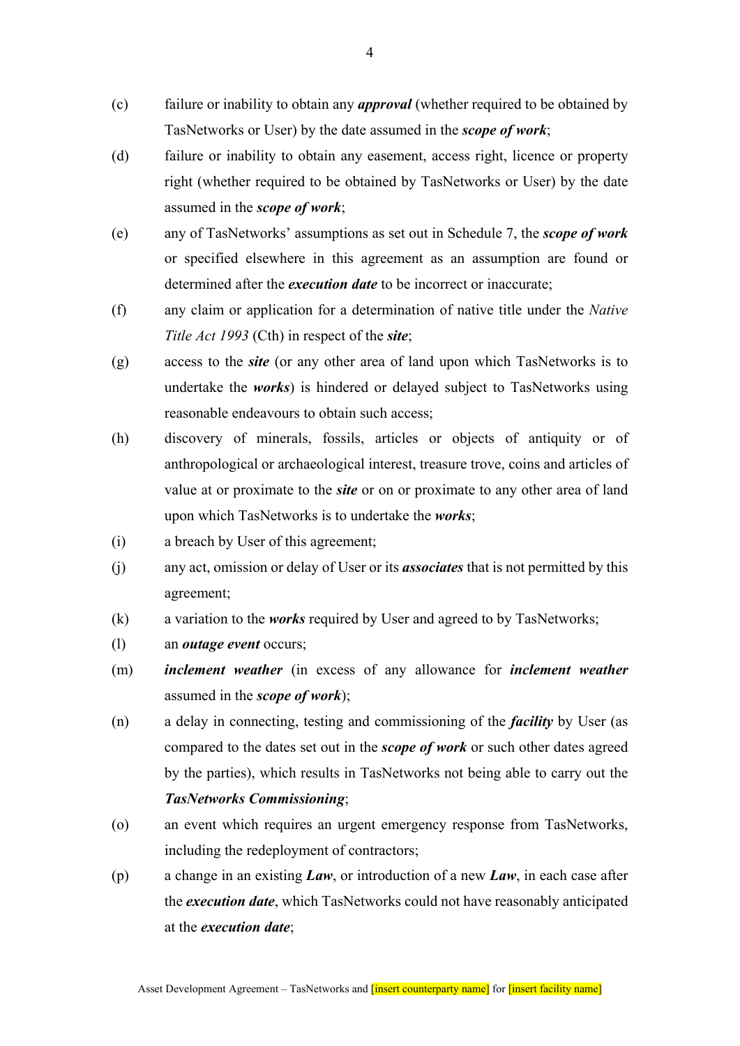- (c) failure or inability to obtain any *approval* (whether required to be obtained by TasNetworks or User) by the date assumed in the *scope of work*;
- (d) failure or inability to obtain any easement, access right, licence or property right (whether required to be obtained by TasNetworks or User) by the date assumed in the *scope of work*;
- (e) any of TasNetworks' assumptions as set out in Schedule 7, the *scope of work* or specified elsewhere in this agreement as an assumption are found or determined after the *execution date* to be incorrect or inaccurate;
- (f) any claim or application for a determination of native title under the *Native Title Act 1993* (Cth) in respect of the *site*;
- (g) access to the *site* (or any other area of land upon which TasNetworks is to undertake the *works*) is hindered or delayed subject to TasNetworks using reasonable endeavours to obtain such access;
- (h) discovery of minerals, fossils, articles or objects of antiquity or of anthropological or archaeological interest, treasure trove, coins and articles of value at or proximate to the *site* or on or proximate to any other area of land upon which TasNetworks is to undertake the *works*;
- (i) a breach by User of this agreement;
- (j) any act, omission or delay of User or its *associates* that is not permitted by this agreement;
- (k) a variation to the *works* required by User and agreed to by TasNetworks;
- (l) an *outage event* occurs;
- (m) *inclement weather* (in excess of any allowance for *inclement weather* assumed in the *scope of work*);
- (n) a delay in connecting, testing and commissioning of the *facility* by User (as compared to the dates set out in the *scope of work* or such other dates agreed by the parties), which results in TasNetworks not being able to carry out the *TasNetworks Commissioning*;
- (o) an event which requires an urgent emergency response from TasNetworks, including the redeployment of contractors;
- (p) a change in an existing *Law*, or introduction of a new *Law*, in each case after the *execution date*, which TasNetworks could not have reasonably anticipated at the *execution date*;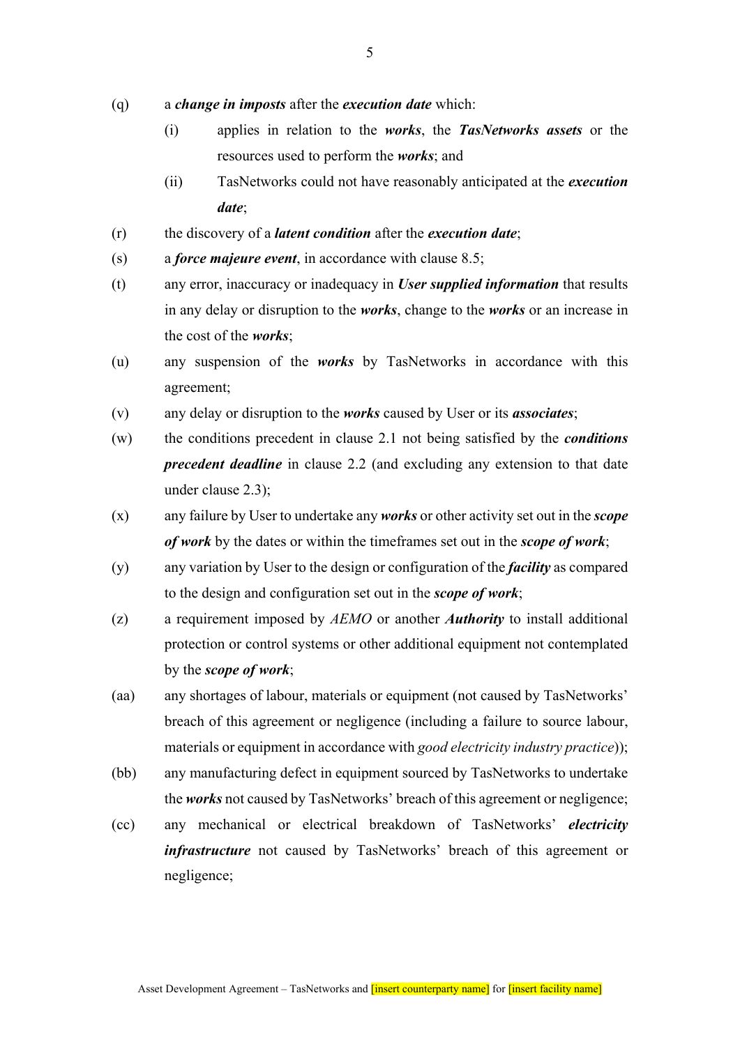- (q) a *change in imposts* after the *execution date* which:
	- (i) applies in relation to the *works*, the *TasNetworks assets* or the resources used to perform the *works*; and
	- (ii) TasNetworks could not have reasonably anticipated at the *execution date*;
- (r) the discovery of a *latent condition* after the *execution date*;
- (s) a *force majeure event*, in accordance with clause 8.5;
- (t) any error, inaccuracy or inadequacy in *User supplied information* that results in any delay or disruption to the *works*, change to the *works* or an increase in the cost of the *works*;
- (u) any suspension of the *works* by TasNetworks in accordance with this agreement;
- (v) any delay or disruption to the *works* caused by User or its *associates*;
- (w) the conditions precedent in clause 2.1 not being satisfied by the *conditions precedent deadline* in clause 2.2 (and excluding any extension to that date under clause 2.3);
- (x) any failure by User to undertake any *works* or other activity set out in the *scope of work* by the dates or within the timeframes set out in the *scope of work*;
- (y) any variation by User to the design or configuration of the *facility* as compared to the design and configuration set out in the *scope of work*;
- (z) a requirement imposed by *AEMO* or another *Authority* to install additional protection or control systems or other additional equipment not contemplated by the *scope of work*;
- (aa) any shortages of labour, materials or equipment (not caused by TasNetworks' breach of this agreement or negligence (including a failure to source labour, materials or equipment in accordance with *good electricity industry practice*));
- (bb) any manufacturing defect in equipment sourced by TasNetworks to undertake the *works* not caused by TasNetworks' breach of this agreement or negligence;
- (cc) any mechanical or electrical breakdown of TasNetworks' *electricity infrastructure* not caused by TasNetworks' breach of this agreement or negligence;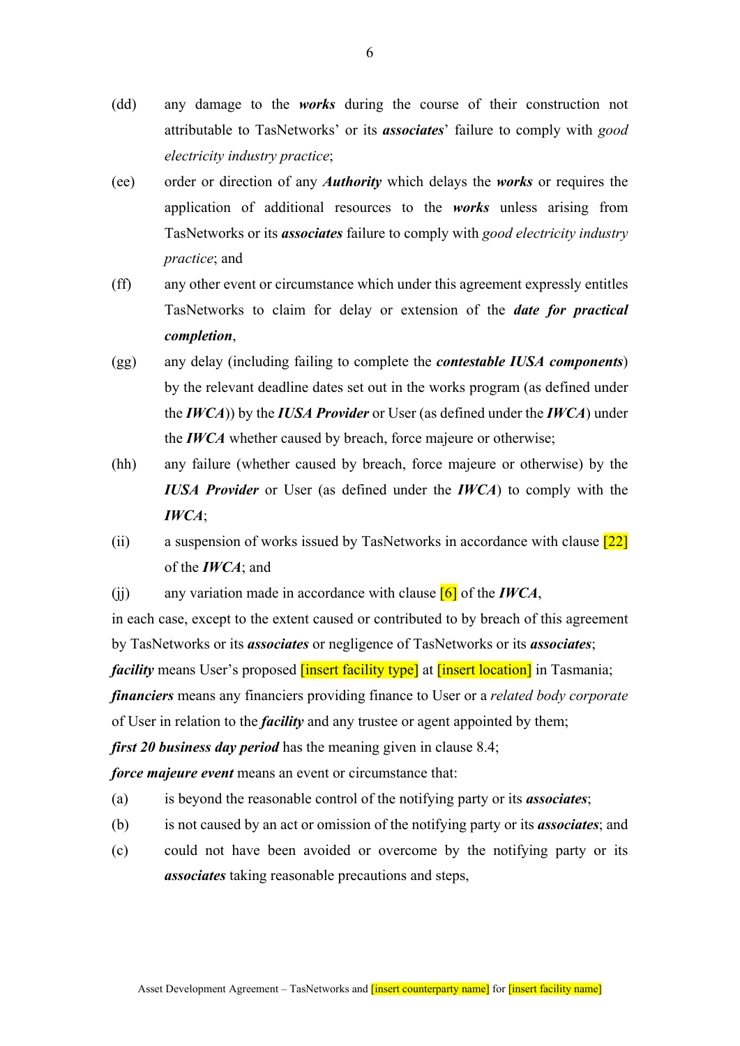- (dd) any damage to the *works* during the course of their construction not attributable to TasNetworks' or its *associates*' failure to comply with *good electricity industry practice*;
- (ee) order or direction of any *Authority* which delays the *works* or requires the application of additional resources to the *works* unless arising from TasNetworks or its *associates* failure to comply with *good electricity industry practice*; and
- (ff) any other event or circumstance which under this agreement expressly entitles TasNetworks to claim for delay or extension of the *date for practical completion*,
- (gg) any delay (including failing to complete the *contestable IUSA components*) by the relevant deadline dates set out in the works program (as defined under the *IWCA*)) by the *IUSA Provider* or User (as defined under the *IWCA*) under the *IWCA* whether caused by breach, force majeure or otherwise;
- (hh) any failure (whether caused by breach, force majeure or otherwise) by the *IUSA Provider* or User (as defined under the *IWCA*) to comply with the *IWCA*;
- (ii) a suspension of works issued by TasNetworks in accordance with clause  $\boxed{22}$ of the *IWCA*; and
- (ii) any variation made in accordance with clause  $[6]$  of the *IWCA*,

in each case, except to the extent caused or contributed to by breach of this agreement by TasNetworks or its *associates* or negligence of TasNetworks or its *associates*; *facility* means User's proposed **[insert facility type]** at **[insert location]** in Tasmania; *financiers* means any financiers providing finance to User or a *related body corporate* of User in relation to the *facility* and any trustee or agent appointed by them;

*first 20 business day period* has the meaning given in clause 8.4;

*force majeure event* means an event or circumstance that:

- (a) is beyond the reasonable control of the notifying party or its *associates*;
- (b) is not caused by an act or omission of the notifying party or its *associates*; and
- (c) could not have been avoided or overcome by the notifying party or its *associates* taking reasonable precautions and steps,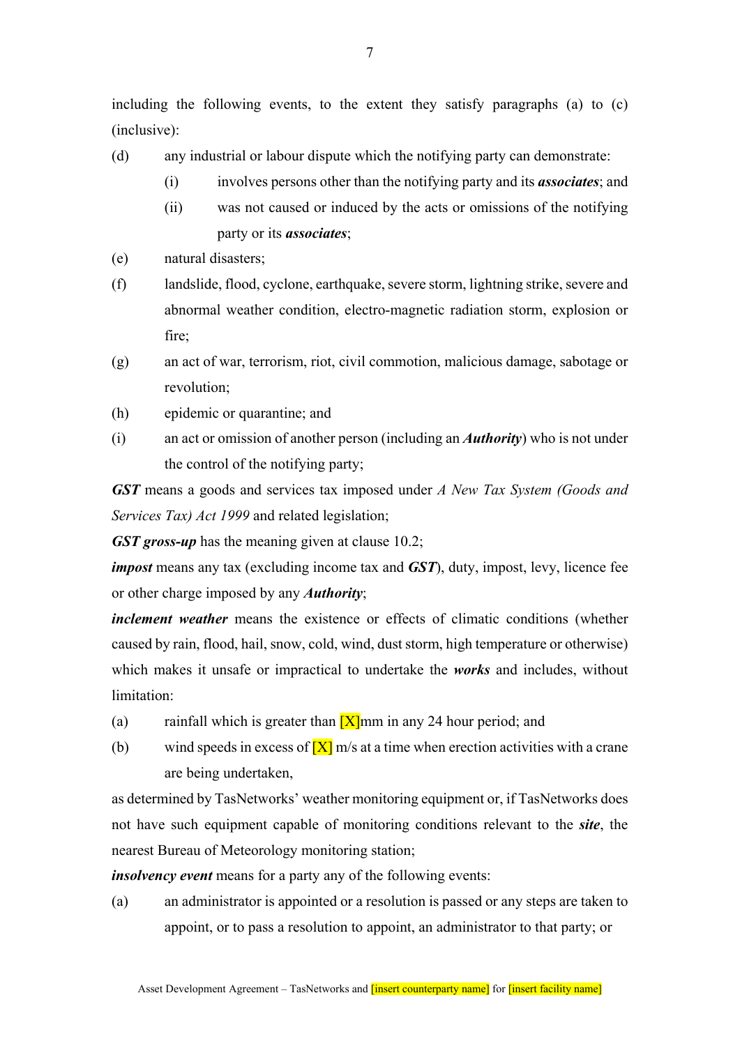including the following events, to the extent they satisfy paragraphs (a) to (c) (inclusive):

- (d) any industrial or labour dispute which the notifying party can demonstrate:
	- (i) involves persons other than the notifying party and its *associates*; and
	- (ii) was not caused or induced by the acts or omissions of the notifying party or its *associates*;
- (e) natural disasters;
- (f) landslide, flood, cyclone, earthquake, severe storm, lightning strike, severe and abnormal weather condition, electro-magnetic radiation storm, explosion or fire;
- (g) an act of war, terrorism, riot, civil commotion, malicious damage, sabotage or revolution;
- (h) epidemic or quarantine; and
- (i) an act or omission of another person (including an *Authority*) who is not under the control of the notifying party;

*GST* means a goods and services tax imposed under *A New Tax System (Goods and Services Tax) Act 1999* and related legislation;

*GST gross-up* has the meaning given at clause 10.2;

*impost* means any tax (excluding income tax and *GST*), duty, impost, levy, licence fee or other charge imposed by any *Authority*;

*inclement weather* means the existence or effects of climatic conditions (whether caused by rain, flood, hail, snow, cold, wind, dust storm, high temperature or otherwise) which makes it unsafe or impractical to undertake the *works* and includes, without limitation:

- (a) rainfall which is greater than  $[X]$ mm in any 24 hour period; and
- (b) wind speeds in excess of  $[X]$  m/s at a time when erection activities with a crane are being undertaken,

as determined by TasNetworks' weather monitoring equipment or, if TasNetworks does not have such equipment capable of monitoring conditions relevant to the *site*, the nearest Bureau of Meteorology monitoring station;

*insolvency event* means for a party any of the following events:

(a) an administrator is appointed or a resolution is passed or any steps are taken to appoint, or to pass a resolution to appoint, an administrator to that party; or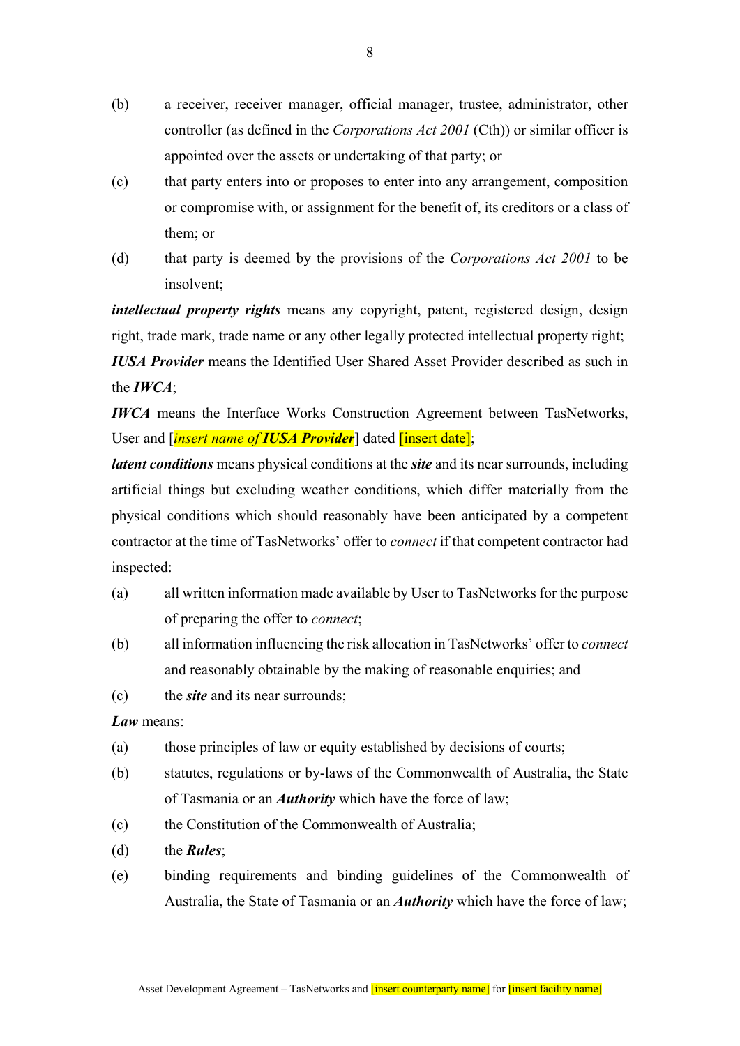- (b) a receiver, receiver manager, official manager, trustee, administrator, other controller (as defined in the *Corporations Act 2001* (Cth)) or similar officer is appointed over the assets or undertaking of that party; or
- (c) that party enters into or proposes to enter into any arrangement, composition or compromise with, or assignment for the benefit of, its creditors or a class of them; or
- (d) that party is deemed by the provisions of the *Corporations Act 2001* to be insolvent;

*intellectual property rights* means any copyright, patent, registered design, design right, trade mark, trade name or any other legally protected intellectual property right; *IUSA Provider* means the Identified User Shared Asset Provider described as such in the *IWCA*;

*IWCA* means the Interface Works Construction Agreement between TasNetworks, User and [*insert name of IUSA Provider*] dated [insert date];

*latent conditions* means physical conditions at the *site* and its near surrounds, including artificial things but excluding weather conditions, which differ materially from the physical conditions which should reasonably have been anticipated by a competent contractor at the time of TasNetworks' offer to *connect* if that competent contractor had inspected:

- (a) all written information made available by User to TasNetworks for the purpose of preparing the offer to *connect*;
- (b) all information influencing the risk allocation in TasNetworks' offer to *connect*  and reasonably obtainable by the making of reasonable enquiries; and
- (c) the *site* and its near surrounds;

*Law* means:

- (a) those principles of law or equity established by decisions of courts;
- (b) statutes, regulations or by-laws of the Commonwealth of Australia, the State of Tasmania or an *Authority* which have the force of law;
- (c) the Constitution of the Commonwealth of Australia;
- (d) the *Rules*;
- (e) binding requirements and binding guidelines of the Commonwealth of Australia, the State of Tasmania or an *Authority* which have the force of law;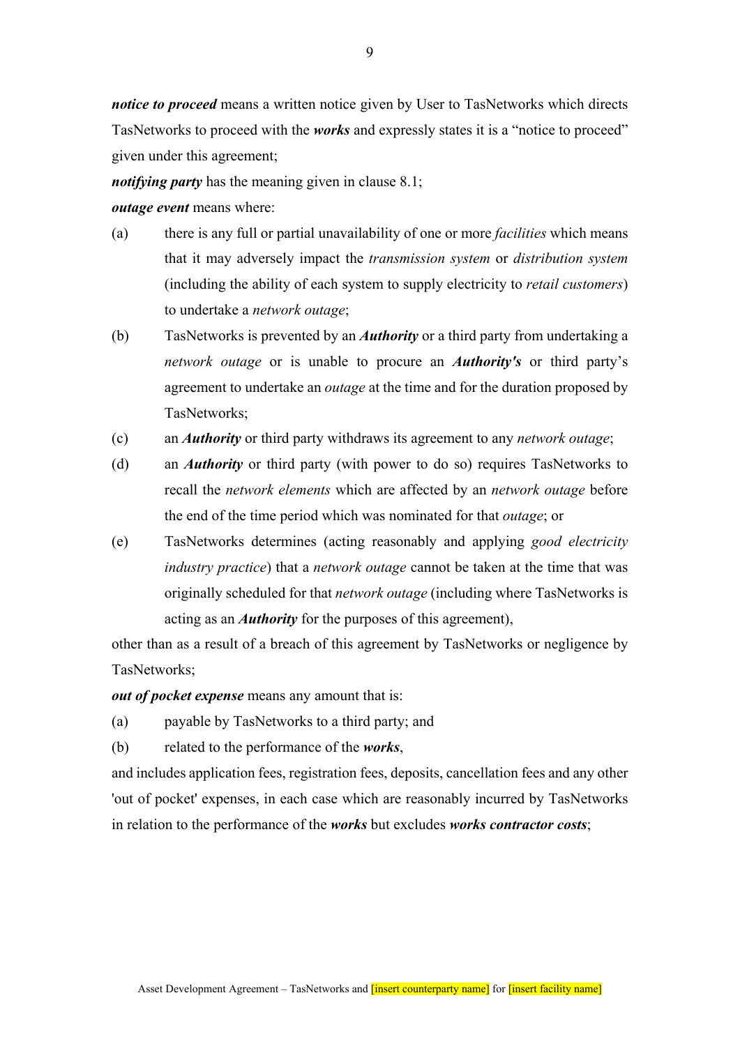*notice to proceed* means a written notice given by User to TasNetworks which directs TasNetworks to proceed with the *works* and expressly states it is a "notice to proceed" given under this agreement;

*notifying party* has the meaning given in clause 8.1;

#### *outage event* means where:

- (a) there is any full or partial unavailability of one or more *facilities* which means that it may adversely impact the *transmission system* or *distribution system*  (including the ability of each system to supply electricity to *retail customers*) to undertake a *network outage*;
- (b) TasNetworks is prevented by an *Authority* or a third party from undertaking a *network outage* or is unable to procure an *Authority's* or third party's agreement to undertake an *outage* at the time and for the duration proposed by TasNetworks;
- (c) an *Authority* or third party withdraws its agreement to any *network outage*;
- (d) an *Authority* or third party (with power to do so) requires TasNetworks to recall the *network elements* which are affected by an *network outage* before the end of the time period which was nominated for that *outage*; or
- (e) TasNetworks determines (acting reasonably and applying *good electricity industry practice*) that a *network outage* cannot be taken at the time that was originally scheduled for that *network outage* (including where TasNetworks is acting as an *Authority* for the purposes of this agreement),

other than as a result of a breach of this agreement by TasNetworks or negligence by TasNetworks;

*out of pocket expense* means any amount that is:

- (a) payable by TasNetworks to a third party; and
- (b) related to the performance of the *works*,

and includes application fees, registration fees, deposits, cancellation fees and any other 'out of pocket' expenses, in each case which are reasonably incurred by TasNetworks in relation to the performance of the *works* but excludes *works contractor costs*;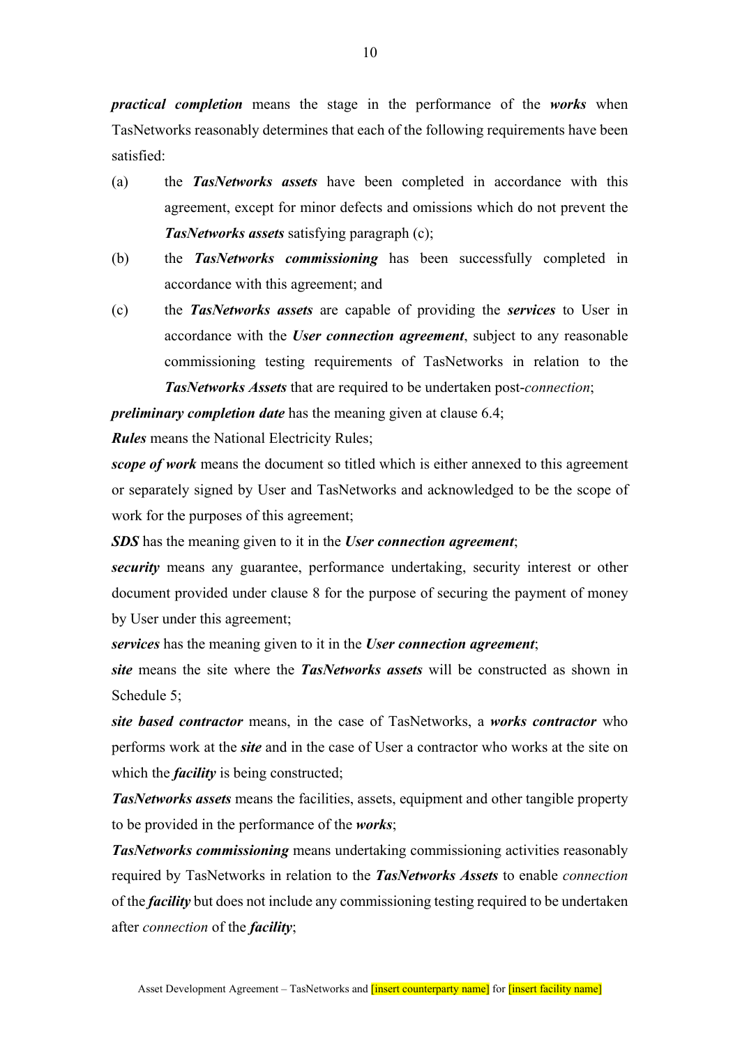*practical completion* means the stage in the performance of the *works* when TasNetworks reasonably determines that each of the following requirements have been satisfied:

- (a) the *TasNetworks assets* have been completed in accordance with this agreement, except for minor defects and omissions which do not prevent the *TasNetworks assets* satisfying paragraph (c);
- (b) the *TasNetworks commissioning* has been successfully completed in accordance with this agreement; and
- (c) the *TasNetworks assets* are capable of providing the *services* to User in accordance with the *User connection agreement*, subject to any reasonable commissioning testing requirements of TasNetworks in relation to the *TasNetworks Assets* that are required to be undertaken post-*connection*;

*preliminary completion date* has the meaning given at clause 6.4;

*Rules* means the National Electricity Rules;

*scope of work* means the document so titled which is either annexed to this agreement or separately signed by User and TasNetworks and acknowledged to be the scope of work for the purposes of this agreement;

*SDS* has the meaning given to it in the *User connection agreement*;

*security* means any guarantee, performance undertaking, security interest or other document provided under clause 8 for the purpose of securing the payment of money by User under this agreement;

*services* has the meaning given to it in the *User connection agreement*;

*site* means the site where the *TasNetworks assets* will be constructed as shown in Schedule 5;

*site based contractor* means, in the case of TasNetworks, a *works contractor* who performs work at the *site* and in the case of User a contractor who works at the site on which the *facility* is being constructed;

*TasNetworks assets* means the facilities, assets, equipment and other tangible property to be provided in the performance of the *works*;

*TasNetworks commissioning* means undertaking commissioning activities reasonably required by TasNetworks in relation to the *TasNetworks Assets* to enable *connection*  of the *facility* but does not include any commissioning testing required to be undertaken after *connection* of the *facility*;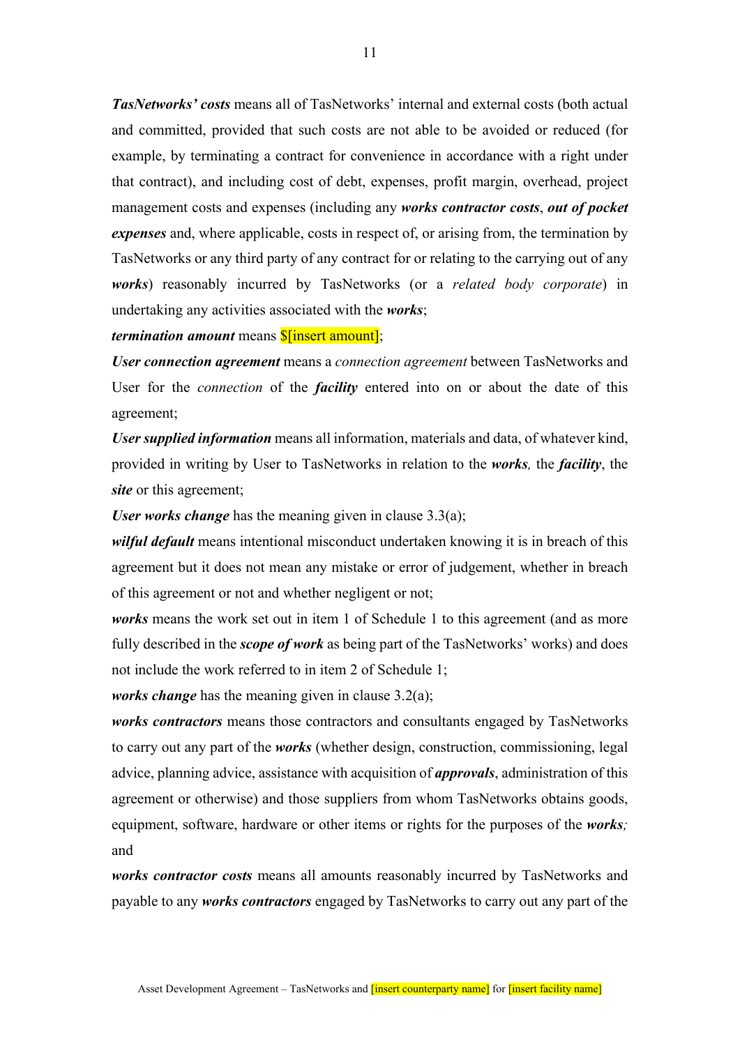*TasNetworks' costs* means all of TasNetworks' internal and external costs (both actual and committed, provided that such costs are not able to be avoided or reduced (for example, by terminating a contract for convenience in accordance with a right under that contract), and including cost of debt, expenses, profit margin, overhead, project management costs and expenses (including any *works contractor costs*, *out of pocket expenses* and, where applicable, costs in respect of, or arising from, the termination by TasNetworks or any third party of any contract for or relating to the carrying out of any *works*) reasonably incurred by TasNetworks (or a *related body corporate*) in undertaking any activities associated with the *works*;

### *termination amount* means **\$**[insert amount];

*User connection agreement* means a *connection agreement* between TasNetworks and User for the *connection* of the *facility* entered into on or about the date of this agreement;

*User supplied information* means all information, materials and data, of whatever kind, provided in writing by User to TasNetworks in relation to the *works,* the *facility*, the *site* or this agreement;

*User works change* has the meaning given in clause 3.3(a);

*wilful default* means intentional misconduct undertaken knowing it is in breach of this agreement but it does not mean any mistake or error of judgement, whether in breach of this agreement or not and whether negligent or not;

*works* means the work set out in item 1 of Schedule 1 to this agreement (and as more fully described in the *scope of work* as being part of the TasNetworks' works) and does not include the work referred to in item 2 of Schedule 1;

*works change* has the meaning given in clause 3.2(a);

*works contractors* means those contractors and consultants engaged by TasNetworks to carry out any part of the *works* (whether design, construction, commissioning, legal advice, planning advice, assistance with acquisition of *approvals*, administration of this agreement or otherwise) and those suppliers from whom TasNetworks obtains goods, equipment, software, hardware or other items or rights for the purposes of the *works;*  and

*works contractor costs* means all amounts reasonably incurred by TasNetworks and payable to any *works contractors* engaged by TasNetworks to carry out any part of the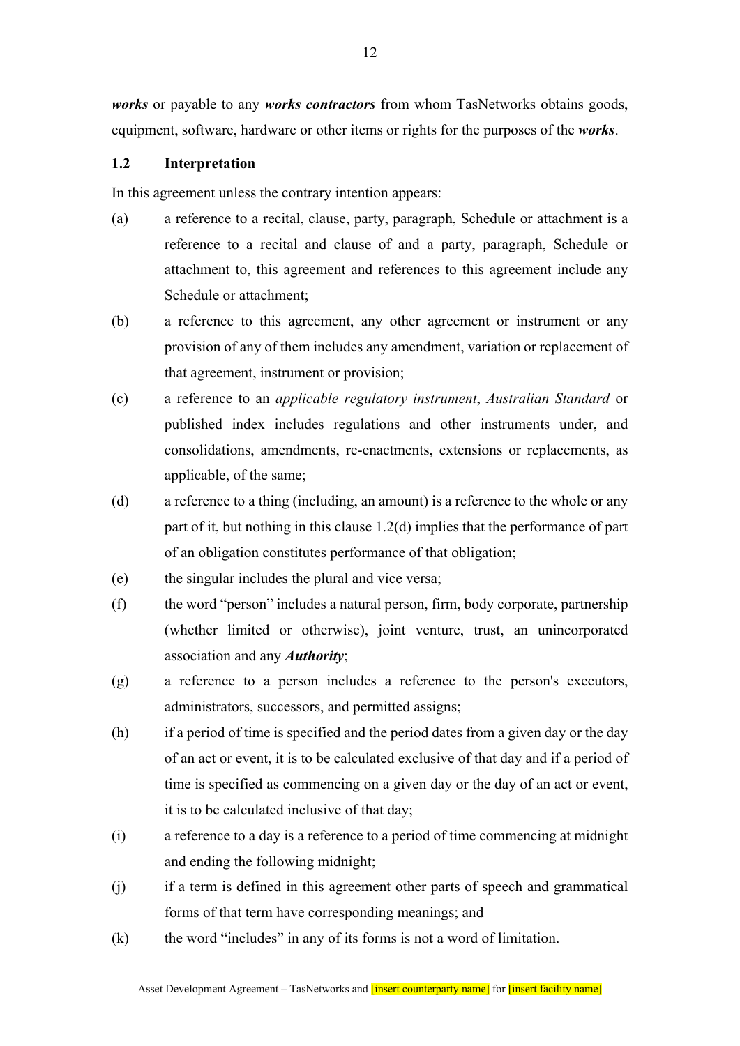*works* or payable to any *works contractors* from whom TasNetworks obtains goods, equipment, software, hardware or other items or rights for the purposes of the *works*.

#### **1.2 Interpretation**

In this agreement unless the contrary intention appears:

- (a) a reference to a recital, clause, party, paragraph, Schedule or attachment is a reference to a recital and clause of and a party, paragraph, Schedule or attachment to, this agreement and references to this agreement include any Schedule or attachment;
- (b) a reference to this agreement, any other agreement or instrument or any provision of any of them includes any amendment, variation or replacement of that agreement, instrument or provision;
- (c) a reference to an *applicable regulatory instrument*, *Australian Standard* or published index includes regulations and other instruments under, and consolidations, amendments, re-enactments, extensions or replacements, as applicable, of the same;
- (d) a reference to a thing (including, an amount) is a reference to the whole or any part of it, but nothing in this clause 1.2(d) implies that the performance of part of an obligation constitutes performance of that obligation;
- (e) the singular includes the plural and vice versa;
- (f) the word "person" includes a natural person, firm, body corporate, partnership (whether limited or otherwise), joint venture, trust, an unincorporated association and any *Authority*;
- (g) a reference to a person includes a reference to the person's executors, administrators, successors, and permitted assigns;
- (h) if a period of time is specified and the period dates from a given day or the day of an act or event, it is to be calculated exclusive of that day and if a period of time is specified as commencing on a given day or the day of an act or event, it is to be calculated inclusive of that day;
- (i) a reference to a day is a reference to a period of time commencing at midnight and ending the following midnight;
- (j) if a term is defined in this agreement other parts of speech and grammatical forms of that term have corresponding meanings; and
- (k) the word "includes" in any of its forms is not a word of limitation.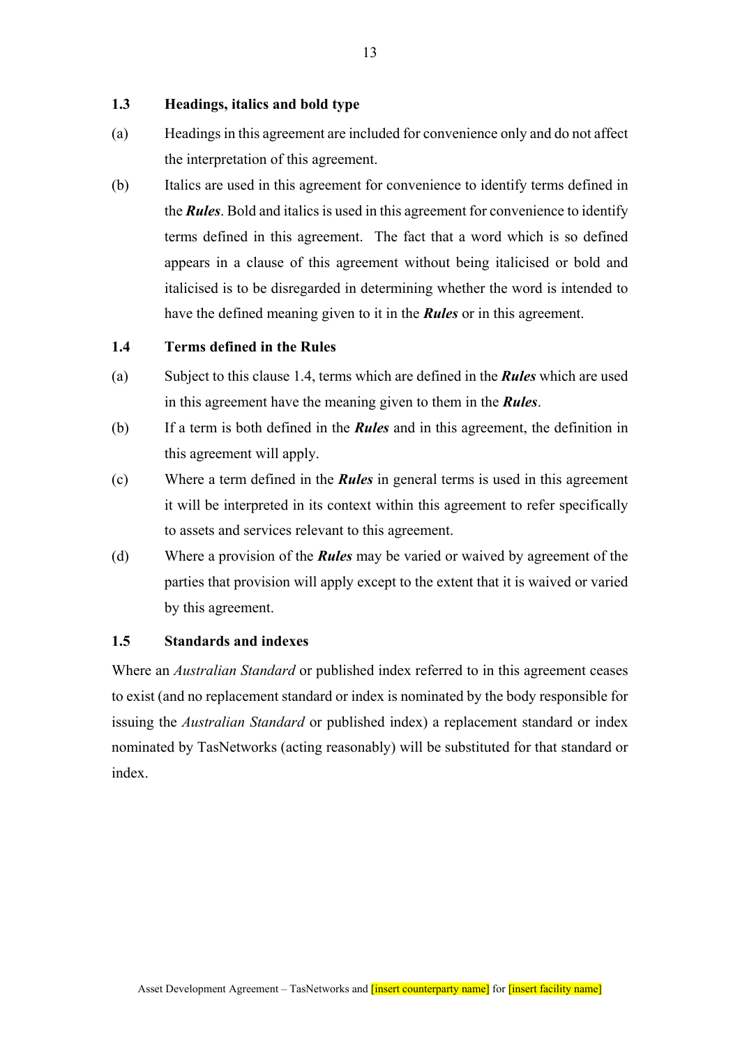## **1.3 Headings, italics and bold type**

- (a) Headings in this agreement are included for convenience only and do not affect the interpretation of this agreement.
- (b) Italics are used in this agreement for convenience to identify terms defined in the *Rules*. Bold and italics is used in this agreement for convenience to identify terms defined in this agreement. The fact that a word which is so defined appears in a clause of this agreement without being italicised or bold and italicised is to be disregarded in determining whether the word is intended to have the defined meaning given to it in the *Rules* or in this agreement.

### **1.4 Terms defined in the Rules**

- (a) Subject to this clause 1.4, terms which are defined in the *Rules* which are used in this agreement have the meaning given to them in the *Rules*.
- (b) If a term is both defined in the *Rules* and in this agreement, the definition in this agreement will apply.
- (c) Where a term defined in the *Rules* in general terms is used in this agreement it will be interpreted in its context within this agreement to refer specifically to assets and services relevant to this agreement.
- (d) Where a provision of the *Rules* may be varied or waived by agreement of the parties that provision will apply except to the extent that it is waived or varied by this agreement.

## **1.5 Standards and indexes**

Where an *Australian Standard* or published index referred to in this agreement ceases to exist (and no replacement standard or index is nominated by the body responsible for issuing the *Australian Standard* or published index) a replacement standard or index nominated by TasNetworks (acting reasonably) will be substituted for that standard or index.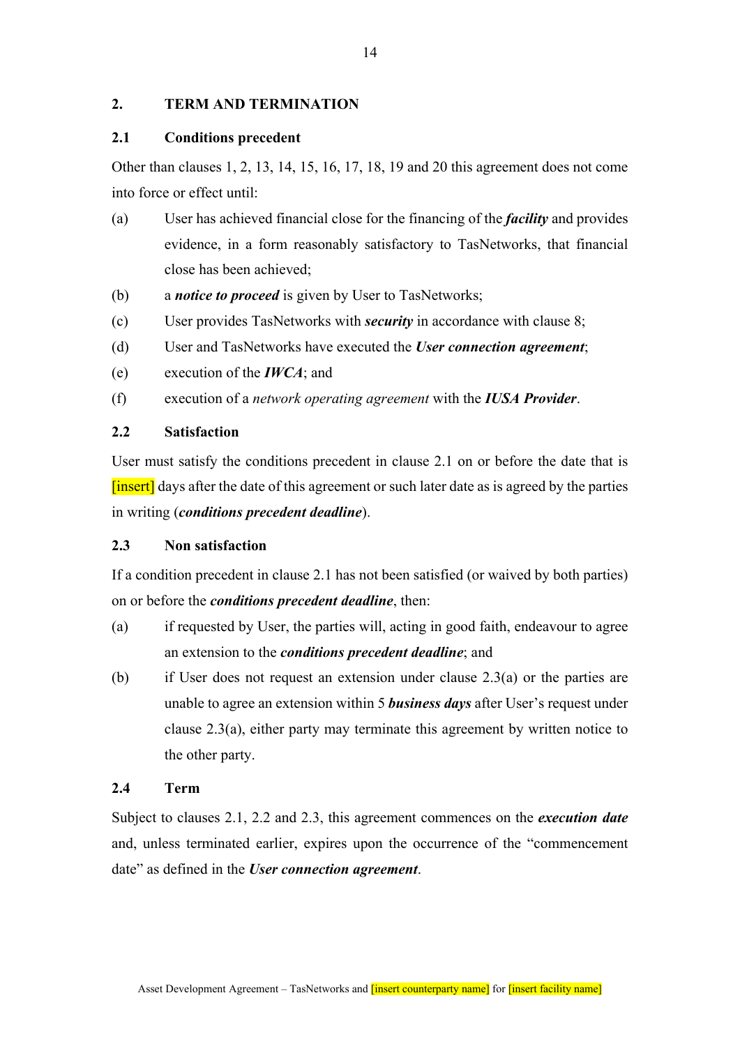## **2. TERM AND TERMINATION**

## **2.1 Conditions precedent**

Other than clauses 1, 2, 13, 14, 15, 16, 17, 18, 19 and 20 this agreement does not come into force or effect until:

- (a) User has achieved financial close for the financing of the *facility* and provides evidence, in a form reasonably satisfactory to TasNetworks, that financial close has been achieved;
- (b) a *notice to proceed* is given by User to TasNetworks;
- (c) User provides TasNetworks with *security* in accordance with clause 8;
- (d) User and TasNetworks have executed the *User connection agreement*;
- (e) execution of the *IWCA*; and
- (f) execution of a *network operating agreement* with the *IUSA Provider*.

## **2.2 Satisfaction**

User must satisfy the conditions precedent in clause 2.1 on or before the date that is [insert] days after the date of this agreement or such later date as is agreed by the parties in writing (*conditions precedent deadline*).

## **2.3 Non satisfaction**

If a condition precedent in clause 2.1 has not been satisfied (or waived by both parties) on or before the *conditions precedent deadline*, then:

- (a) if requested by User, the parties will, acting in good faith, endeavour to agree an extension to the *conditions precedent deadline*; and
- (b) if User does not request an extension under clause 2.3(a) or the parties are unable to agree an extension within 5 *business days* after User's request under clause 2.3(a), either party may terminate this agreement by written notice to the other party.

## **2.4 Term**

Subject to clauses 2.1, 2.2 and 2.3, this agreement commences on the *execution date* and, unless terminated earlier, expires upon the occurrence of the "commencement date" as defined in the *User connection agreement*.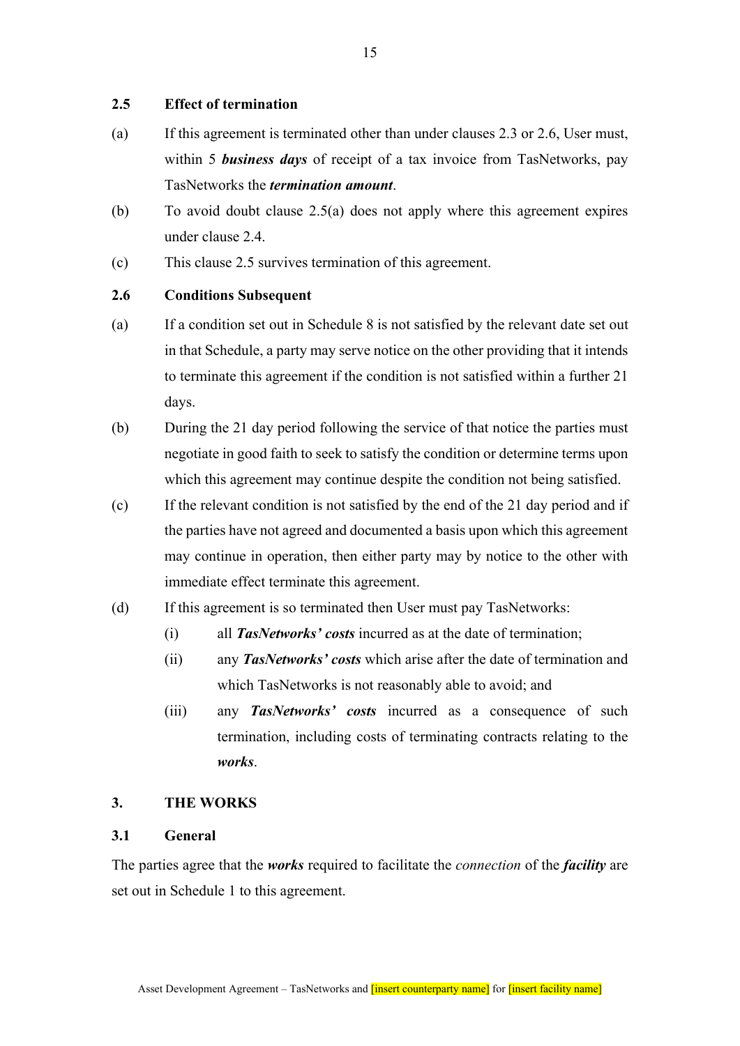### **2.5 Effect of termination**

- (a) If this agreement is terminated other than under clauses 2.3 or 2.6, User must, within 5 *business days* of receipt of a tax invoice from TasNetworks, pay TasNetworks the *termination amount*.
- (b) To avoid doubt clause 2.5(a) does not apply where this agreement expires under clause 2.4.
- (c) This clause 2.5 survives termination of this agreement.

## **2.6 Conditions Subsequent**

- (a) If a condition set out in Schedule 8 is not satisfied by the relevant date set out in that Schedule, a party may serve notice on the other providing that it intends to terminate this agreement if the condition is not satisfied within a further 21 days.
- (b) During the 21 day period following the service of that notice the parties must negotiate in good faith to seek to satisfy the condition or determine terms upon which this agreement may continue despite the condition not being satisfied.
- (c) If the relevant condition is not satisfied by the end of the 21 day period and if the parties have not agreed and documented a basis upon which this agreement may continue in operation, then either party may by notice to the other with immediate effect terminate this agreement.
- (d) If this agreement is so terminated then User must pay TasNetworks:
	- (i) all *TasNetworks' costs* incurred as at the date of termination;
	- (ii) any *TasNetworks' costs* which arise after the date of termination and which TasNetworks is not reasonably able to avoid; and
	- (iii) any *TasNetworks' costs* incurred as a consequence of such termination, including costs of terminating contracts relating to the *works*.

## **3. THE WORKS**

## **3.1 General**

The parties agree that the *works* required to facilitate the *connection* of the *facility* are set out in Schedule 1 to this agreement.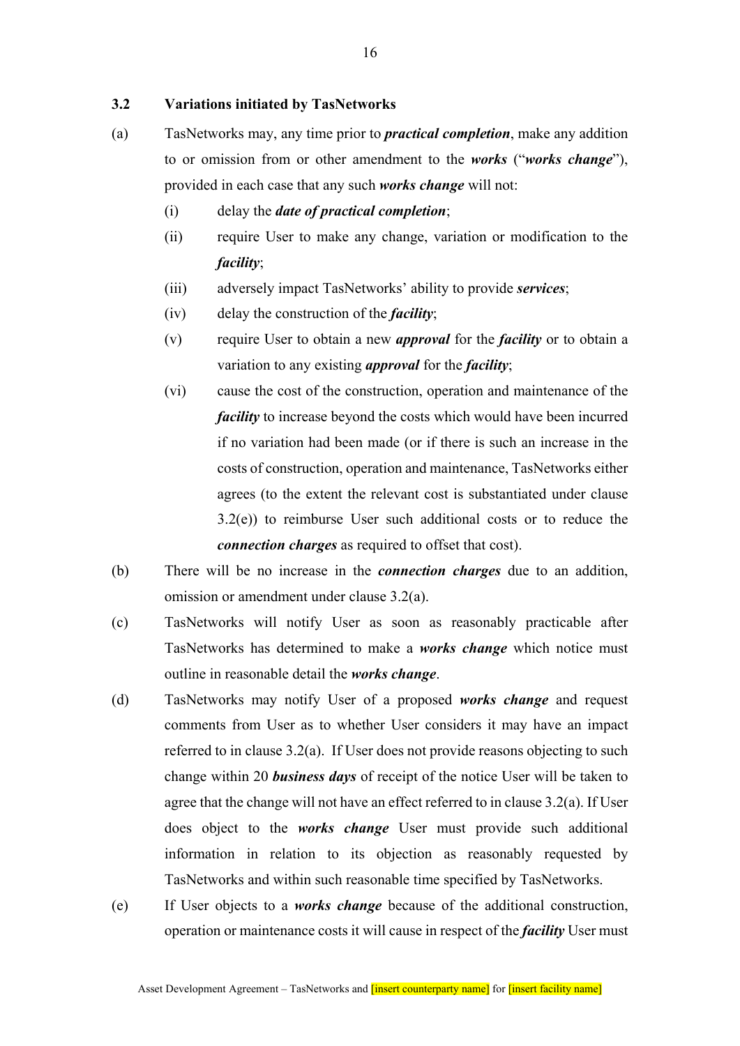## **3.2 Variations initiated by TasNetworks**

- (a) TasNetworks may, any time prior to *practical completion*, make any addition to or omission from or other amendment to the *works* ("*works change*"), provided in each case that any such *works change* will not:
	- (i) delay the *date of practical completion*;
	- (ii) require User to make any change, variation or modification to the *facility*;
	- (iii) adversely impact TasNetworks' ability to provide *services*;
	- (iv) delay the construction of the *facility*;
	- (v) require User to obtain a new *approval* for the *facility* or to obtain a variation to any existing *approval* for the *facility*;
	- (vi) cause the cost of the construction, operation and maintenance of the *facility* to increase beyond the costs which would have been incurred if no variation had been made (or if there is such an increase in the costs of construction, operation and maintenance, TasNetworks either agrees (to the extent the relevant cost is substantiated under clause 3.2(e)) to reimburse User such additional costs or to reduce the *connection charges* as required to offset that cost).
- (b) There will be no increase in the *connection charges* due to an addition, omission or amendment under clause 3.2(a).
- (c) TasNetworks will notify User as soon as reasonably practicable after TasNetworks has determined to make a *works change* which notice must outline in reasonable detail the *works change*.
- (d) TasNetworks may notify User of a proposed *works change* and request comments from User as to whether User considers it may have an impact referred to in clause 3.2(a). If User does not provide reasons objecting to such change within 20 *business days* of receipt of the notice User will be taken to agree that the change will not have an effect referred to in clause 3.2(a). If User does object to the *works change* User must provide such additional information in relation to its objection as reasonably requested by TasNetworks and within such reasonable time specified by TasNetworks.
- (e) If User objects to a *works change* because of the additional construction, operation or maintenance costs it will cause in respect of the *facility* User must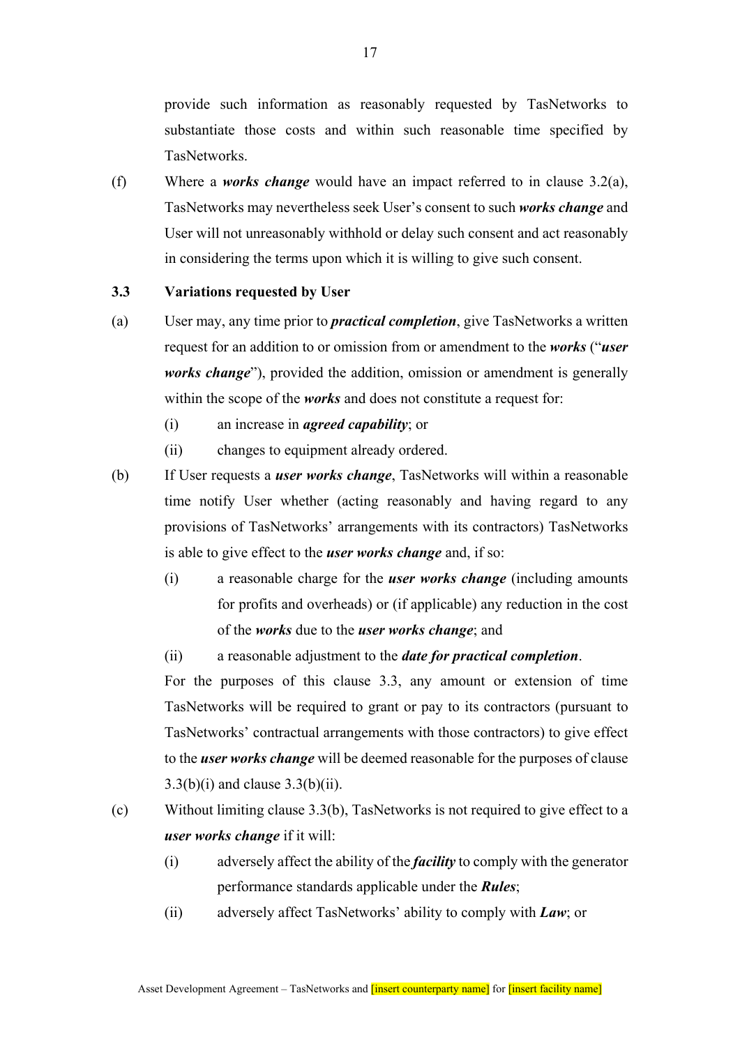provide such information as reasonably requested by TasNetworks to substantiate those costs and within such reasonable time specified by TasNetworks.

(f) Where a *works change* would have an impact referred to in clause 3.2(a), TasNetworks may nevertheless seek User's consent to such *works change* and User will not unreasonably withhold or delay such consent and act reasonably in considering the terms upon which it is willing to give such consent.

### **3.3 Variations requested by User**

- (a) User may, any time prior to *practical completion*, give TasNetworks a written request for an addition to or omission from or amendment to the *works* ("*user works change*"), provided the addition, omission or amendment is generally within the scope of the *works* and does not constitute a request for:
	- (i) an increase in *agreed capability*; or
	- (ii) changes to equipment already ordered.
- (b) If User requests a *user works change*, TasNetworks will within a reasonable time notify User whether (acting reasonably and having regard to any provisions of TasNetworks' arrangements with its contractors) TasNetworks is able to give effect to the *user works change* and, if so:
	- (i) a reasonable charge for the *user works change* (including amounts for profits and overheads) or (if applicable) any reduction in the cost of the *works* due to the *user works change*; and
	- (ii) a reasonable adjustment to the *date for practical completion*.

For the purposes of this clause 3.3, any amount or extension of time TasNetworks will be required to grant or pay to its contractors (pursuant to TasNetworks' contractual arrangements with those contractors) to give effect to the *user works change* will be deemed reasonable for the purposes of clause  $3.3(b)(i)$  and clause  $3.3(b)(ii)$ .

- (c) Without limiting clause 3.3(b), TasNetworks is not required to give effect to a *user works change* if it will:
	- (i) adversely affect the ability of the *facility* to comply with the generator performance standards applicable under the *Rules*;
	- (ii) adversely affect TasNetworks' ability to comply with *Law*; or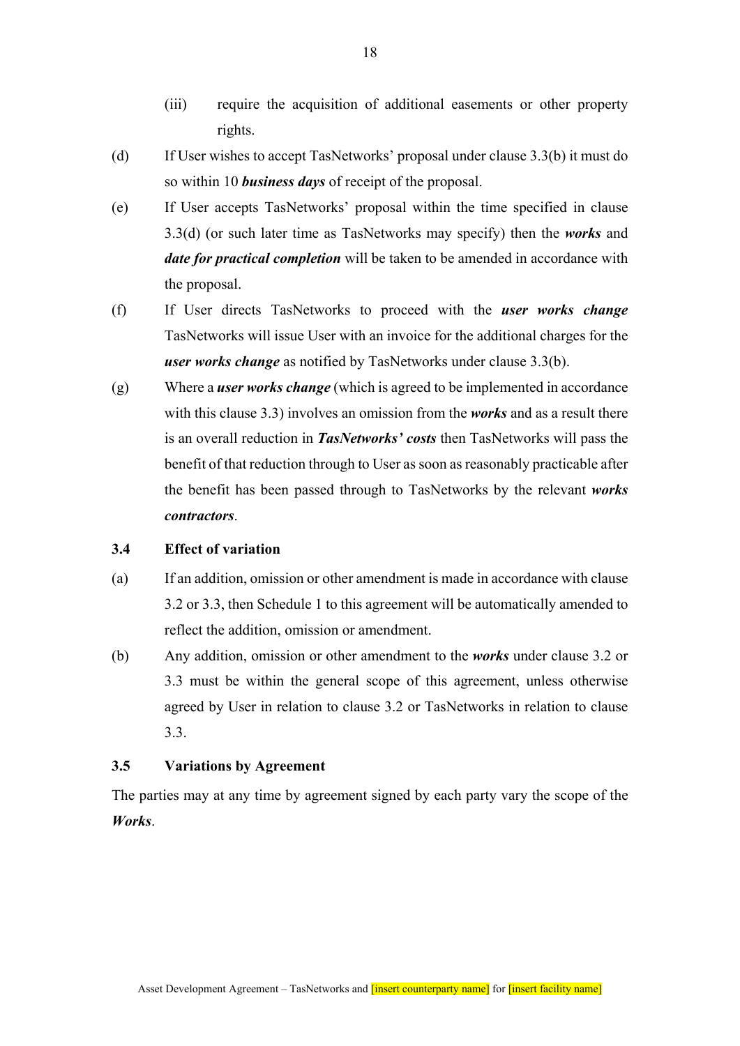- (iii) require the acquisition of additional easements or other property rights.
- (d) If User wishes to accept TasNetworks' proposal under clause 3.3(b) it must do so within 10 *business days* of receipt of the proposal.
- (e) If User accepts TasNetworks' proposal within the time specified in clause 3.3(d) (or such later time as TasNetworks may specify) then the *works* and *date for practical completion* will be taken to be amended in accordance with the proposal.
- (f) If User directs TasNetworks to proceed with the *user works change*  TasNetworks will issue User with an invoice for the additional charges for the *user works change* as notified by TasNetworks under clause 3.3(b).
- (g) Where a *user works change* (which is agreed to be implemented in accordance with this clause 3.3) involves an omission from the *works* and as a result there is an overall reduction in *TasNetworks' costs* then TasNetworks will pass the benefit of that reduction through to User as soon as reasonably practicable after the benefit has been passed through to TasNetworks by the relevant *works contractors*.

#### **3.4 Effect of variation**

- (a) If an addition, omission or other amendment is made in accordance with clause 3.2 or 3.3, then Schedule 1 to this agreement will be automatically amended to reflect the addition, omission or amendment.
- (b) Any addition, omission or other amendment to the *works* under clause 3.2 or 3.3 must be within the general scope of this agreement, unless otherwise agreed by User in relation to clause 3.2 or TasNetworks in relation to clause 3.3.

#### **3.5 Variations by Agreement**

The parties may at any time by agreement signed by each party vary the scope of the *Works*.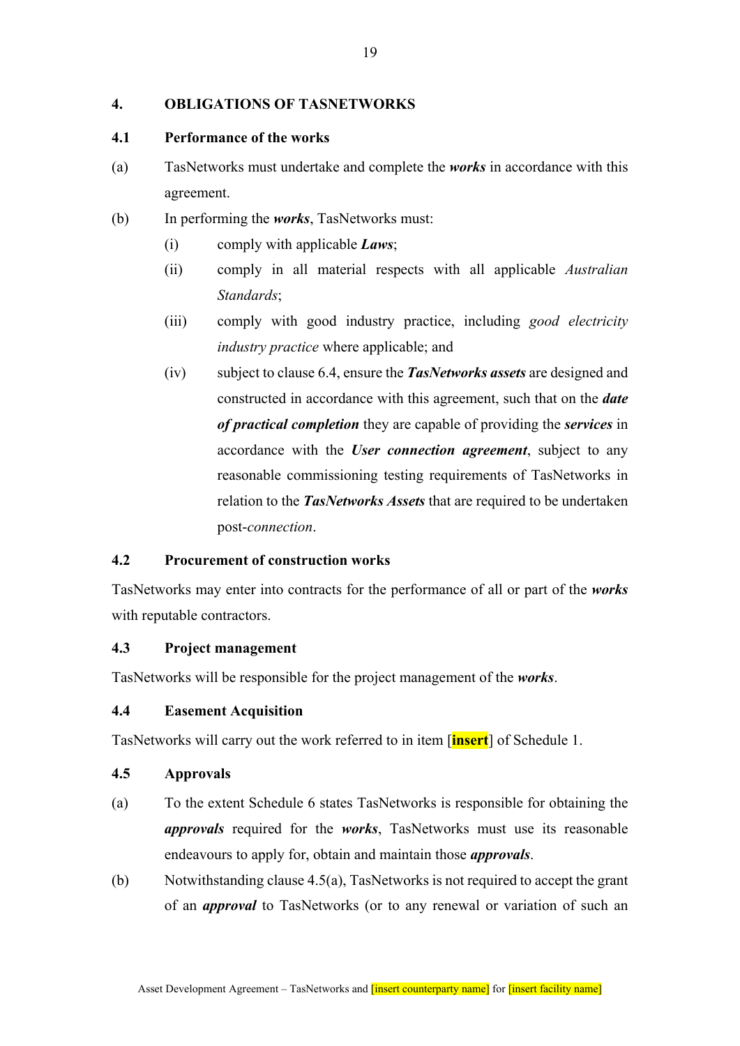## **4. OBLIGATIONS OF TASNETWORKS**

## **4.1 Performance of the works**

- (a) TasNetworks must undertake and complete the *works* in accordance with this agreement.
- (b) In performing the *works*, TasNetworks must:
	- (i) comply with applicable *Laws*;
	- (ii) comply in all material respects with all applicable *Australian Standards*;
	- (iii) comply with good industry practice, including *good electricity industry practice* where applicable; and
	- (iv) subject to clause 6.4, ensure the *TasNetworks assets* are designed and constructed in accordance with this agreement, such that on the *date of practical completion* they are capable of providing the *services* in accordance with the *User connection agreement*, subject to any reasonable commissioning testing requirements of TasNetworks in relation to the *TasNetworks Assets* that are required to be undertaken post-*connection*.

## **4.2 Procurement of construction works**

TasNetworks may enter into contracts for the performance of all or part of the *works*  with reputable contractors.

## **4.3 Project management**

TasNetworks will be responsible for the project management of the *works*.

## **4.4 Easement Acquisition**

TasNetworks will carry out the work referred to in item [**insert**] of Schedule 1.

## **4.5 Approvals**

- (a) To the extent Schedule 6 states TasNetworks is responsible for obtaining the *approvals* required for the *works*, TasNetworks must use its reasonable endeavours to apply for, obtain and maintain those *approvals*.
- (b) Notwithstanding clause 4.5(a), TasNetworks is not required to accept the grant of an *approval* to TasNetworks (or to any renewal or variation of such an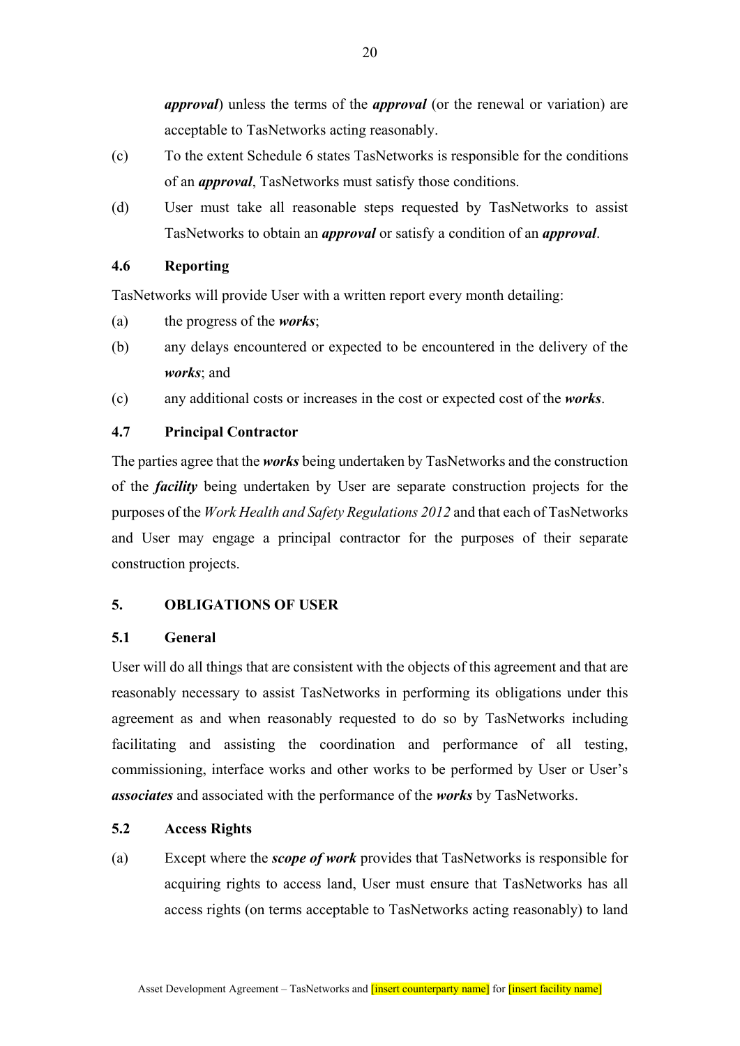*approval*) unless the terms of the *approval* (or the renewal or variation) are acceptable to TasNetworks acting reasonably.

- (c) To the extent Schedule 6 states TasNetworks is responsible for the conditions of an *approval*, TasNetworks must satisfy those conditions.
- (d) User must take all reasonable steps requested by TasNetworks to assist TasNetworks to obtain an *approval* or satisfy a condition of an *approval*.

## **4.6 Reporting**

TasNetworks will provide User with a written report every month detailing:

- (a) the progress of the *works*;
- (b) any delays encountered or expected to be encountered in the delivery of the *works*; and
- (c) any additional costs or increases in the cost or expected cost of the *works*.

## **4.7 Principal Contractor**

The parties agree that the *works* being undertaken by TasNetworks and the construction of the *facility* being undertaken by User are separate construction projects for the purposes of the *Work Health and Safety Regulations 2012* and that each of TasNetworks and User may engage a principal contractor for the purposes of their separate construction projects.

## **5. OBLIGATIONS OF USER**

## **5.1 General**

User will do all things that are consistent with the objects of this agreement and that are reasonably necessary to assist TasNetworks in performing its obligations under this agreement as and when reasonably requested to do so by TasNetworks including facilitating and assisting the coordination and performance of all testing, commissioning, interface works and other works to be performed by User or User's *associates* and associated with the performance of the *works* by TasNetworks.

## **5.2 Access Rights**

(a) Except where the *scope of work* provides that TasNetworks is responsible for acquiring rights to access land, User must ensure that TasNetworks has all access rights (on terms acceptable to TasNetworks acting reasonably) to land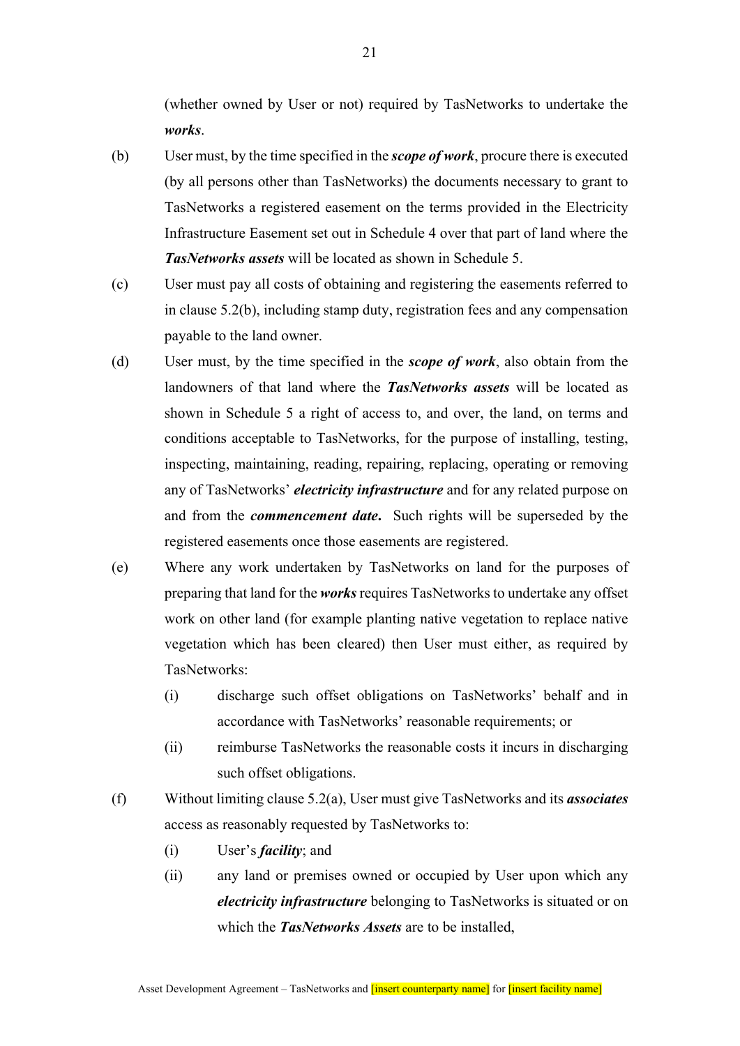(whether owned by User or not) required by TasNetworks to undertake the *works*.

- (b) User must, by the time specified in the *scope of work*, procure there is executed (by all persons other than TasNetworks) the documents necessary to grant to TasNetworks a registered easement on the terms provided in the Electricity Infrastructure Easement set out in Schedule 4 over that part of land where the *TasNetworks assets* will be located as shown in Schedule 5.
- (c) User must pay all costs of obtaining and registering the easements referred to in clause 5.2(b), including stamp duty, registration fees and any compensation payable to the land owner.
- (d) User must, by the time specified in the *scope of work*, also obtain from the landowners of that land where the *TasNetworks assets* will be located as shown in Schedule 5 a right of access to, and over, the land, on terms and conditions acceptable to TasNetworks, for the purpose of installing, testing, inspecting, maintaining, reading, repairing, replacing, operating or removing any of TasNetworks' *electricity infrastructure* and for any related purpose on and from the *commencement date***.** Such rights will be superseded by the registered easements once those easements are registered.
- (e) Where any work undertaken by TasNetworks on land for the purposes of preparing that land for the *works* requires TasNetworks to undertake any offset work on other land (for example planting native vegetation to replace native vegetation which has been cleared) then User must either, as required by TasNetworks:
	- (i) discharge such offset obligations on TasNetworks' behalf and in accordance with TasNetworks' reasonable requirements; or
	- (ii) reimburse TasNetworks the reasonable costs it incurs in discharging such offset obligations.
- (f) Without limiting clause 5.2(a), User must give TasNetworks and its *associates* access as reasonably requested by TasNetworks to:
	- (i) User's *facility*; and
	- (ii) any land or premises owned or occupied by User upon which any *electricity infrastructure* belonging to TasNetworks is situated or on which the *TasNetworks Assets* are to be installed,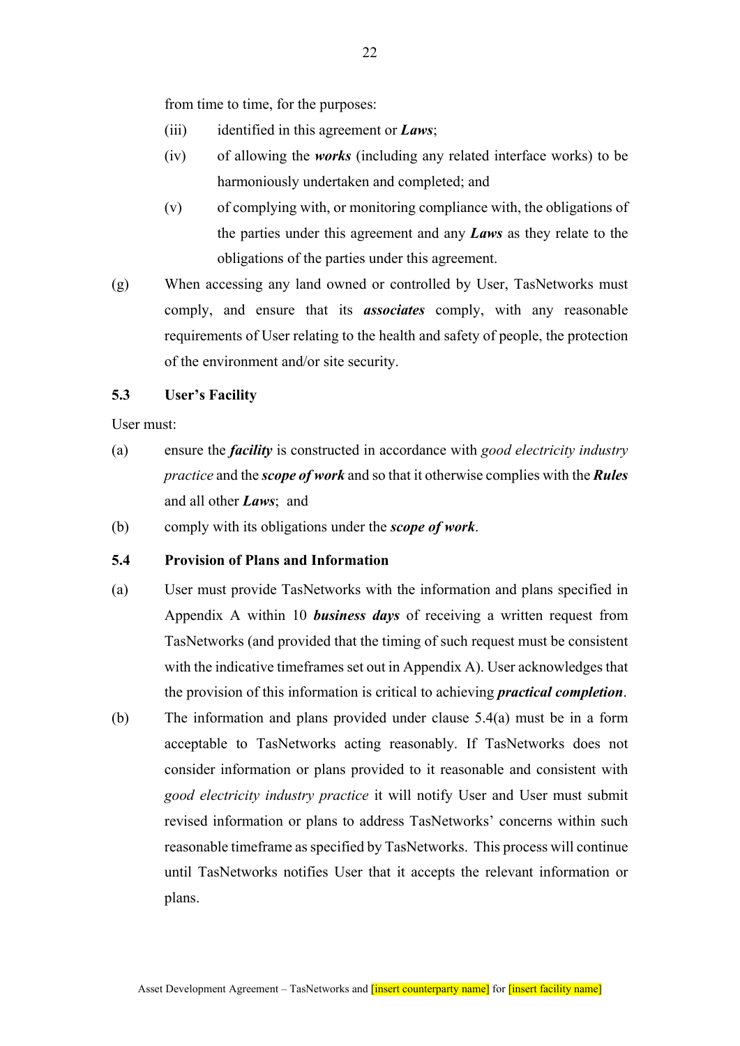from time to time, for the purposes:

- (iii) identified in this agreement or *Laws*;
- (iv) of allowing the *works* (including any related interface works) to be harmoniously undertaken and completed; and
- (v) of complying with, or monitoring compliance with, the obligations of the parties under this agreement and any *Laws* as they relate to the obligations of the parties under this agreement.
- (g) When accessing any land owned or controlled by User, TasNetworks must comply, and ensure that its *associates* comply, with any reasonable requirements of User relating to the health and safety of people, the protection of the environment and/or site security.

## **5.3 User's Facility**

User must:

- (a) ensure the *facility* is constructed in accordance with *good electricity industry practice* and the *scope of work* and so that it otherwise complies with the *Rules* and all other *Laws*; and
- (b) comply with its obligations under the *scope of work*.

## **5.4 Provision of Plans and Information**

- (a) User must provide TasNetworks with the information and plans specified in Appendix A within 10 *business days* of receiving a written request from TasNetworks (and provided that the timing of such request must be consistent with the indicative timeframes set out in Appendix A). User acknowledges that the provision of this information is critical to achieving *practical completion*.
- (b) The information and plans provided under clause 5.4(a) must be in a form acceptable to TasNetworks acting reasonably. If TasNetworks does not consider information or plans provided to it reasonable and consistent with *good electricity industry practice* it will notify User and User must submit revised information or plans to address TasNetworks' concerns within such reasonable timeframe as specified by TasNetworks. This process will continue until TasNetworks notifies User that it accepts the relevant information or plans.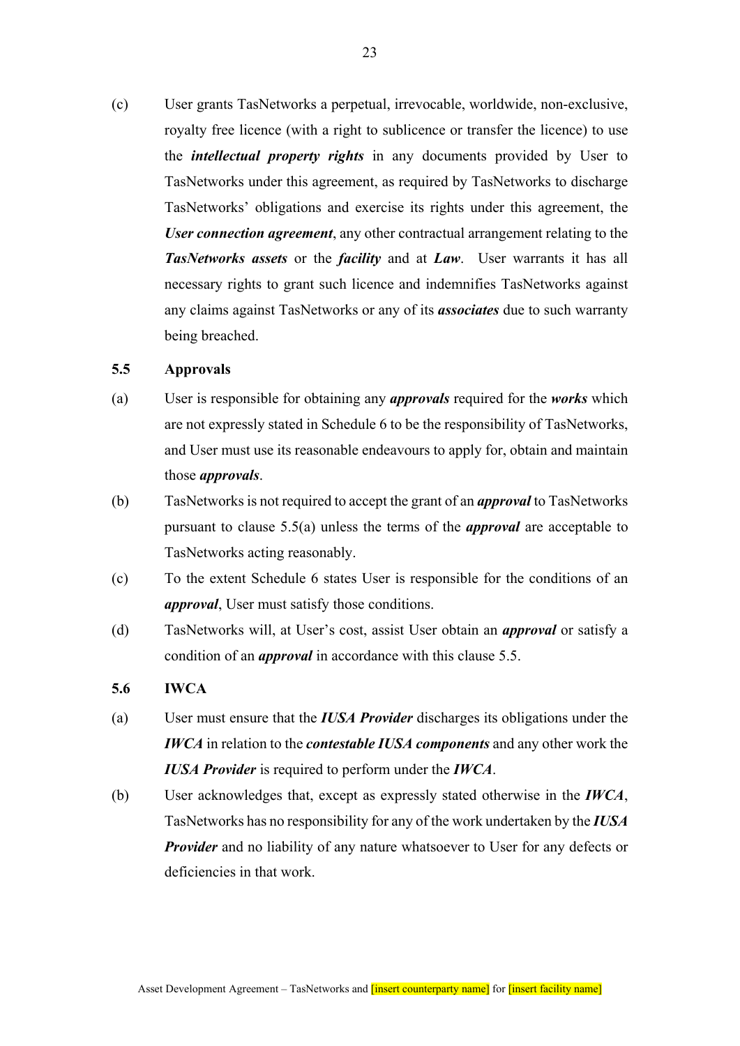(c) User grants TasNetworks a perpetual, irrevocable, worldwide, non-exclusive, royalty free licence (with a right to sublicence or transfer the licence) to use the *intellectual property rights* in any documents provided by User to TasNetworks under this agreement, as required by TasNetworks to discharge TasNetworks' obligations and exercise its rights under this agreement, the *User connection agreement*, any other contractual arrangement relating to the *TasNetworks assets* or the *facility* and at *Law*. User warrants it has all necessary rights to grant such licence and indemnifies TasNetworks against any claims against TasNetworks or any of its *associates* due to such warranty being breached.

### **5.5 Approvals**

- (a) User is responsible for obtaining any *approvals* required for the *works* which are not expressly stated in Schedule 6 to be the responsibility of TasNetworks, and User must use its reasonable endeavours to apply for, obtain and maintain those *approvals*.
- (b) TasNetworks is not required to accept the grant of an *approval* to TasNetworks pursuant to clause 5.5(a) unless the terms of the *approval* are acceptable to TasNetworks acting reasonably.
- (c) To the extent Schedule 6 states User is responsible for the conditions of an *approval*, User must satisfy those conditions.
- (d) TasNetworks will, at User's cost, assist User obtain an *approval* or satisfy a condition of an *approval* in accordance with this clause 5.5.

### **5.6 IWCA**

- (a) User must ensure that the *IUSA Provider* discharges its obligations under the *IWCA* in relation to the *contestable IUSA components* and any other work the *IUSA Provider* is required to perform under the *IWCA*.
- (b) User acknowledges that, except as expressly stated otherwise in the *IWCA*, TasNetworks has no responsibility for any of the work undertaken by the *IUSA Provider* and no liability of any nature whatsoever to User for any defects or deficiencies in that work.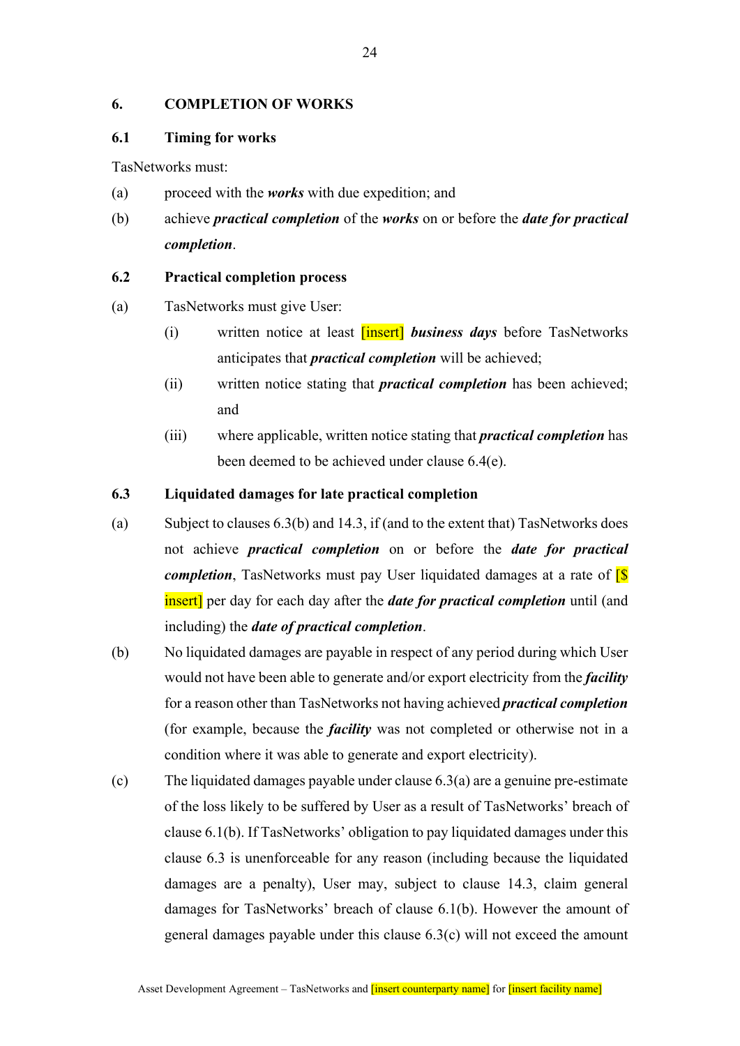## **6. COMPLETION OF WORKS**

### **6.1 Timing for works**

TasNetworks must:

- (a) proceed with the *works* with due expedition; and
- (b) achieve *practical completion* of the *works* on or before the *date for practical completion*.

### **6.2 Practical completion process**

- (a) TasNetworks must give User:
	- (i) written notice at least [insert] *business days* before TasNetworks anticipates that *practical completion* will be achieved;
	- (ii) written notice stating that *practical completion* has been achieved; and
	- (iii) where applicable, written notice stating that *practical completion* has been deemed to be achieved under clause 6.4(e).

### **6.3 Liquidated damages for late practical completion**

- (a) Subject to clauses 6.3(b) and 14.3, if (and to the extent that) TasNetworks does not achieve *practical completion* on or before the *date for practical completion*, TasNetworks must pay User liquidated damages at a rate of **[S**] insert] per day for each day after the *date for practical completion* until (and including) the *date of practical completion*.
- (b) No liquidated damages are payable in respect of any period during which User would not have been able to generate and/or export electricity from the *facility* for a reason other than TasNetworks not having achieved *practical completion* (for example, because the *facility* was not completed or otherwise not in a condition where it was able to generate and export electricity).
- (c) The liquidated damages payable under clause 6.3(a) are a genuine pre-estimate of the loss likely to be suffered by User as a result of TasNetworks' breach of clause 6.1(b). If TasNetworks' obligation to pay liquidated damages under this clause 6.3 is unenforceable for any reason (including because the liquidated damages are a penalty), User may, subject to clause 14.3, claim general damages for TasNetworks' breach of clause 6.1(b). However the amount of general damages payable under this clause 6.3(c) will not exceed the amount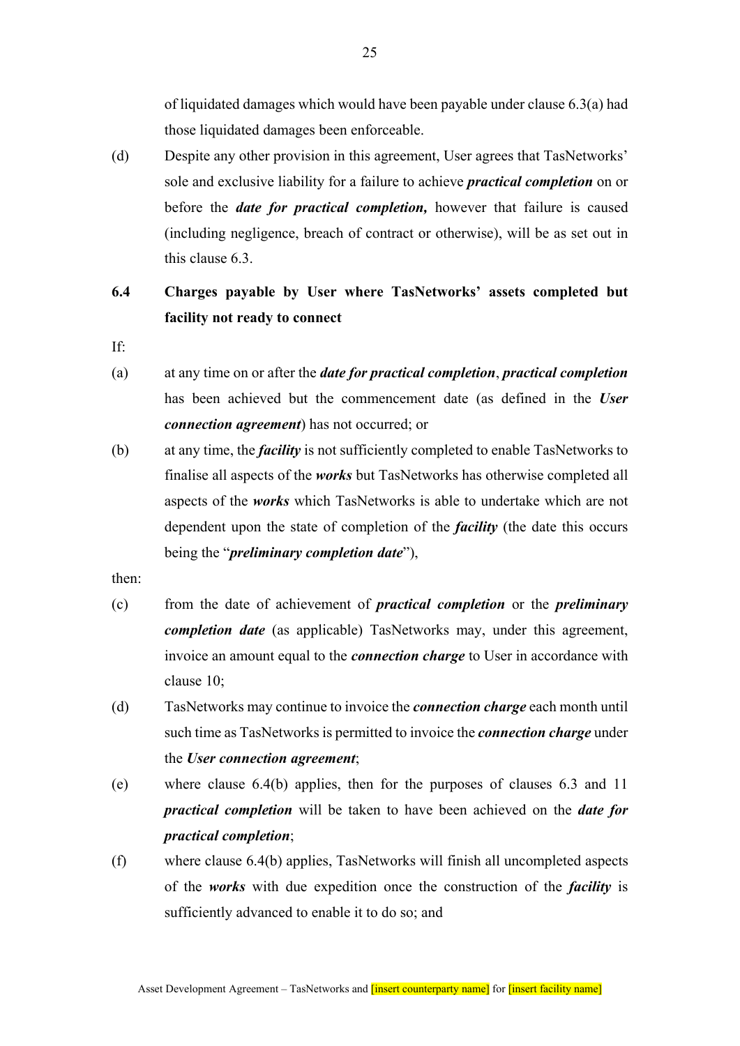of liquidated damages which would have been payable under clause  $6.3(a)$  had those liquidated damages been enforceable.

(d) Despite any other provision in this agreement, User agrees that TasNetworks' sole and exclusive liability for a failure to achieve *practical completion* on or before the *date for practical completion,* however that failure is caused (including negligence, breach of contract or otherwise), will be as set out in this clause 6.3.

# **6.4 Charges payable by User where TasNetworks' assets completed but facility not ready to connect**

- If:
- (a) at any time on or after the *date for practical completion*, *practical completion* has been achieved but the commencement date (as defined in the *User connection agreement*) has not occurred; or
- (b) at any time, the *facility* is not sufficiently completed to enable TasNetworks to finalise all aspects of the *works* but TasNetworks has otherwise completed all aspects of the *works* which TasNetworks is able to undertake which are not dependent upon the state of completion of the *facility* (the date this occurs being the "*preliminary completion date*"),
- then:
- (c) from the date of achievement of *practical completion* or the *preliminary completion date* (as applicable) TasNetworks may, under this agreement, invoice an amount equal to the *connection charge* to User in accordance with clause 10;
- (d) TasNetworks may continue to invoice the *connection charge* each month until such time as TasNetworks is permitted to invoice the *connection charge* under the *User connection agreement*;
- (e) where clause 6.4(b) applies, then for the purposes of clauses 6.3 and 11 *practical completion* will be taken to have been achieved on the *date for practical completion*;
- (f) where clause 6.4(b) applies, TasNetworks will finish all uncompleted aspects of the *works* with due expedition once the construction of the *facility* is sufficiently advanced to enable it to do so; and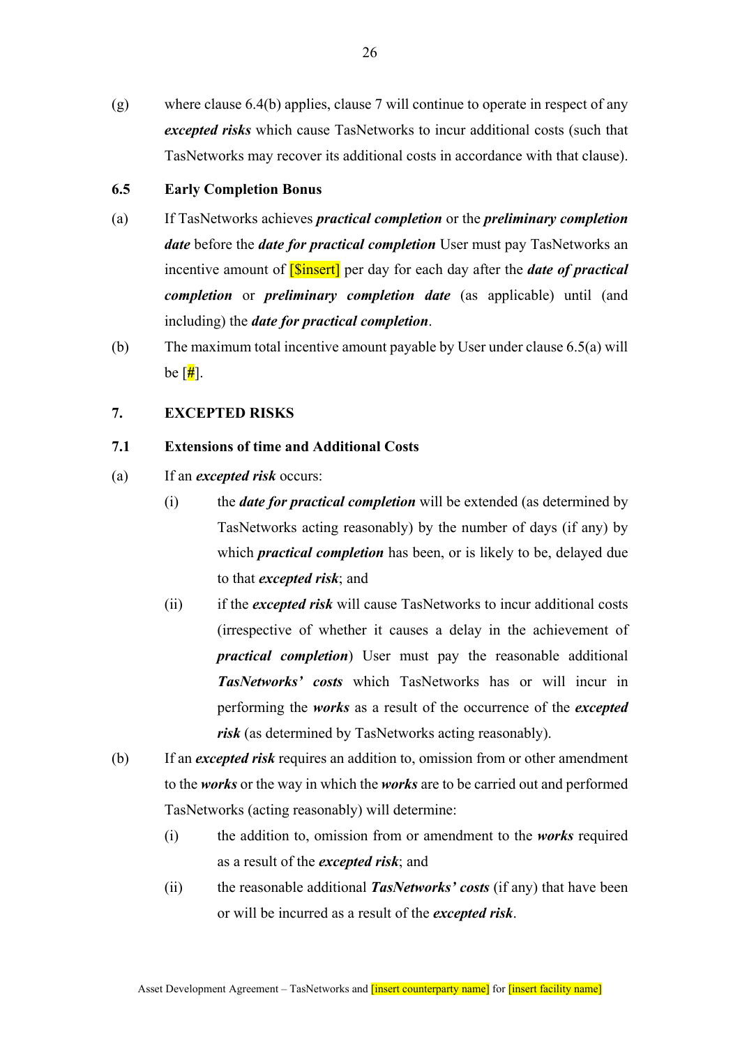(g) where clause 6.4(b) applies, clause 7 will continue to operate in respect of any *excepted risks* which cause TasNetworks to incur additional costs (such that TasNetworks may recover its additional costs in accordance with that clause).

## **6.5 Early Completion Bonus**

- (a) If TasNetworks achieves *practical completion* or the *preliminary completion date* before the *date for practical completion* User must pay TasNetworks an incentive amount of [\$insert] per day for each day after the *date of practical completion* or *preliminary completion date* (as applicable) until (and including) the *date for practical completion*.
- (b) The maximum total incentive amount payable by User under clause 6.5(a) will be [**#**].

#### **7. EXCEPTED RISKS**

## **7.1 Extensions of time and Additional Costs**

- (a) If an *excepted risk* occurs:
	- (i) the *date for practical completion* will be extended (as determined by TasNetworks acting reasonably) by the number of days (if any) by which *practical completion* has been, or is likely to be, delayed due to that *excepted risk*; and
	- (ii) if the *excepted risk* will cause TasNetworks to incur additional costs (irrespective of whether it causes a delay in the achievement of *practical completion*) User must pay the reasonable additional *TasNetworks' costs* which TasNetworks has or will incur in performing the *works* as a result of the occurrence of the *excepted risk* (as determined by TasNetworks acting reasonably).
- (b) If an *excepted risk* requires an addition to, omission from or other amendment to the *works* or the way in which the *works* are to be carried out and performed TasNetworks (acting reasonably) will determine:
	- (i) the addition to, omission from or amendment to the *works* required as a result of the *excepted risk*; and
	- (ii) the reasonable additional *TasNetworks' costs* (if any) that have been or will be incurred as a result of the *excepted risk*.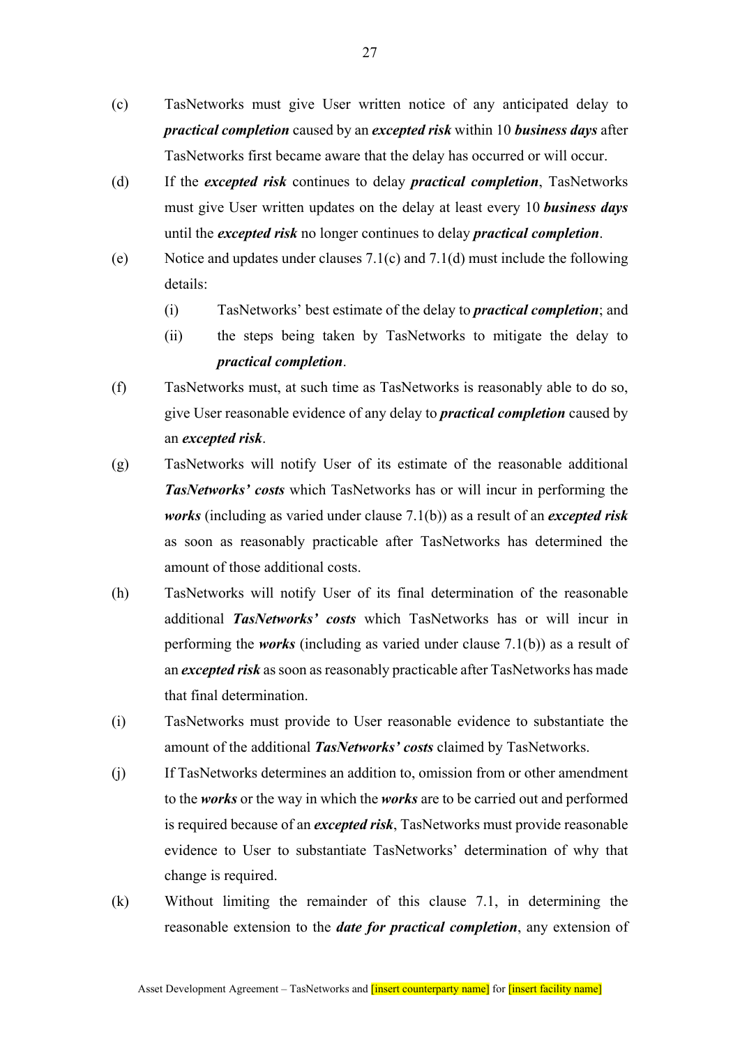- (c) TasNetworks must give User written notice of any anticipated delay to *practical completion* caused by an *excepted risk* within 10 *business days* after TasNetworks first became aware that the delay has occurred or will occur.
- (d) If the *excepted risk* continues to delay *practical completion*, TasNetworks must give User written updates on the delay at least every 10 *business days* until the *excepted risk* no longer continues to delay *practical completion*.
- (e) Notice and updates under clauses 7.1(c) and 7.1(d) must include the following details:
	- (i) TasNetworks' best estimate of the delay to *practical completion*; and
	- (ii) the steps being taken by TasNetworks to mitigate the delay to *practical completion*.
- (f) TasNetworks must, at such time as TasNetworks is reasonably able to do so, give User reasonable evidence of any delay to *practical completion* caused by an *excepted risk*.
- (g) TasNetworks will notify User of its estimate of the reasonable additional *TasNetworks' costs* which TasNetworks has or will incur in performing the *works* (including as varied under clause 7.1(b)) as a result of an *excepted risk* as soon as reasonably practicable after TasNetworks has determined the amount of those additional costs.
- (h) TasNetworks will notify User of its final determination of the reasonable additional *TasNetworks' costs* which TasNetworks has or will incur in performing the *works* (including as varied under clause 7.1(b)) as a result of an *excepted risk* as soon as reasonably practicable after TasNetworks has made that final determination.
- (i) TasNetworks must provide to User reasonable evidence to substantiate the amount of the additional *TasNetworks' costs* claimed by TasNetworks.
- (j) If TasNetworks determines an addition to, omission from or other amendment to the *works* or the way in which the *works* are to be carried out and performed is required because of an *excepted risk*, TasNetworks must provide reasonable evidence to User to substantiate TasNetworks' determination of why that change is required.
- (k) Without limiting the remainder of this clause 7.1, in determining the reasonable extension to the *date for practical completion*, any extension of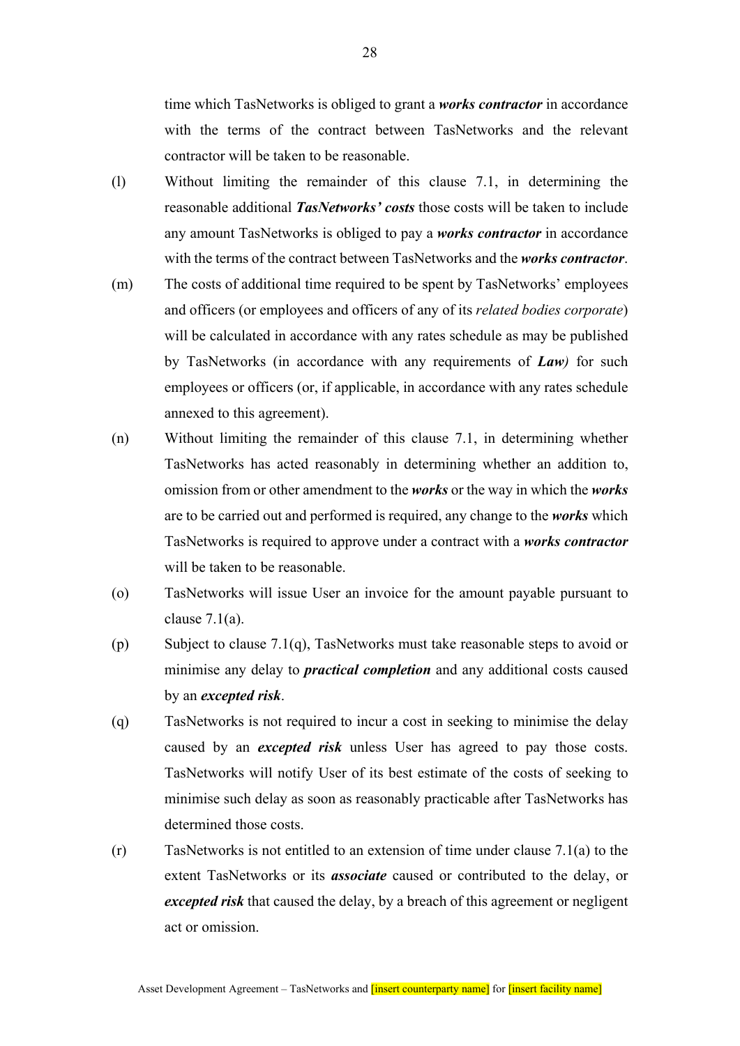time which TasNetworks is obliged to grant a *works contractor* in accordance with the terms of the contract between TasNetworks and the relevant contractor will be taken to be reasonable.

- (l) Without limiting the remainder of this clause 7.1, in determining the reasonable additional *TasNetworks' costs* those costs will be taken to include any amount TasNetworks is obliged to pay a *works contractor* in accordance with the terms of the contract between TasNetworks and the *works contractor*.
- (m) The costs of additional time required to be spent by TasNetworks' employees and officers (or employees and officers of any of its *related bodies corporate*) will be calculated in accordance with any rates schedule as may be published by TasNetworks (in accordance with any requirements of *Law)* for such employees or officers (or, if applicable, in accordance with any rates schedule annexed to this agreement).
- (n) Without limiting the remainder of this clause 7.1, in determining whether TasNetworks has acted reasonably in determining whether an addition to, omission from or other amendment to the *works* or the way in which the *works* are to be carried out and performed is required, any change to the *works* which TasNetworks is required to approve under a contract with a *works contractor* will be taken to be reasonable.
- (o) TasNetworks will issue User an invoice for the amount payable pursuant to clause  $7.1(a)$ .
- (p) Subject to clause 7.1(q), TasNetworks must take reasonable steps to avoid or minimise any delay to *practical completion* and any additional costs caused by an *excepted risk*.
- (q) TasNetworks is not required to incur a cost in seeking to minimise the delay caused by an *excepted risk* unless User has agreed to pay those costs. TasNetworks will notify User of its best estimate of the costs of seeking to minimise such delay as soon as reasonably practicable after TasNetworks has determined those costs.
- $(r)$  TasNetworks is not entitled to an extension of time under clause 7.1(a) to the extent TasNetworks or its *associate* caused or contributed to the delay, or *excepted risk* that caused the delay, by a breach of this agreement or negligent act or omission.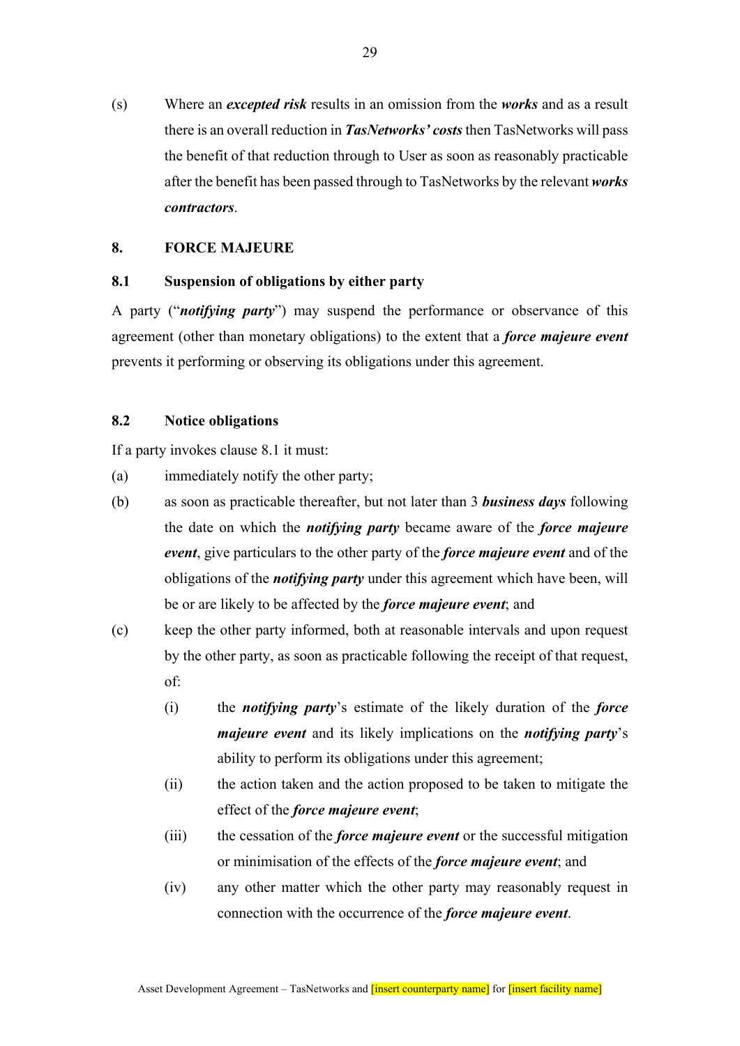(s) Where an *excepted risk* results in an omission from the *works* and as a result there is an overall reduction in *TasNetworks' costs* then TasNetworks will pass the benefit of that reduction through to User as soon as reasonably practicable after the benefit has been passed through to TasNetworks by the relevant *works contractors*.

#### **8. FORCE MAJEURE**

### **8.1 Suspension of obligations by either party**

A party ("*notifying party*") may suspend the performance or observance of this agreement (other than monetary obligations) to the extent that a *force majeure event* prevents it performing or observing its obligations under this agreement.

## **8.2 Notice obligations**

If a party invokes clause 8.1 it must:

- (a) immediately notify the other party;
- (b) as soon as practicable thereafter, but not later than 3 *business days* following the date on which the *notifying party* became aware of the *force majeure event*, give particulars to the other party of the *force majeure event* and of the obligations of the *notifying party* under this agreement which have been, will be or are likely to be affected by the *force majeure event*; and
- (c) keep the other party informed, both at reasonable intervals and upon request by the other party, as soon as practicable following the receipt of that request, of:
	- (i) the *notifying party*'s estimate of the likely duration of the *force majeure event* and its likely implications on the *notifying party*'s ability to perform its obligations under this agreement;
	- (ii) the action taken and the action proposed to be taken to mitigate the effect of the *force majeure event*;
	- (iii) the cessation of the *force majeure event* or the successful mitigation or minimisation of the effects of the *force majeure event*; and
	- (iv) any other matter which the other party may reasonably request in connection with the occurrence of the *force majeure event*.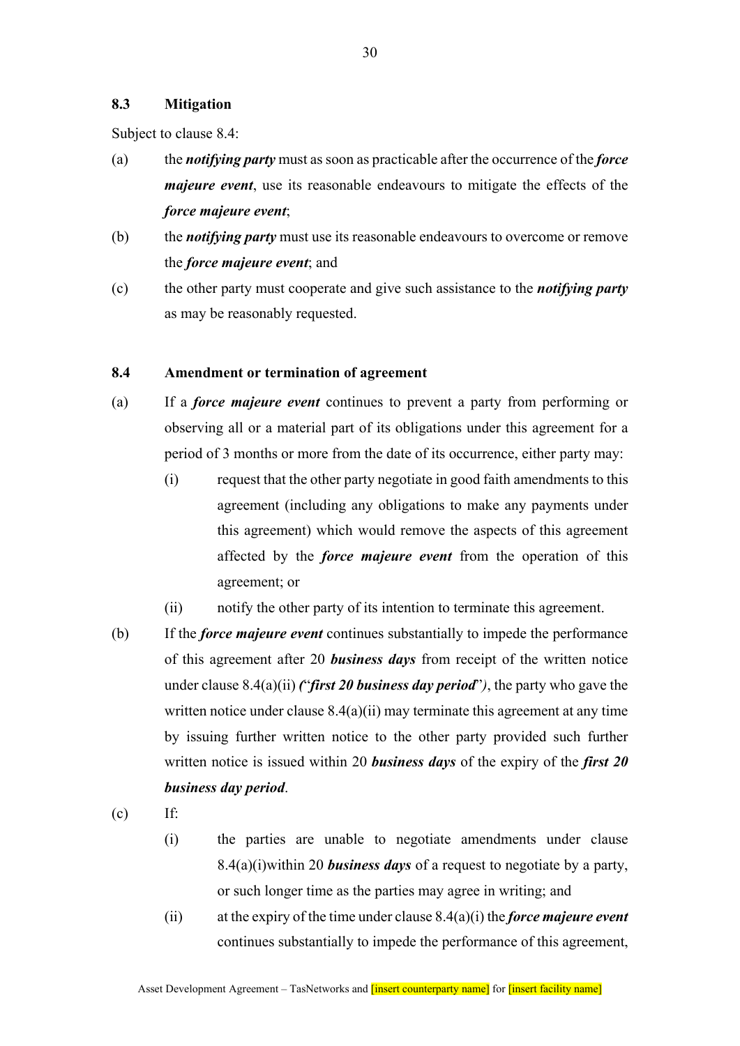### **8.3 Mitigation**

Subject to clause 8.4:

- (a) the *notifying party* must as soon as practicable after the occurrence of the *force majeure event*, use its reasonable endeavours to mitigate the effects of the *force majeure event*;
- (b) the *notifying party* must use its reasonable endeavours to overcome or remove the *force majeure event*; and
- (c) the other party must cooperate and give such assistance to the *notifying party* as may be reasonably requested.

#### **8.4 Amendment or termination of agreement**

- (a) If a *force majeure event* continues to prevent a party from performing or observing all or a material part of its obligations under this agreement for a period of 3 months or more from the date of its occurrence, either party may:
	- (i) request that the other party negotiate in good faith amendments to this agreement (including any obligations to make any payments under this agreement) which would remove the aspects of this agreement affected by the *force majeure event* from the operation of this agreement; or
	- (ii) notify the other party of its intention to terminate this agreement.
- (b) If the *force majeure event* continues substantially to impede the performance of this agreement after 20 *business days* from receipt of the written notice under clause 8.4(a)(ii) *(*"*first 20 business day period*"*)*, the party who gave the written notice under clause  $8.4(a)(ii)$  may terminate this agreement at any time by issuing further written notice to the other party provided such further written notice is issued within 20 *business days* of the expiry of the *first 20 business day period*.

 $(c)$  If:

- (i) the parties are unable to negotiate amendments under clause 8.4(a)(i)within 20 *business days* of a request to negotiate by a party, or such longer time as the parties may agree in writing; and
- (ii) at the expiry of the time under clause 8.4(a)(i) the *force majeure event* continues substantially to impede the performance of this agreement,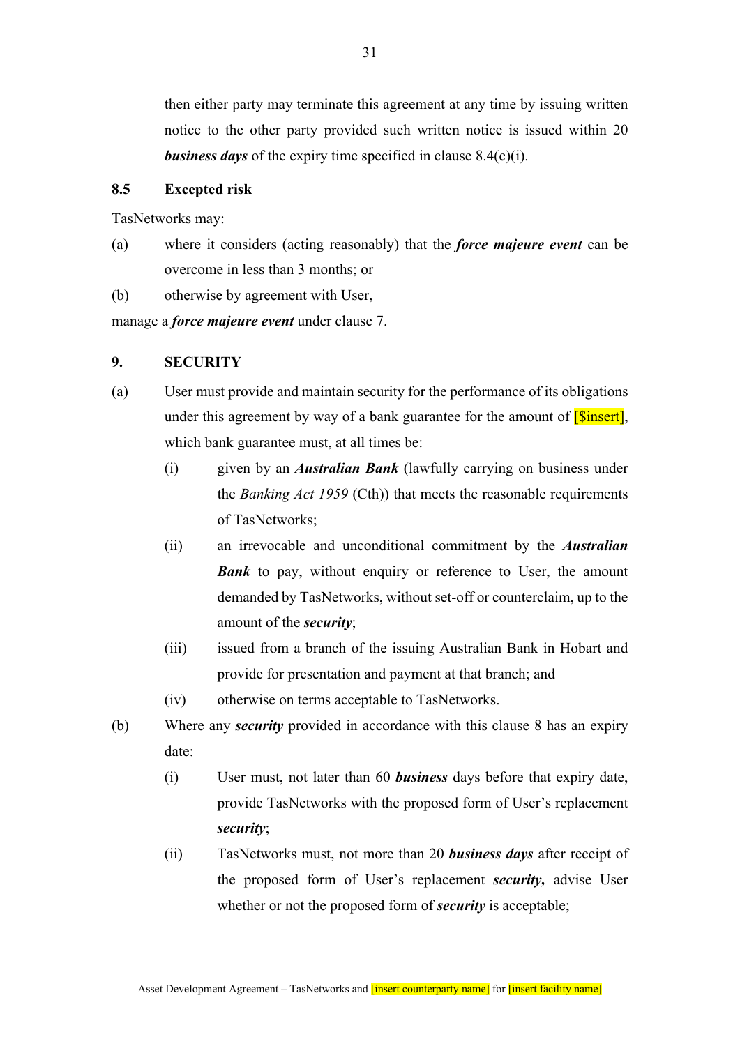then either party may terminate this agreement at any time by issuing written notice to the other party provided such written notice is issued within 20 *business days* of the expiry time specified in clause 8.4(c)(i).

### **8.5 Excepted risk**

TasNetworks may:

- (a) where it considers (acting reasonably) that the *force majeure event* can be overcome in less than 3 months; or
- (b) otherwise by agreement with User,

manage a *force majeure event* under clause 7.

## **9. SECURITY**

- (a) User must provide and maintain security for the performance of its obligations under this agreement by way of a bank guarantee for the amount of  $[Since t]$ , which bank guarantee must, at all times be:
	- (i) given by an *Australian Bank* (lawfully carrying on business under the *Banking Act 1959* (Cth)) that meets the reasonable requirements of TasNetworks;
	- (ii) an irrevocable and unconditional commitment by the *Australian*  **Bank** to pay, without enquiry or reference to User, the amount demanded by TasNetworks, without set-off or counterclaim, up to the amount of the *security*;
	- (iii) issued from a branch of the issuing Australian Bank in Hobart and provide for presentation and payment at that branch; and
	- (iv) otherwise on terms acceptable to TasNetworks.
- (b) Where any *security* provided in accordance with this clause 8 has an expiry date:
	- (i) User must, not later than 60 *business* days before that expiry date, provide TasNetworks with the proposed form of User's replacement *security*;
	- (ii) TasNetworks must, not more than 20 *business days* after receipt of the proposed form of User's replacement *security,* advise User whether or not the proposed form of *security* is acceptable;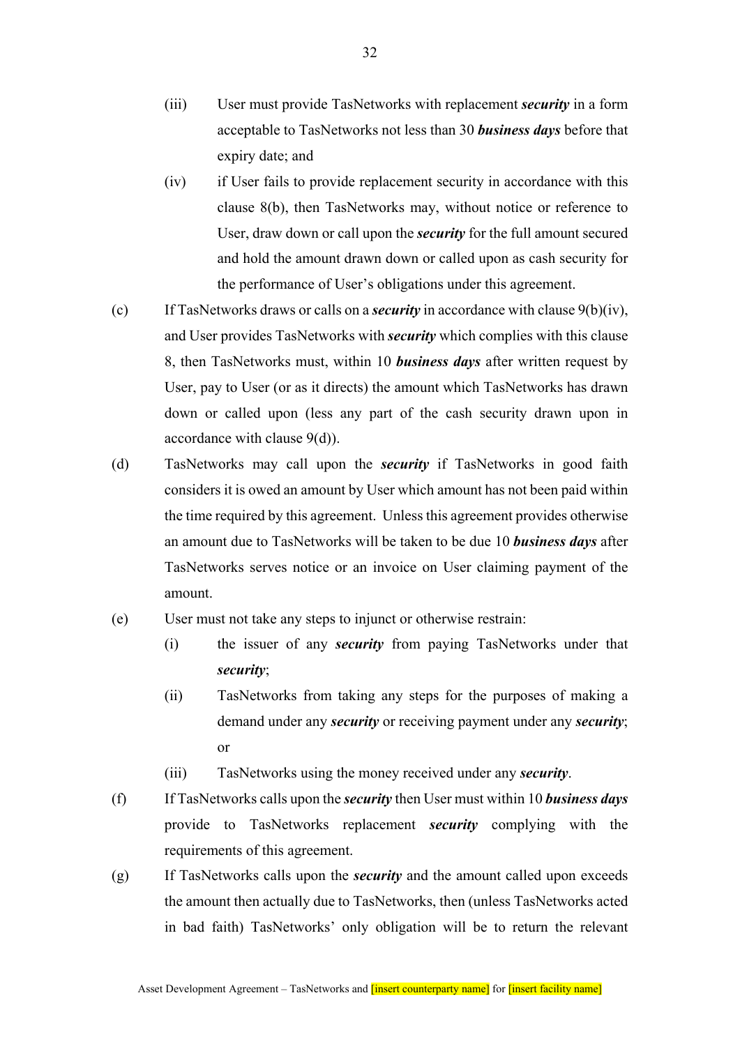- (iii) User must provide TasNetworks with replacement *security* in a form acceptable to TasNetworks not less than 30 *business days* before that expiry date; and
- (iv) if User fails to provide replacement security in accordance with this clause 8(b), then TasNetworks may, without notice or reference to User, draw down or call upon the *security* for the full amount secured and hold the amount drawn down or called upon as cash security for the performance of User's obligations under this agreement.
- (c) If TasNetworks draws or calls on a *security* in accordance with clause 9(b)(iv), and User provides TasNetworks with *security* which complies with this clause 8, then TasNetworks must, within 10 *business days* after written request by User, pay to User (or as it directs) the amount which TasNetworks has drawn down or called upon (less any part of the cash security drawn upon in accordance with clause 9(d)).
- (d) TasNetworks may call upon the *security* if TasNetworks in good faith considers it is owed an amount by User which amount has not been paid within the time required by this agreement. Unless this agreement provides otherwise an amount due to TasNetworks will be taken to be due 10 *business days* after TasNetworks serves notice or an invoice on User claiming payment of the amount.
- (e) User must not take any steps to injunct or otherwise restrain:
	- (i) the issuer of any *security* from paying TasNetworks under that *security*;
	- (ii) TasNetworks from taking any steps for the purposes of making a demand under any *security* or receiving payment under any *security*; or
	- (iii) TasNetworks using the money received under any *security*.
- (f) If TasNetworks calls upon the *security* then User must within 10 *business days* provide to TasNetworks replacement *security* complying with the requirements of this agreement.
- (g) If TasNetworks calls upon the *security* and the amount called upon exceeds the amount then actually due to TasNetworks, then (unless TasNetworks acted in bad faith) TasNetworks' only obligation will be to return the relevant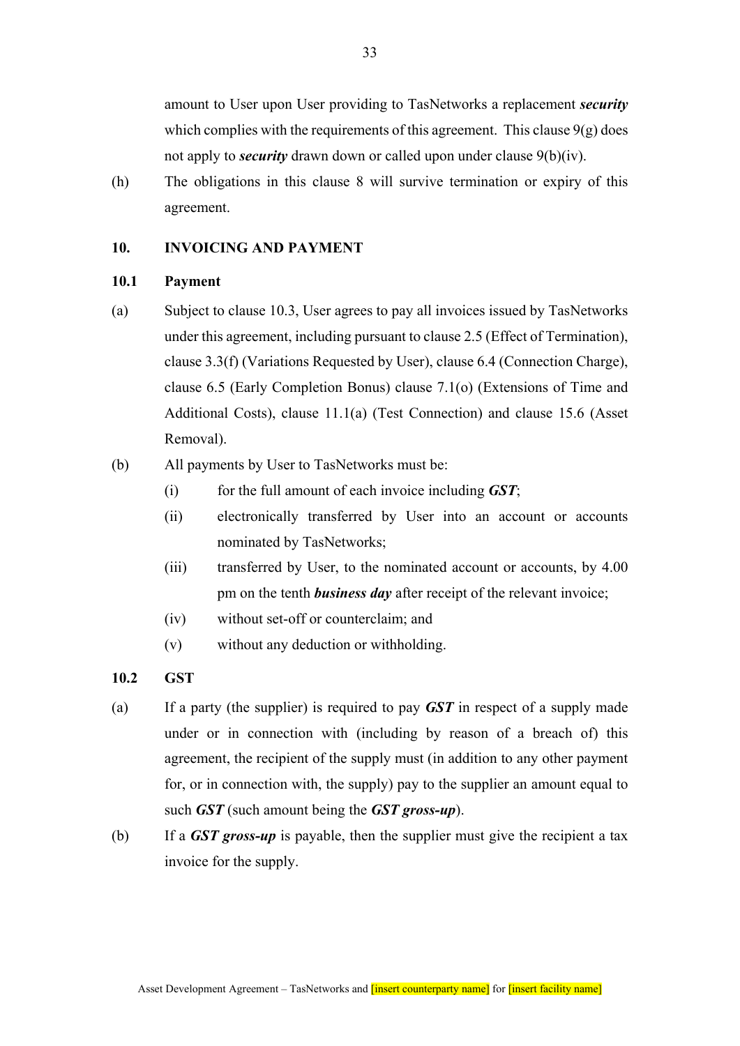amount to User upon User providing to TasNetworks a replacement *security* which complies with the requirements of this agreement. This clause  $9(g)$  does not apply to *security* drawn down or called upon under clause 9(b)(iv).

(h) The obligations in this clause 8 will survive termination or expiry of this agreement.

## **10. INVOICING AND PAYMENT**

## **10.1 Payment**

- (a) Subject to clause 10.3, User agrees to pay all invoices issued by TasNetworks under this agreement, including pursuant to clause 2.5 (Effect of Termination), clause 3.3(f) (Variations Requested by User), clause 6.4 (Connection Charge), clause 6.5 (Early Completion Bonus) clause 7.1(o) (Extensions of Time and Additional Costs), clause 11.1(a) (Test Connection) and clause 15.6 (Asset Removal).
- (b) All payments by User to TasNetworks must be:
	- (i) for the full amount of each invoice including *GST*;
	- (ii) electronically transferred by User into an account or accounts nominated by TasNetworks;
	- (iii) transferred by User, to the nominated account or accounts, by 4.00 pm on the tenth *business day* after receipt of the relevant invoice;
	- (iv) without set-off or counterclaim; and
	- (v) without any deduction or withholding.

## **10.2 GST**

- (a) If a party (the supplier) is required to pay *GST* in respect of a supply made under or in connection with (including by reason of a breach of) this agreement, the recipient of the supply must (in addition to any other payment for, or in connection with, the supply) pay to the supplier an amount equal to such *GST* (such amount being the *GST gross-up*).
- (b) If a *GST gross-up* is payable, then the supplier must give the recipient a tax invoice for the supply.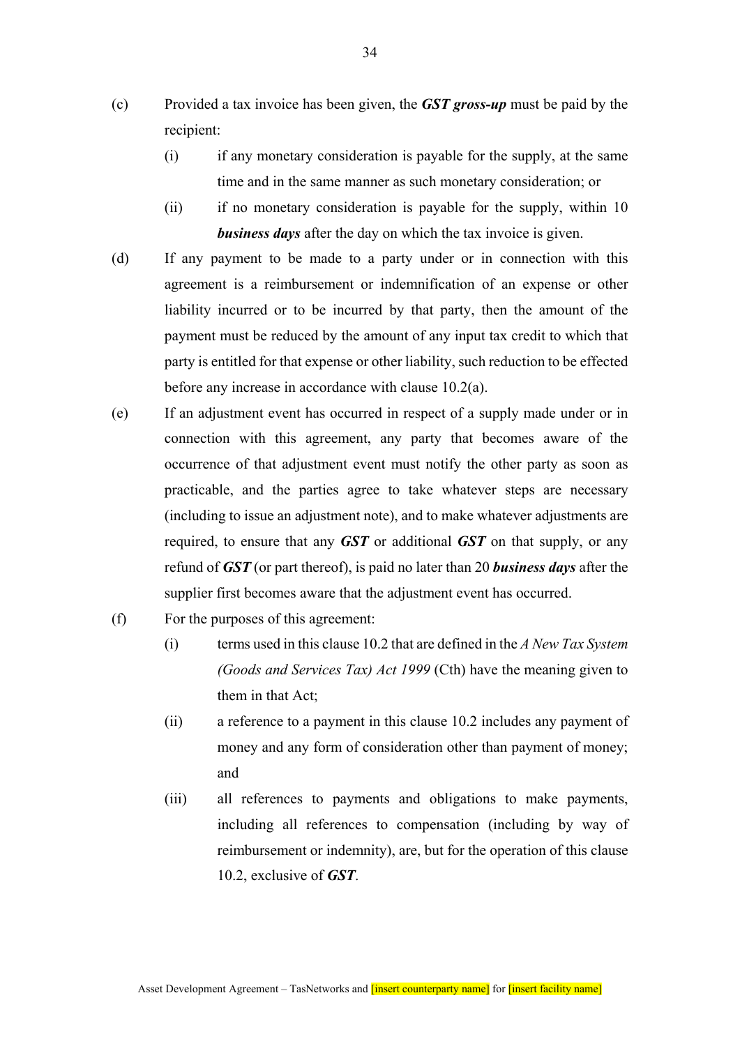- (c) Provided a tax invoice has been given, the *GST gross-up* must be paid by the recipient:
	- (i) if any monetary consideration is payable for the supply, at the same time and in the same manner as such monetary consideration; or
	- (ii) if no monetary consideration is payable for the supply, within 10 *business days* after the day on which the tax invoice is given.
- (d) If any payment to be made to a party under or in connection with this agreement is a reimbursement or indemnification of an expense or other liability incurred or to be incurred by that party, then the amount of the payment must be reduced by the amount of any input tax credit to which that party is entitled for that expense or other liability, such reduction to be effected before any increase in accordance with clause 10.2(a).
- (e) If an adjustment event has occurred in respect of a supply made under or in connection with this agreement, any party that becomes aware of the occurrence of that adjustment event must notify the other party as soon as practicable, and the parties agree to take whatever steps are necessary (including to issue an adjustment note), and to make whatever adjustments are required, to ensure that any *GST* or additional *GST* on that supply, or any refund of *GST* (or part thereof), is paid no later than 20 *business days* after the supplier first becomes aware that the adjustment event has occurred.
- (f) For the purposes of this agreement:
	- (i) terms used in this clause 10.2 that are defined in the *A New Tax System (Goods and Services Tax) Act 1999* (Cth) have the meaning given to them in that Act;
	- (ii) a reference to a payment in this clause 10.2 includes any payment of money and any form of consideration other than payment of money; and
	- (iii) all references to payments and obligations to make payments, including all references to compensation (including by way of reimbursement or indemnity), are, but for the operation of this clause 10.2, exclusive of *GST*.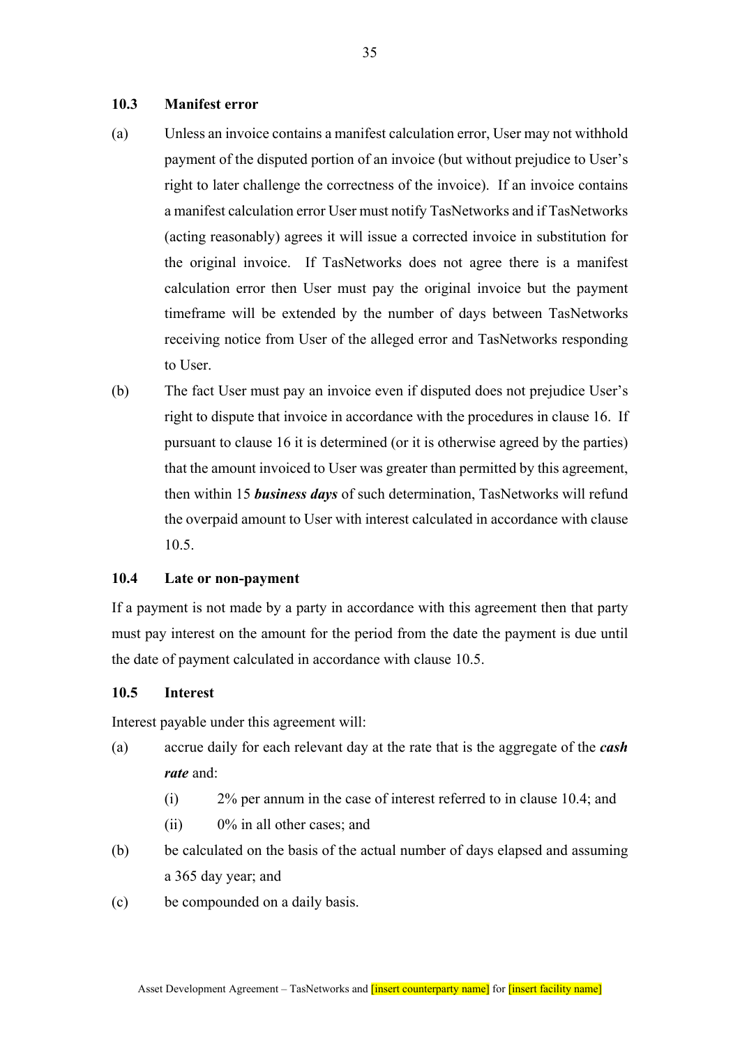### **10.3 Manifest error**

- (a) Unless an invoice contains a manifest calculation error, User may not withhold payment of the disputed portion of an invoice (but without prejudice to User's right to later challenge the correctness of the invoice). If an invoice contains a manifest calculation error User must notify TasNetworks and if TasNetworks (acting reasonably) agrees it will issue a corrected invoice in substitution for the original invoice. If TasNetworks does not agree there is a manifest calculation error then User must pay the original invoice but the payment timeframe will be extended by the number of days between TasNetworks receiving notice from User of the alleged error and TasNetworks responding to User.
- (b) The fact User must pay an invoice even if disputed does not prejudice User's right to dispute that invoice in accordance with the procedures in clause 16. If pursuant to clause 16 it is determined (or it is otherwise agreed by the parties) that the amount invoiced to User was greater than permitted by this agreement, then within 15 *business days* of such determination, TasNetworks will refund the overpaid amount to User with interest calculated in accordance with clause 10.5.

### **10.4 Late or non-payment**

If a payment is not made by a party in accordance with this agreement then that party must pay interest on the amount for the period from the date the payment is due until the date of payment calculated in accordance with clause 10.5.

#### **10.5 Interest**

Interest payable under this agreement will:

- (a) accrue daily for each relevant day at the rate that is the aggregate of the *cash rate* and:
	- (i) 2% per annum in the case of interest referred to in clause 10.4; and
	- (ii) 0% in all other cases; and
- (b) be calculated on the basis of the actual number of days elapsed and assuming a 365 day year; and
- (c) be compounded on a daily basis.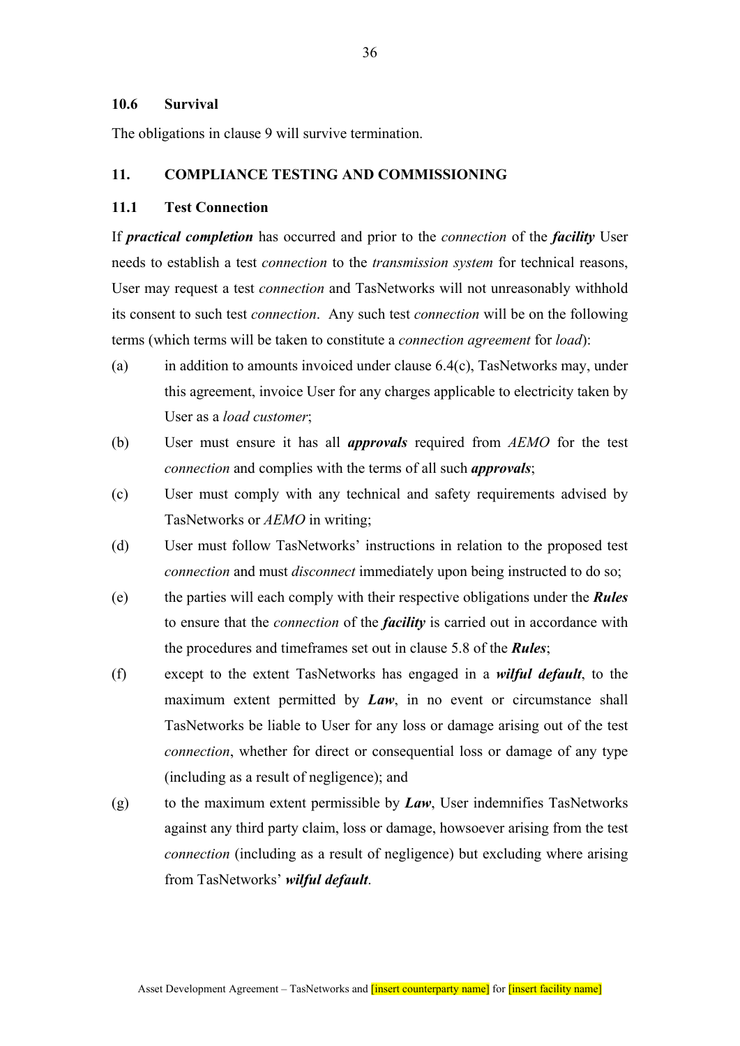### **10.6 Survival**

The obligations in clause 9 will survive termination.

### **11. COMPLIANCE TESTING AND COMMISSIONING**

#### **11.1 Test Connection**

If *practical completion* has occurred and prior to the *connection* of the *facility* User needs to establish a test *connection* to the *transmission system* for technical reasons, User may request a test *connection* and TasNetworks will not unreasonably withhold its consent to such test *connection*. Any such test *connection* will be on the following terms (which terms will be taken to constitute a *connection agreement* for *load*):

- (a) in addition to amounts invoiced under clause 6.4(c), TasNetworks may, under this agreement, invoice User for any charges applicable to electricity taken by User as a *load customer*;
- (b) User must ensure it has all *approvals* required from *AEMO* for the test *connection* and complies with the terms of all such *approvals*;
- (c) User must comply with any technical and safety requirements advised by TasNetworks or *AEMO* in writing;
- (d) User must follow TasNetworks' instructions in relation to the proposed test *connection* and must *disconnect* immediately upon being instructed to do so;
- (e) the parties will each comply with their respective obligations under the *Rules* to ensure that the *connection* of the *facility* is carried out in accordance with the procedures and timeframes set out in clause 5.8 of the *Rules*;
- (f) except to the extent TasNetworks has engaged in a *wilful default*, to the maximum extent permitted by *Law*, in no event or circumstance shall TasNetworks be liable to User for any loss or damage arising out of the test *connection*, whether for direct or consequential loss or damage of any type (including as a result of negligence); and
- (g) to the maximum extent permissible by *Law*, User indemnifies TasNetworks against any third party claim, loss or damage, howsoever arising from the test *connection* (including as a result of negligence) but excluding where arising from TasNetworks' *wilful default*.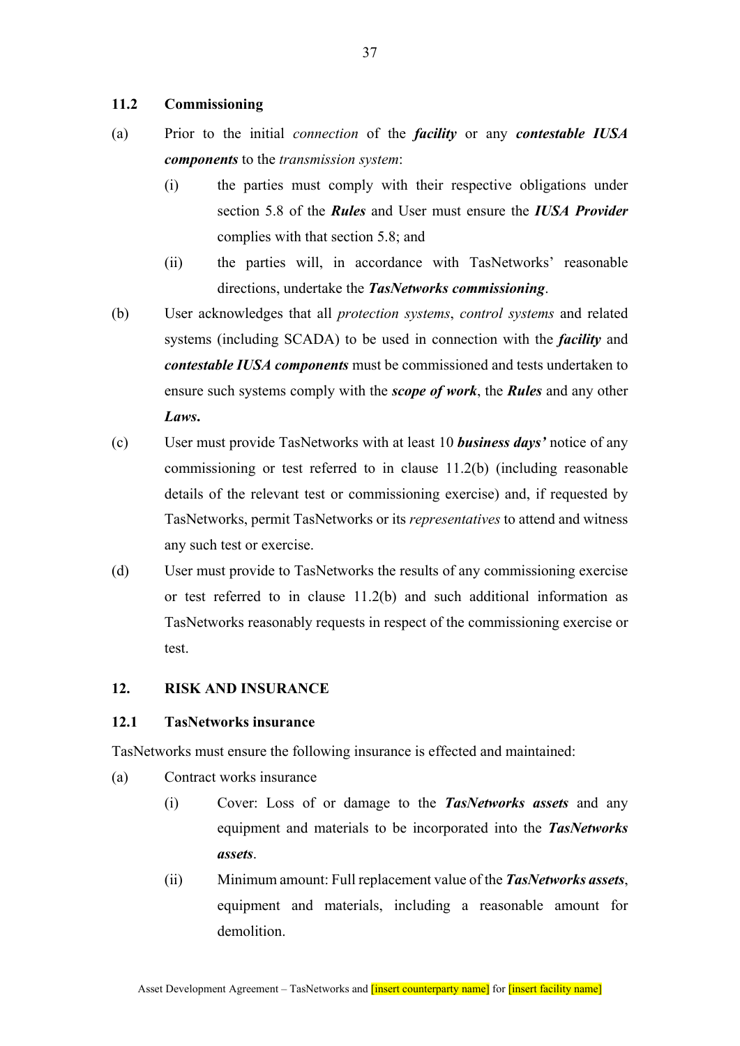### **11.2 Commissioning**

- (a) Prior to the initial *connection* of the *facility* or any *contestable IUSA components* to the *transmission system*:
	- (i) the parties must comply with their respective obligations under section 5.8 of the *Rules* and User must ensure the *IUSA Provider* complies with that section 5.8; and
	- (ii) the parties will, in accordance with TasNetworks' reasonable directions, undertake the *TasNetworks commissioning*.
- (b) User acknowledges that all *protection systems*, *control systems* and related systems (including SCADA) to be used in connection with the *facility* and *contestable IUSA components* must be commissioned and tests undertaken to ensure such systems comply with the *scope of work*, the *Rules* and any other *Laws***.**
- (c) User must provide TasNetworks with at least 10 *business days'* notice of any commissioning or test referred to in clause 11.2(b) (including reasonable details of the relevant test or commissioning exercise) and, if requested by TasNetworks, permit TasNetworks or its *representatives* to attend and witness any such test or exercise.
- (d) User must provide to TasNetworks the results of any commissioning exercise or test referred to in clause 11.2(b) and such additional information as TasNetworks reasonably requests in respect of the commissioning exercise or test.

## **12. RISK AND INSURANCE**

### **12.1 TasNetworks insurance**

TasNetworks must ensure the following insurance is effected and maintained:

- (a) Contract works insurance
	- (i) Cover: Loss of or damage to the *TasNetworks assets* and any equipment and materials to be incorporated into the *TasNetworks assets*.
	- (ii) Minimum amount: Full replacement value of the *TasNetworks assets*, equipment and materials, including a reasonable amount for demolition.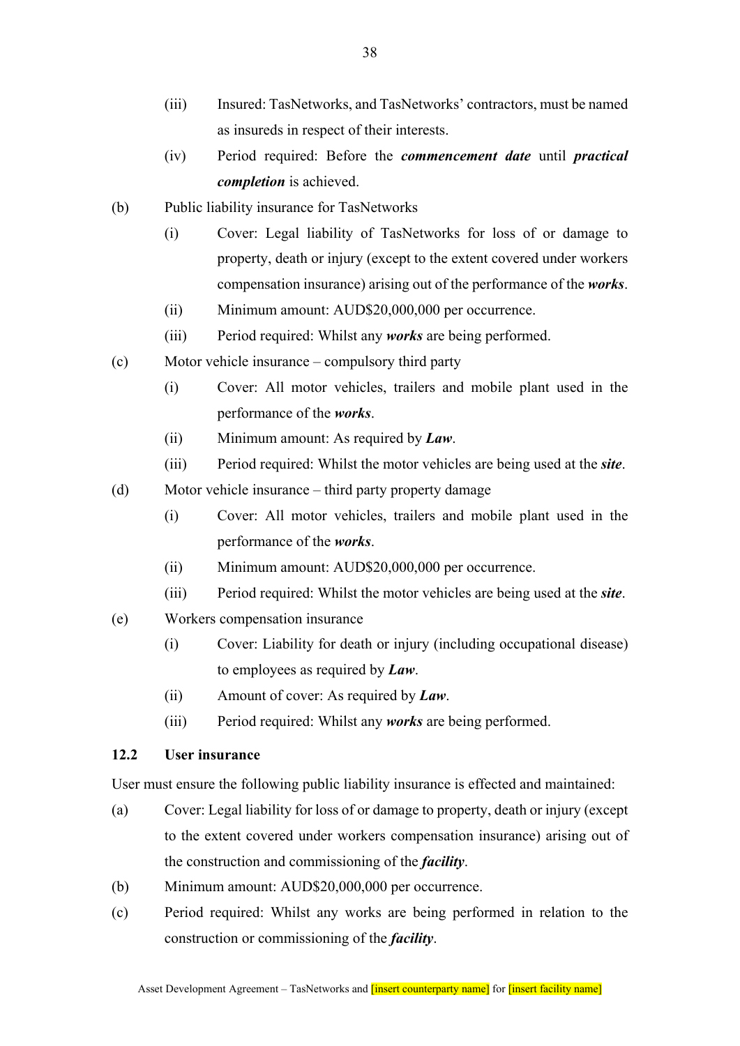- (iii) Insured: TasNetworks, and TasNetworks' contractors, must be named as insureds in respect of their interests.
- (iv) Period required: Before the *commencement date* until *practical completion* is achieved.
- (b) Public liability insurance for TasNetworks
	- (i) Cover: Legal liability of TasNetworks for loss of or damage to property, death or injury (except to the extent covered under workers compensation insurance) arising out of the performance of the *works*.
	- (ii) Minimum amount: AUD\$20,000,000 per occurrence.
	- (iii) Period required: Whilst any *works* are being performed.
- (c) Motor vehicle insurance compulsory third party
	- (i) Cover: All motor vehicles, trailers and mobile plant used in the performance of the *works*.
	- (ii) Minimum amount: As required by *Law*.
	- (iii) Period required: Whilst the motor vehicles are being used at the *site*.
- (d) Motor vehicle insurance third party property damage
	- (i) Cover: All motor vehicles, trailers and mobile plant used in the performance of the *works*.
	- (ii) Minimum amount: AUD\$20,000,000 per occurrence.
	- (iii) Period required: Whilst the motor vehicles are being used at the *site*.
- (e) Workers compensation insurance
	- (i) Cover: Liability for death or injury (including occupational disease) to employees as required by *Law*.
	- (ii) Amount of cover: As required by *Law*.
	- (iii) Period required: Whilst any *works* are being performed.

## **12.2 User insurance**

User must ensure the following public liability insurance is effected and maintained:

- (a) Cover: Legal liability for loss of or damage to property, death or injury (except to the extent covered under workers compensation insurance) arising out of the construction and commissioning of the *facility*.
- (b) Minimum amount: AUD\$20,000,000 per occurrence.
- (c) Period required: Whilst any works are being performed in relation to the construction or commissioning of the *facility*.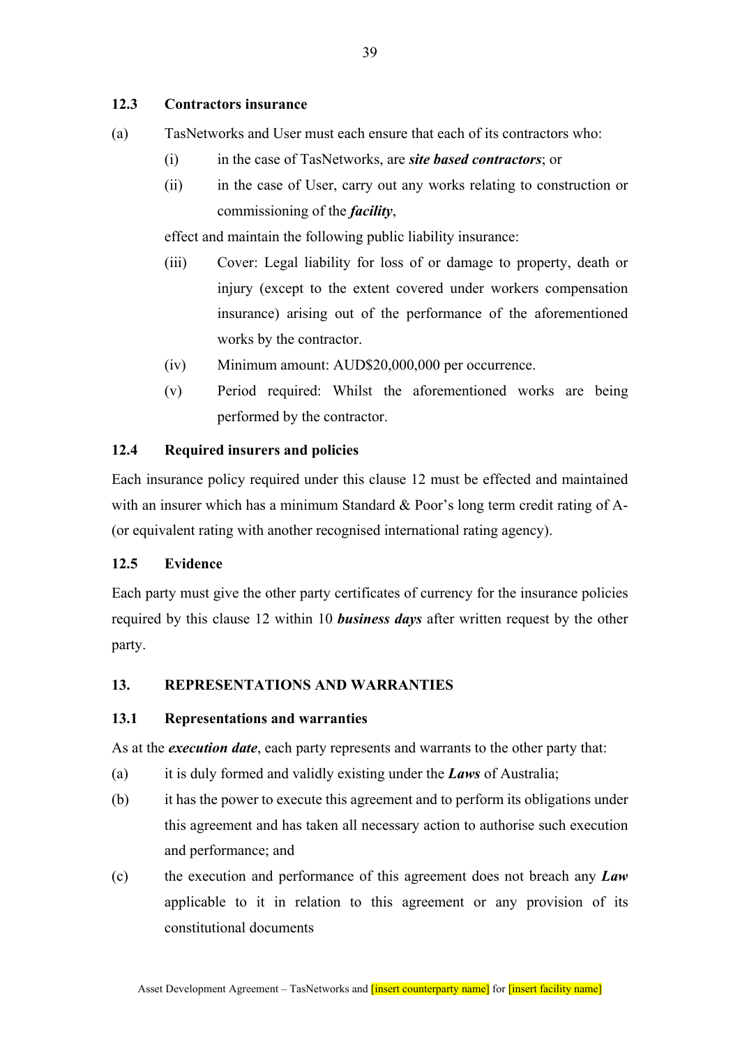## **12.3 Contractors insurance**

- (a) TasNetworks and User must each ensure that each of its contractors who:
	- (i) in the case of TasNetworks, are *site based contractors*; or
	- (ii) in the case of User, carry out any works relating to construction or commissioning of the *facility*,

effect and maintain the following public liability insurance:

- (iii) Cover: Legal liability for loss of or damage to property, death or injury (except to the extent covered under workers compensation insurance) arising out of the performance of the aforementioned works by the contractor.
- (iv) Minimum amount: AUD\$20,000,000 per occurrence.
- (v) Period required: Whilst the aforementioned works are being performed by the contractor.

### **12.4 Required insurers and policies**

Each insurance policy required under this clause 12 must be effected and maintained with an insurer which has a minimum Standard & Poor's long term credit rating of A-(or equivalent rating with another recognised international rating agency).

### **12.5 Evidence**

Each party must give the other party certificates of currency for the insurance policies required by this clause 12 within 10 *business days* after written request by the other party.

#### **13. REPRESENTATIONS AND WARRANTIES**

#### **13.1 Representations and warranties**

As at the *execution date*, each party represents and warrants to the other party that:

- (a) it is duly formed and validly existing under the *Laws* of Australia;
- (b) it has the power to execute this agreement and to perform its obligations under this agreement and has taken all necessary action to authorise such execution and performance; and
- (c) the execution and performance of this agreement does not breach any *Law* applicable to it in relation to this agreement or any provision of its constitutional documents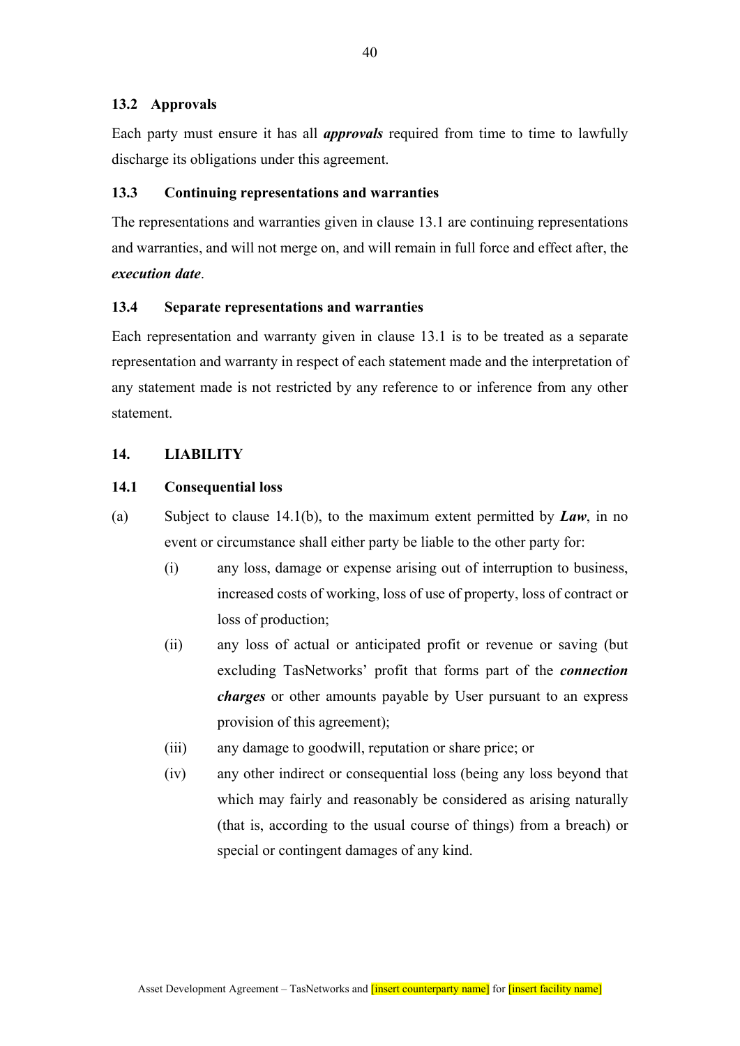### **13.2 Approvals**

Each party must ensure it has all *approvals* required from time to time to lawfully discharge its obligations under this agreement.

#### **13.3 Continuing representations and warranties**

The representations and warranties given in clause 13.1 are continuing representations and warranties, and will not merge on, and will remain in full force and effect after, the *execution date*.

## **13.4 Separate representations and warranties**

Each representation and warranty given in clause 13.1 is to be treated as a separate representation and warranty in respect of each statement made and the interpretation of any statement made is not restricted by any reference to or inference from any other statement.

#### **14. LIABILITY**

## **14.1 Consequential loss**

- (a) Subject to clause 14.1(b), to the maximum extent permitted by *Law*, in no event or circumstance shall either party be liable to the other party for:
	- (i) any loss, damage or expense arising out of interruption to business, increased costs of working, loss of use of property, loss of contract or loss of production;
	- (ii) any loss of actual or anticipated profit or revenue or saving (but excluding TasNetworks' profit that forms part of the *connection charges* or other amounts payable by User pursuant to an express provision of this agreement);
	- (iii) any damage to goodwill, reputation or share price; or
	- (iv) any other indirect or consequential loss (being any loss beyond that which may fairly and reasonably be considered as arising naturally (that is, according to the usual course of things) from a breach) or special or contingent damages of any kind.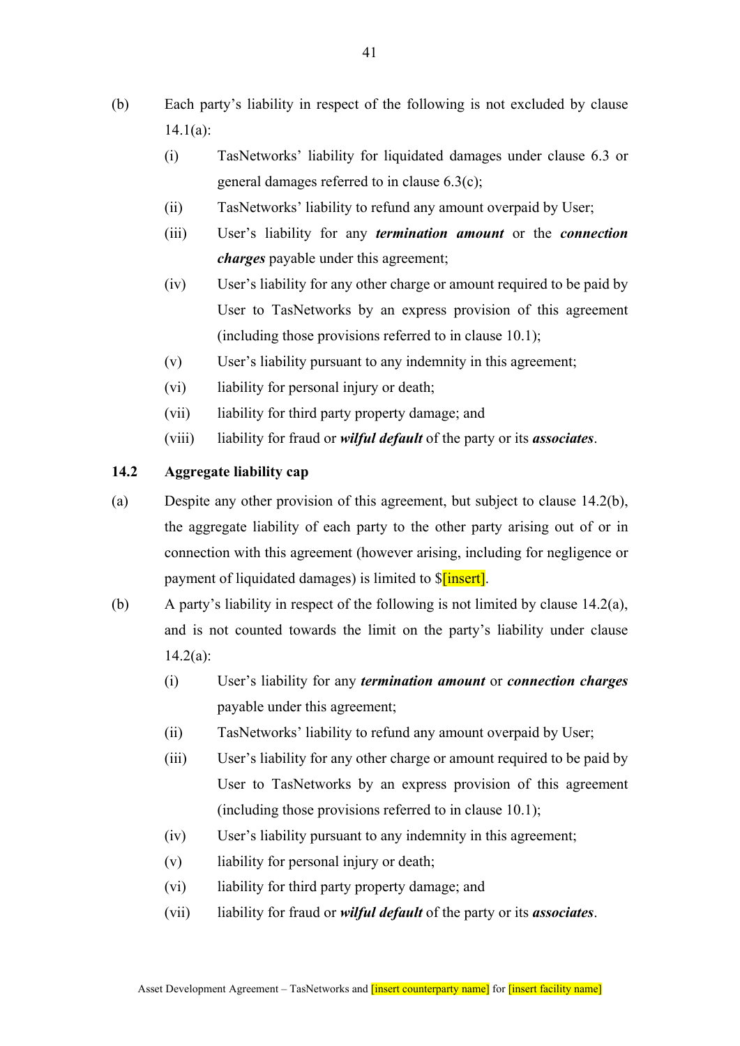- (b) Each party's liability in respect of the following is not excluded by clause 14.1(a):
	- (i) TasNetworks' liability for liquidated damages under clause 6.3 or general damages referred to in clause 6.3(c);
	- (ii) TasNetworks' liability to refund any amount overpaid by User;
	- (iii) User's liability for any *termination amount* or the *connection charges* payable under this agreement;
	- (iv) User's liability for any other charge or amount required to be paid by User to TasNetworks by an express provision of this agreement (including those provisions referred to in clause 10.1);
	- (v) User's liability pursuant to any indemnity in this agreement;
	- (vi) liability for personal injury or death;
	- (vii) liability for third party property damage; and
	- (viii) liability for fraud or *wilful default* of the party or its *associates*.

## **14.2 Aggregate liability cap**

- (a) Despite any other provision of this agreement, but subject to clause 14.2(b), the aggregate liability of each party to the other party arising out of or in connection with this agreement (however arising, including for negligence or payment of liquidated damages) is limited to  $\[\delta$ [insert].
- (b) A party's liability in respect of the following is not limited by clause 14.2(a), and is not counted towards the limit on the party's liability under clause  $14.2(a)$ :
	- (i) User's liability for any *termination amount* or *connection charges*  payable under this agreement;
	- (ii) TasNetworks' liability to refund any amount overpaid by User;
	- (iii) User's liability for any other charge or amount required to be paid by User to TasNetworks by an express provision of this agreement (including those provisions referred to in clause 10.1);
	- (iv) User's liability pursuant to any indemnity in this agreement;
	- (v) liability for personal injury or death;
	- (vi) liability for third party property damage; and
	- (vii) liability for fraud or *wilful default* of the party or its *associates*.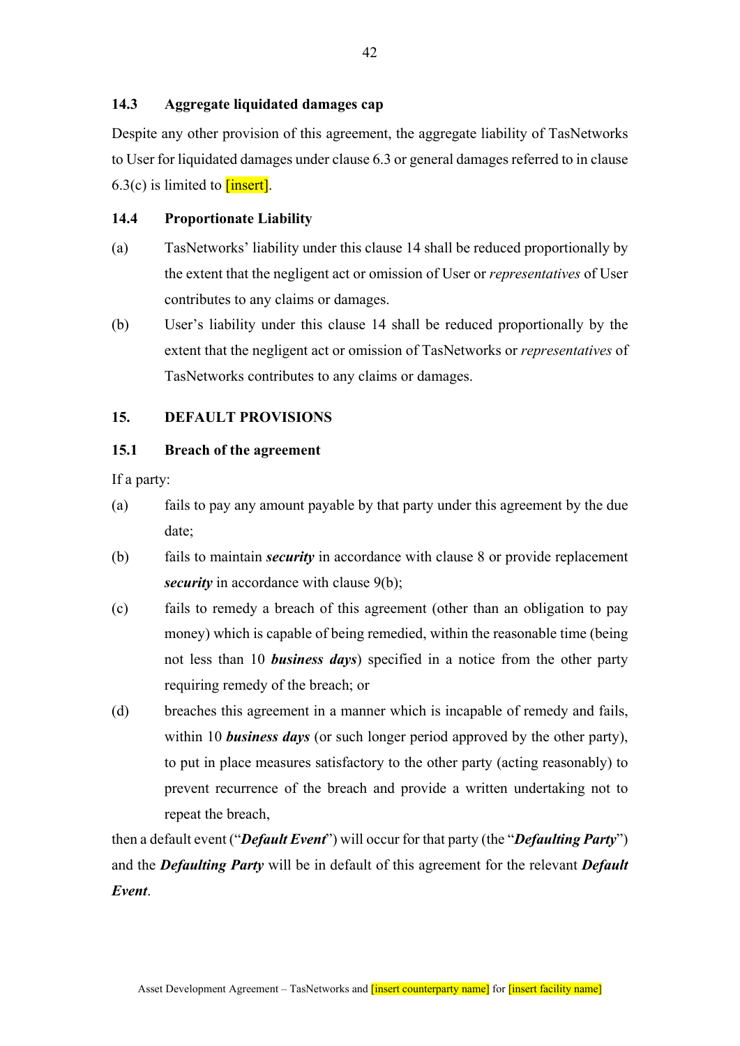## **14.3 Aggregate liquidated damages cap**

Despite any other provision of this agreement, the aggregate liability of TasNetworks to User for liquidated damages under clause 6.3 or general damages referred to in clause  $6.3(c)$  is limited to **[insert]**.

## **14.4 Proportionate Liability**

- (a) TasNetworks' liability under this clause 14 shall be reduced proportionally by the extent that the negligent act or omission of User or *representatives* of User contributes to any claims or damages.
- (b) User's liability under this clause 14 shall be reduced proportionally by the extent that the negligent act or omission of TasNetworks or *representatives* of TasNetworks contributes to any claims or damages.

## **15. DEFAULT PROVISIONS**

#### **15.1 Breach of the agreement**

If a party:

- (a) fails to pay any amount payable by that party under this agreement by the due date;
- (b) fails to maintain *security* in accordance with clause 8 or provide replacement *security* in accordance with clause 9(b);
- (c) fails to remedy a breach of this agreement (other than an obligation to pay money) which is capable of being remedied, within the reasonable time (being not less than 10 *business days*) specified in a notice from the other party requiring remedy of the breach; or
- (d) breaches this agreement in a manner which is incapable of remedy and fails, within 10 *business days* (or such longer period approved by the other party), to put in place measures satisfactory to the other party (acting reasonably) to prevent recurrence of the breach and provide a written undertaking not to repeat the breach,

then a default event ("*Default Event*") will occur for that party (the "*Defaulting Party*") and the *Defaulting Party* will be in default of this agreement for the relevant *Default Event*.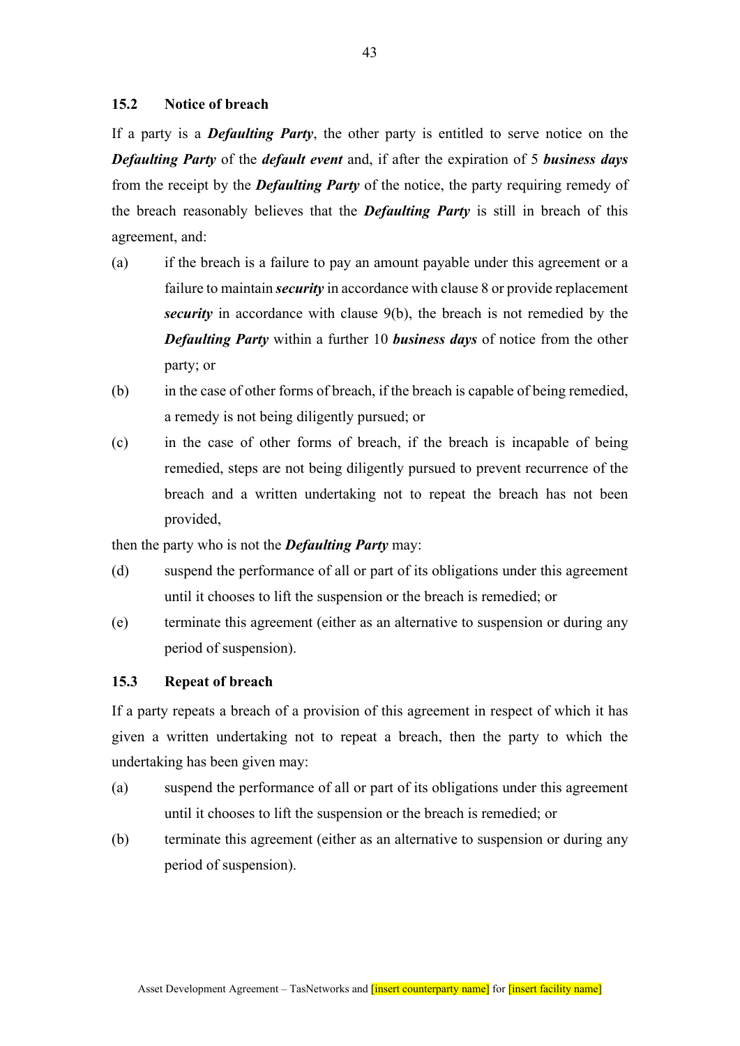## **15.2 Notice of breach**

If a party is a *Defaulting Party*, the other party is entitled to serve notice on the *Defaulting Party* of the *default event* and, if after the expiration of 5 *business days* from the receipt by the *Defaulting Party* of the notice, the party requiring remedy of the breach reasonably believes that the *Defaulting Party* is still in breach of this agreement, and:

- (a) if the breach is a failure to pay an amount payable under this agreement or a failure to maintain *security* in accordance with clause 8 or provide replacement *security* in accordance with clause 9(b), the breach is not remedied by the *Defaulting Party* within a further 10 *business days* of notice from the other party; or
- (b) in the case of other forms of breach, if the breach is capable of being remedied, a remedy is not being diligently pursued; or
- (c) in the case of other forms of breach, if the breach is incapable of being remedied, steps are not being diligently pursued to prevent recurrence of the breach and a written undertaking not to repeat the breach has not been provided,

then the party who is not the *Defaulting Party* may:

- (d) suspend the performance of all or part of its obligations under this agreement until it chooses to lift the suspension or the breach is remedied; or
- (e) terminate this agreement (either as an alternative to suspension or during any period of suspension).

#### **15.3 Repeat of breach**

If a party repeats a breach of a provision of this agreement in respect of which it has given a written undertaking not to repeat a breach, then the party to which the undertaking has been given may:

- (a) suspend the performance of all or part of its obligations under this agreement until it chooses to lift the suspension or the breach is remedied; or
- (b) terminate this agreement (either as an alternative to suspension or during any period of suspension).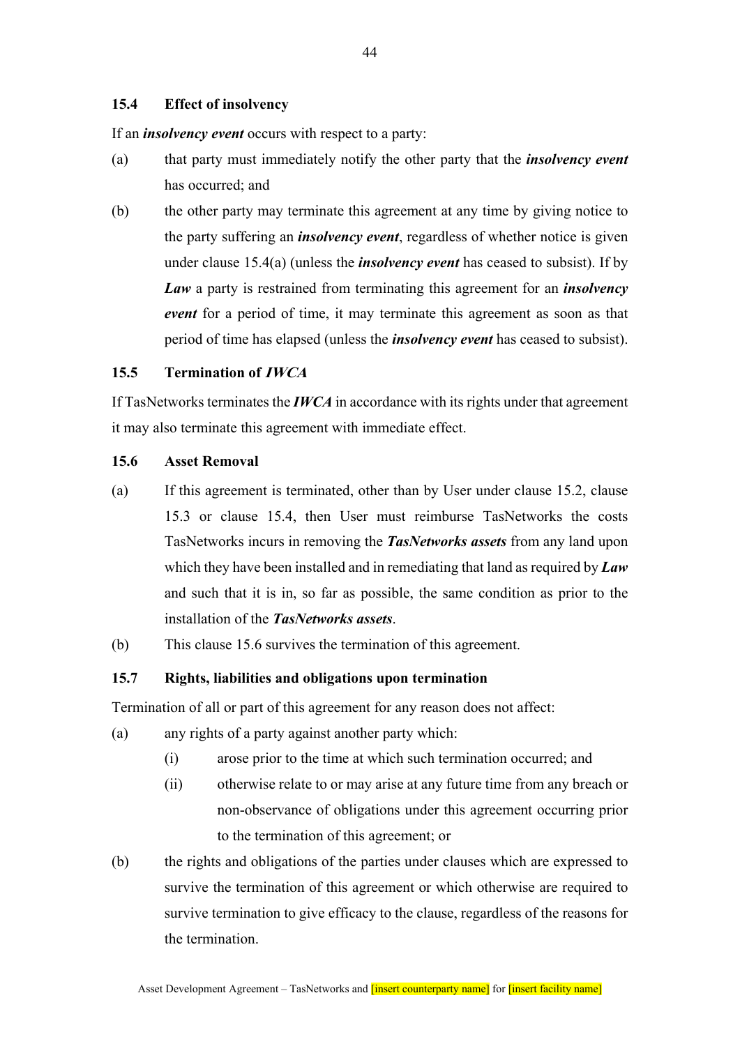## **15.4 Effect of insolvency**

If an *insolvency event* occurs with respect to a party:

- (a) that party must immediately notify the other party that the *insolvency event* has occurred; and
- (b) the other party may terminate this agreement at any time by giving notice to the party suffering an *insolvency event*, regardless of whether notice is given under clause 15.4(a) (unless the *insolvency event* has ceased to subsist). If by *Law* a party is restrained from terminating this agreement for an *insolvency event* for a period of time, it may terminate this agreement as soon as that period of time has elapsed (unless the *insolvency event* has ceased to subsist).

## **15.5 Termination of IWCA**

If TasNetworks terminates the *IWCA* in accordance with its rights under that agreement it may also terminate this agreement with immediate effect.

## **15.6 Asset Removal**

- (a) If this agreement is terminated, other than by User under clause 15.2, clause 15.3 or clause 15.4, then User must reimburse TasNetworks the costs TasNetworks incurs in removing the *TasNetworks assets* from any land upon which they have been installed and in remediating that land as required by *Law* and such that it is in, so far as possible, the same condition as prior to the installation of the *TasNetworks assets*.
- (b) This clause 15.6 survives the termination of this agreement.

## **15.7 Rights, liabilities and obligations upon termination**

Termination of all or part of this agreement for any reason does not affect:

- (a) any rights of a party against another party which:
	- (i) arose prior to the time at which such termination occurred; and
	- (ii) otherwise relate to or may arise at any future time from any breach or non-observance of obligations under this agreement occurring prior to the termination of this agreement; or
- (b) the rights and obligations of the parties under clauses which are expressed to survive the termination of this agreement or which otherwise are required to survive termination to give efficacy to the clause, regardless of the reasons for the termination.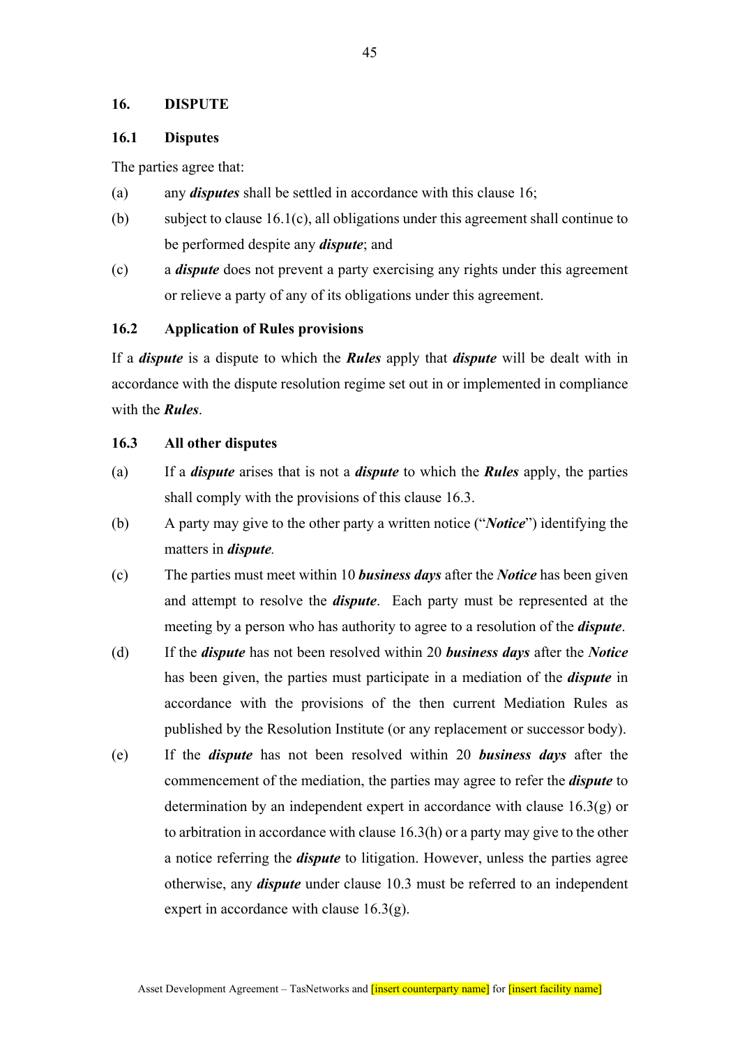### **16. DISPUTE**

## **16.1 Disputes**

The parties agree that:

- (a) any *disputes* shall be settled in accordance with this clause 16;
- (b) subject to clause 16.1(c), all obligations under this agreement shall continue to be performed despite any *dispute*; and
- (c) a *dispute* does not prevent a party exercising any rights under this agreement or relieve a party of any of its obligations under this agreement.

## **16.2 Application of Rules provisions**

If a *dispute* is a dispute to which the *Rules* apply that *dispute* will be dealt with in accordance with the dispute resolution regime set out in or implemented in compliance with the *Rules*.

### **16.3 All other disputes**

- (a) If a *dispute* arises that is not a *dispute* to which the *Rules* apply, the parties shall comply with the provisions of this clause 16.3.
- (b) A party may give to the other party a written notice ("*Notice*") identifying the matters in *dispute.*
- (c) The parties must meet within 10 *business days* after the *Notice* has been given and attempt to resolve the *dispute*. Each party must be represented at the meeting by a person who has authority to agree to a resolution of the *dispute*.
- (d) If the *dispute* has not been resolved within 20 *business days* after the *Notice* has been given, the parties must participate in a mediation of the *dispute* in accordance with the provisions of the then current Mediation Rules as published by the Resolution Institute (or any replacement or successor body).
- (e) If the *dispute* has not been resolved within 20 *business days* after the commencement of the mediation, the parties may agree to refer the *dispute* to determination by an independent expert in accordance with clause 16.3(g) or to arbitration in accordance with clause  $16.3(h)$  or a party may give to the other a notice referring the *dispute* to litigation. However, unless the parties agree otherwise, any *dispute* under clause 10.3 must be referred to an independent expert in accordance with clause  $16.3(g)$ .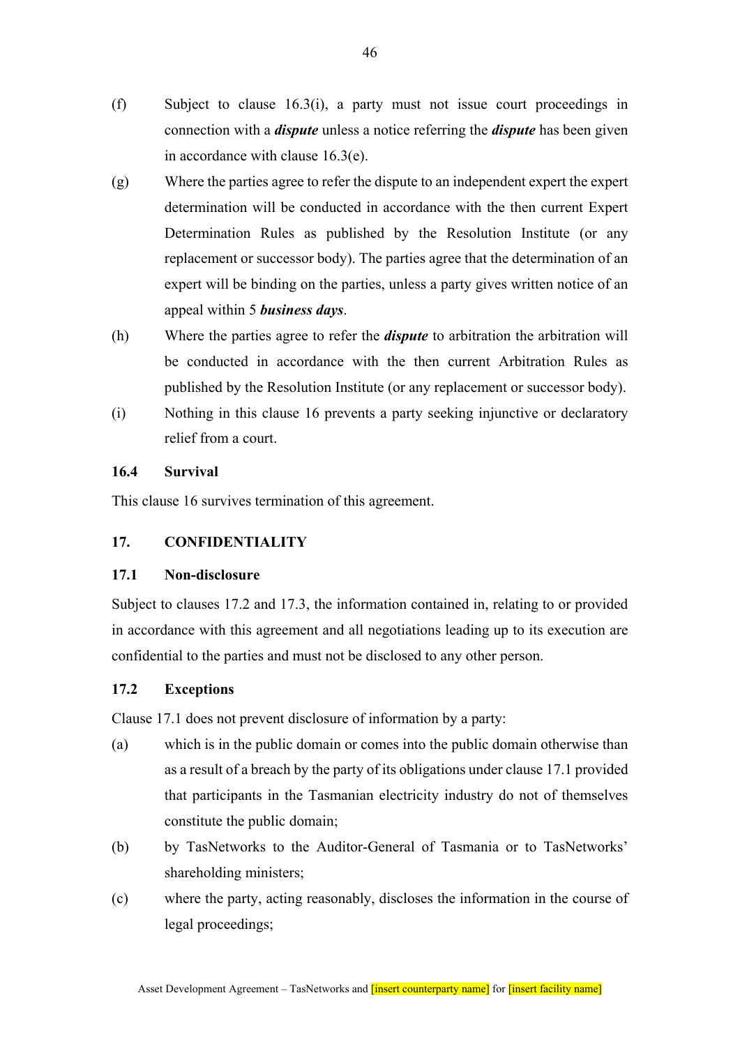- (f) Subject to clause 16.3(i), a party must not issue court proceedings in connection with a *dispute* unless a notice referring the *dispute* has been given in accordance with clause 16.3(e).
- (g) Where the parties agree to refer the dispute to an independent expert the expert determination will be conducted in accordance with the then current Expert Determination Rules as published by the Resolution Institute (or any replacement or successor body). The parties agree that the determination of an expert will be binding on the parties, unless a party gives written notice of an appeal within 5 *business days*.
- (h) Where the parties agree to refer the *dispute* to arbitration the arbitration will be conducted in accordance with the then current Arbitration Rules as published by the Resolution Institute (or any replacement or successor body).
- (i) Nothing in this clause 16 prevents a party seeking injunctive or declaratory relief from a court.

## **16.4 Survival**

This clause 16 survives termination of this agreement.

## **17. CONFIDENTIALITY**

## **17.1 Non-disclosure**

Subject to clauses 17.2 and 17.3, the information contained in, relating to or provided in accordance with this agreement and all negotiations leading up to its execution are confidential to the parties and must not be disclosed to any other person.

## **17.2 Exceptions**

Clause 17.1 does not prevent disclosure of information by a party:

- (a) which is in the public domain or comes into the public domain otherwise than as a result of a breach by the party of its obligations under clause 17.1 provided that participants in the Tasmanian electricity industry do not of themselves constitute the public domain;
- (b) by TasNetworks to the Auditor-General of Tasmania or to TasNetworks' shareholding ministers;
- (c) where the party, acting reasonably, discloses the information in the course of legal proceedings;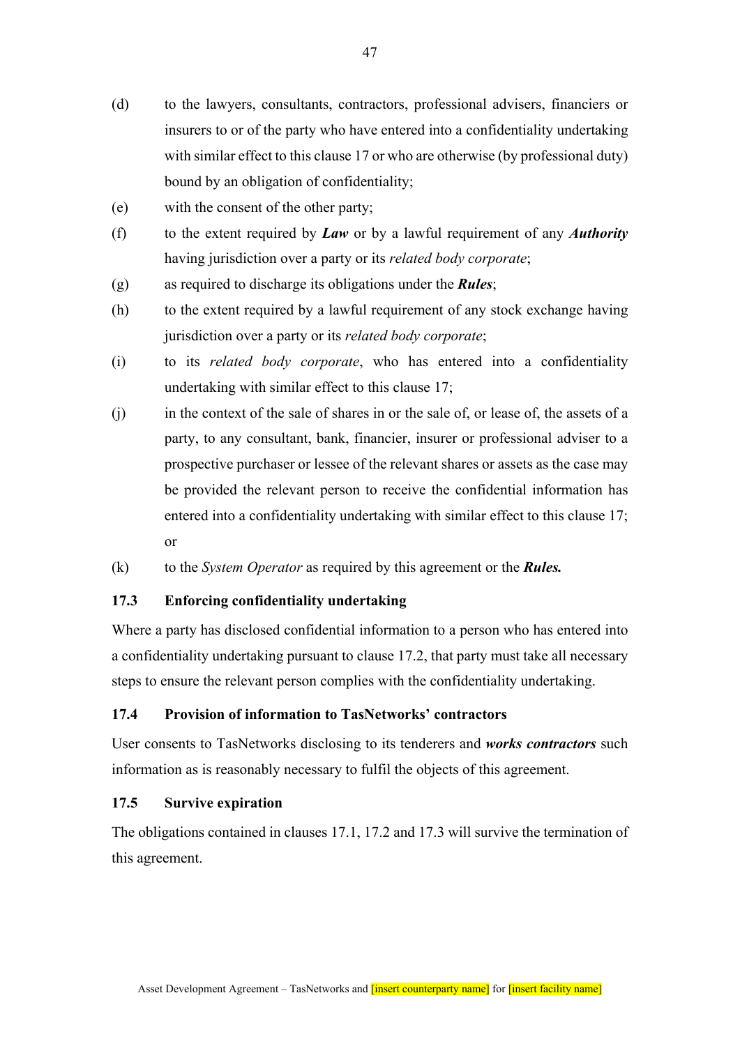- (d) to the lawyers, consultants, contractors, professional advisers, financiers or insurers to or of the party who have entered into a confidentiality undertaking with similar effect to this clause 17 or who are otherwise (by professional duty) bound by an obligation of confidentiality;
- (e) with the consent of the other party;
- (f) to the extent required by *Law* or by a lawful requirement of any *Authority* having jurisdiction over a party or its *related body corporate*;
- (g) as required to discharge its obligations under the *Rules*;
- (h) to the extent required by a lawful requirement of any stock exchange having jurisdiction over a party or its *related body corporate*;
- (i) to its *related body corporate*, who has entered into a confidentiality undertaking with similar effect to this clause 17;
- (j) in the context of the sale of shares in or the sale of, or lease of, the assets of a party, to any consultant, bank, financier, insurer or professional adviser to a prospective purchaser or lessee of the relevant shares or assets as the case may be provided the relevant person to receive the confidential information has entered into a confidentiality undertaking with similar effect to this clause 17; or
- (k) to the *System Operator* as required by this agreement or the *Rules.*

### **17.3 Enforcing confidentiality undertaking**

Where a party has disclosed confidential information to a person who has entered into a confidentiality undertaking pursuant to clause 17.2, that party must take all necessary steps to ensure the relevant person complies with the confidentiality undertaking.

## **17.4 Provision of information to TasNetworks' contractors**

User consents to TasNetworks disclosing to its tenderers and *works contractors* such information as is reasonably necessary to fulfil the objects of this agreement.

#### **17.5 Survive expiration**

The obligations contained in clauses 17.1, 17.2 and 17.3 will survive the termination of this agreement.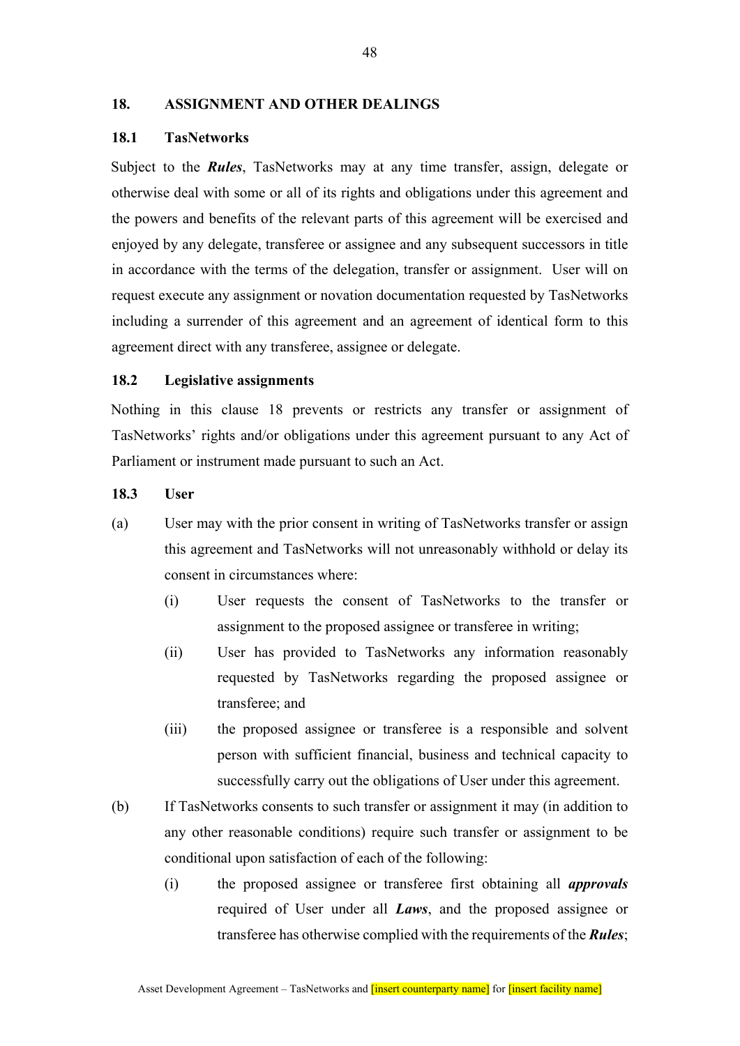## **18. ASSIGNMENT AND OTHER DEALINGS**

### **18.1 TasNetworks**

Subject to the *Rules*, TasNetworks may at any time transfer, assign, delegate or otherwise deal with some or all of its rights and obligations under this agreement and the powers and benefits of the relevant parts of this agreement will be exercised and enjoyed by any delegate, transferee or assignee and any subsequent successors in title in accordance with the terms of the delegation, transfer or assignment. User will on request execute any assignment or novation documentation requested by TasNetworks including a surrender of this agreement and an agreement of identical form to this agreement direct with any transferee, assignee or delegate.

#### **18.2 Legislative assignments**

Nothing in this clause 18 prevents or restricts any transfer or assignment of TasNetworks' rights and/or obligations under this agreement pursuant to any Act of Parliament or instrument made pursuant to such an Act.

#### **18.3 User**

- (a) User may with the prior consent in writing of TasNetworks transfer or assign this agreement and TasNetworks will not unreasonably withhold or delay its consent in circumstances where:
	- (i) User requests the consent of TasNetworks to the transfer or assignment to the proposed assignee or transferee in writing;
	- (ii) User has provided to TasNetworks any information reasonably requested by TasNetworks regarding the proposed assignee or transferee; and
	- (iii) the proposed assignee or transferee is a responsible and solvent person with sufficient financial, business and technical capacity to successfully carry out the obligations of User under this agreement.
- (b) If TasNetworks consents to such transfer or assignment it may (in addition to any other reasonable conditions) require such transfer or assignment to be conditional upon satisfaction of each of the following:
	- (i) the proposed assignee or transferee first obtaining all *approvals*  required of User under all *Laws*, and the proposed assignee or transferee has otherwise complied with the requirements of the *Rules*;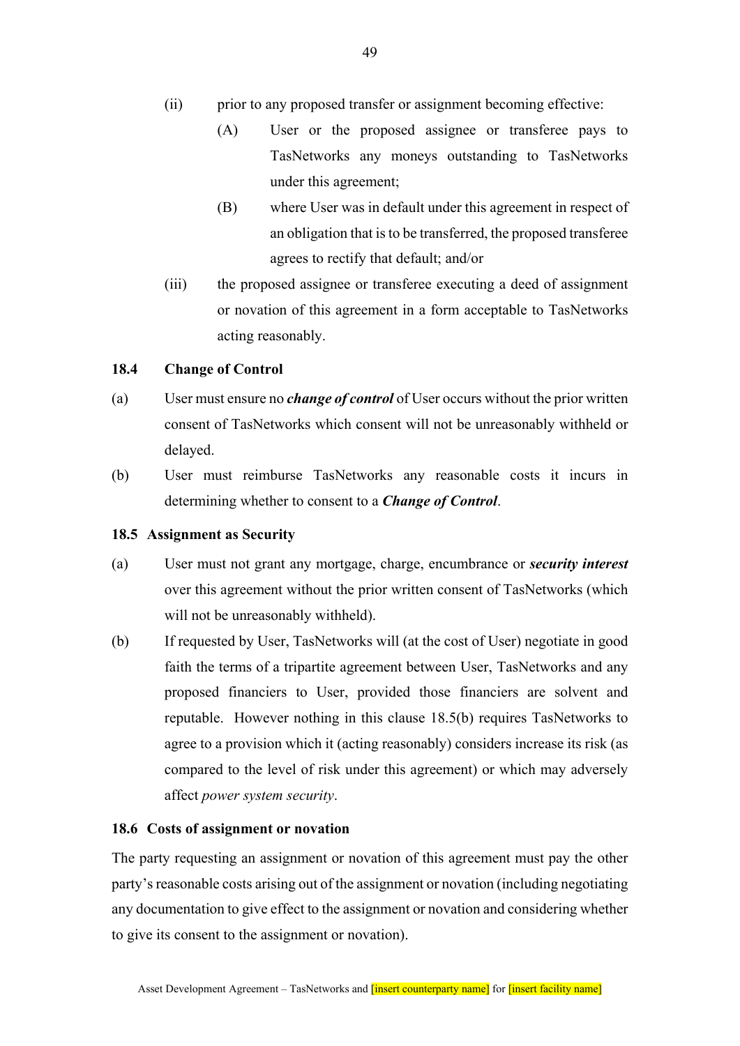- (ii) prior to any proposed transfer or assignment becoming effective:
	- (A) User or the proposed assignee or transferee pays to TasNetworks any moneys outstanding to TasNetworks under this agreement;
	- (B) where User was in default under this agreement in respect of an obligation that is to be transferred, the proposed transferee agrees to rectify that default; and/or
- (iii) the proposed assignee or transferee executing a deed of assignment or novation of this agreement in a form acceptable to TasNetworks acting reasonably.

#### **18.4 Change of Control**

- (a) User must ensure no *change of control* of User occurs without the prior written consent of TasNetworks which consent will not be unreasonably withheld or delayed.
- (b) User must reimburse TasNetworks any reasonable costs it incurs in determining whether to consent to a *Change of Control*.

#### **18.5 Assignment as Security**

- (a) User must not grant any mortgage, charge, encumbrance or *security interest* over this agreement without the prior written consent of TasNetworks (which will not be unreasonably withheld).
- (b) If requested by User, TasNetworks will (at the cost of User) negotiate in good faith the terms of a tripartite agreement between User, TasNetworks and any proposed financiers to User, provided those financiers are solvent and reputable. However nothing in this clause 18.5(b) requires TasNetworks to agree to a provision which it (acting reasonably) considers increase its risk (as compared to the level of risk under this agreement) or which may adversely affect *power system security*.

#### **18.6 Costs of assignment or novation**

The party requesting an assignment or novation of this agreement must pay the other party's reasonable costs arising out of the assignment or novation (including negotiating any documentation to give effect to the assignment or novation and considering whether to give its consent to the assignment or novation).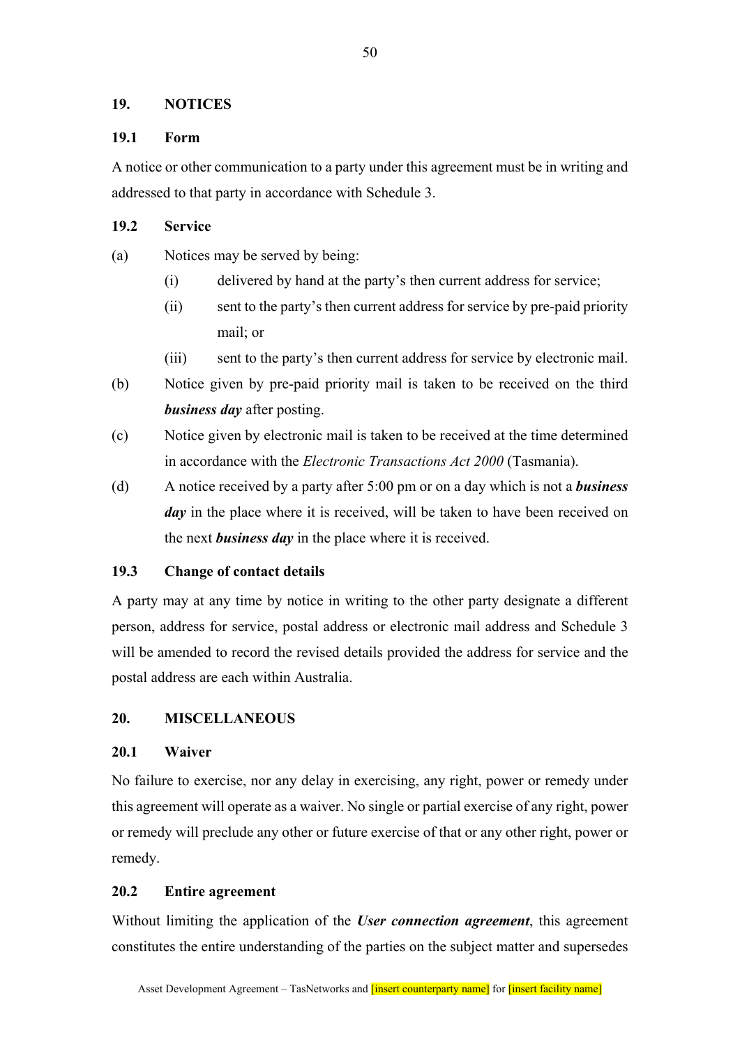## **19. NOTICES**

## **19.1 Form**

A notice or other communication to a party under this agreement must be in writing and addressed to that party in accordance with Schedule 3.

## **19.2 Service**

- (a) Notices may be served by being:
	- (i) delivered by hand at the party's then current address for service;
	- (ii) sent to the party's then current address for service by pre-paid priority mail; or
	- (iii) sent to the party's then current address for service by electronic mail.
- (b) Notice given by pre-paid priority mail is taken to be received on the third *business day* after posting.
- (c) Notice given by electronic mail is taken to be received at the time determined in accordance with the *Electronic Transactions Act 2000* (Tasmania).
- (d) A notice received by a party after 5:00 pm or on a day which is not a *business day* in the place where it is received, will be taken to have been received on the next *business day* in the place where it is received.

## **19.3 Change of contact details**

A party may at any time by notice in writing to the other party designate a different person, address for service, postal address or electronic mail address and Schedule 3 will be amended to record the revised details provided the address for service and the postal address are each within Australia.

## **20. MISCELLANEOUS**

## **20.1 Waiver**

No failure to exercise, nor any delay in exercising, any right, power or remedy under this agreement will operate as a waiver. No single or partial exercise of any right, power or remedy will preclude any other or future exercise of that or any other right, power or remedy.

## **20.2 Entire agreement**

Without limiting the application of the *User connection agreement*, this agreement constitutes the entire understanding of the parties on the subject matter and supersedes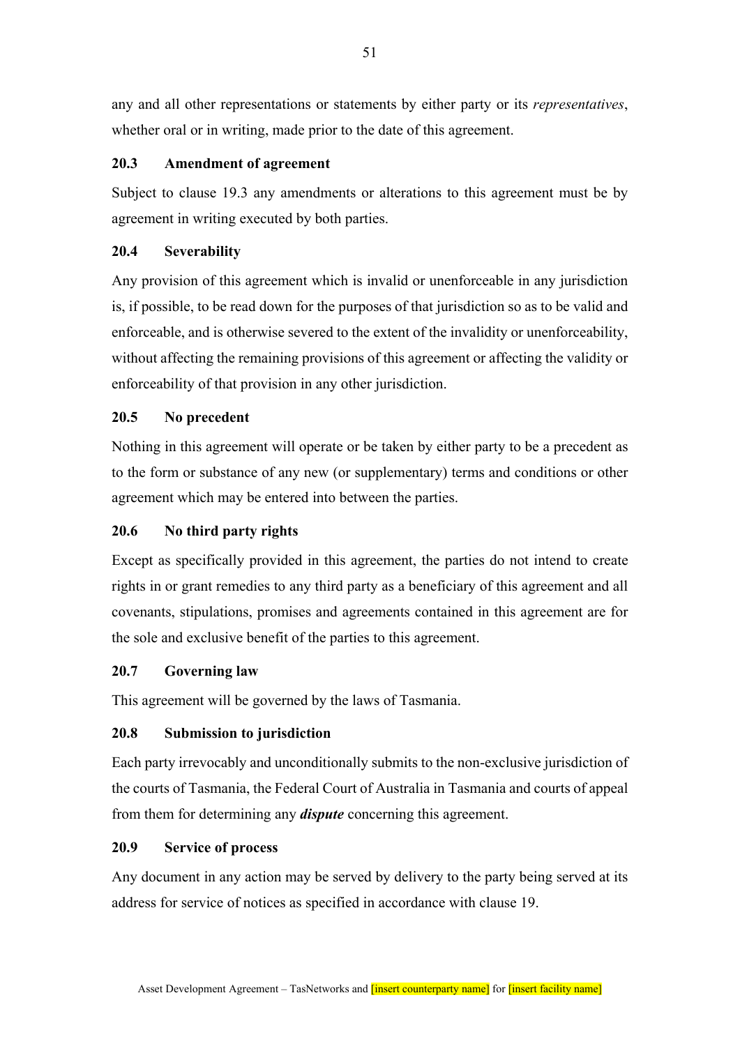any and all other representations or statements by either party or its *representatives*, whether oral or in writing, made prior to the date of this agreement.

## **20.3 Amendment of agreement**

Subject to clause 19.3 any amendments or alterations to this agreement must be by agreement in writing executed by both parties.

## **20.4 Severability**

Any provision of this agreement which is invalid or unenforceable in any jurisdiction is, if possible, to be read down for the purposes of that jurisdiction so as to be valid and enforceable, and is otherwise severed to the extent of the invalidity or unenforceability, without affecting the remaining provisions of this agreement or affecting the validity or enforceability of that provision in any other jurisdiction.

## **20.5 No precedent**

Nothing in this agreement will operate or be taken by either party to be a precedent as to the form or substance of any new (or supplementary) terms and conditions or other agreement which may be entered into between the parties.

## **20.6 No third party rights**

Except as specifically provided in this agreement, the parties do not intend to create rights in or grant remedies to any third party as a beneficiary of this agreement and all covenants, stipulations, promises and agreements contained in this agreement are for the sole and exclusive benefit of the parties to this agreement.

## **20.7 Governing law**

This agreement will be governed by the laws of Tasmania.

## **20.8 Submission to jurisdiction**

Each party irrevocably and unconditionally submits to the non-exclusive jurisdiction of the courts of Tasmania, the Federal Court of Australia in Tasmania and courts of appeal from them for determining any *dispute* concerning this agreement.

## **20.9 Service of process**

Any document in any action may be served by delivery to the party being served at its address for service of notices as specified in accordance with clause 19.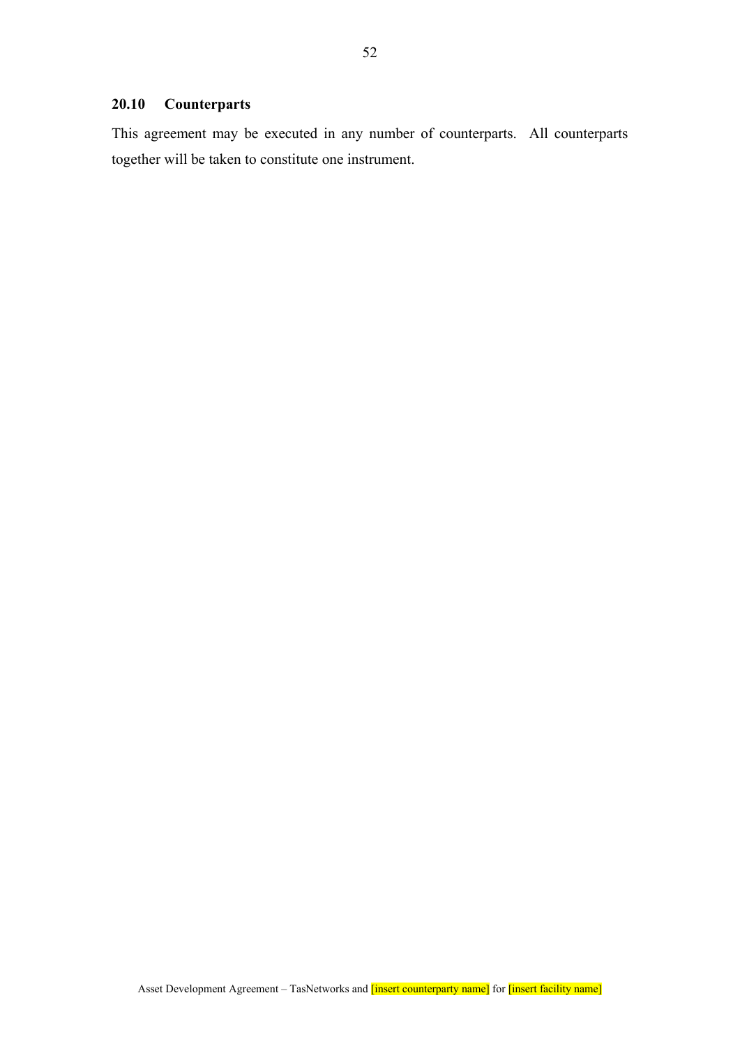## **20.10 Counterparts**

This agreement may be executed in any number of counterparts. All counterparts together will be taken to constitute one instrument.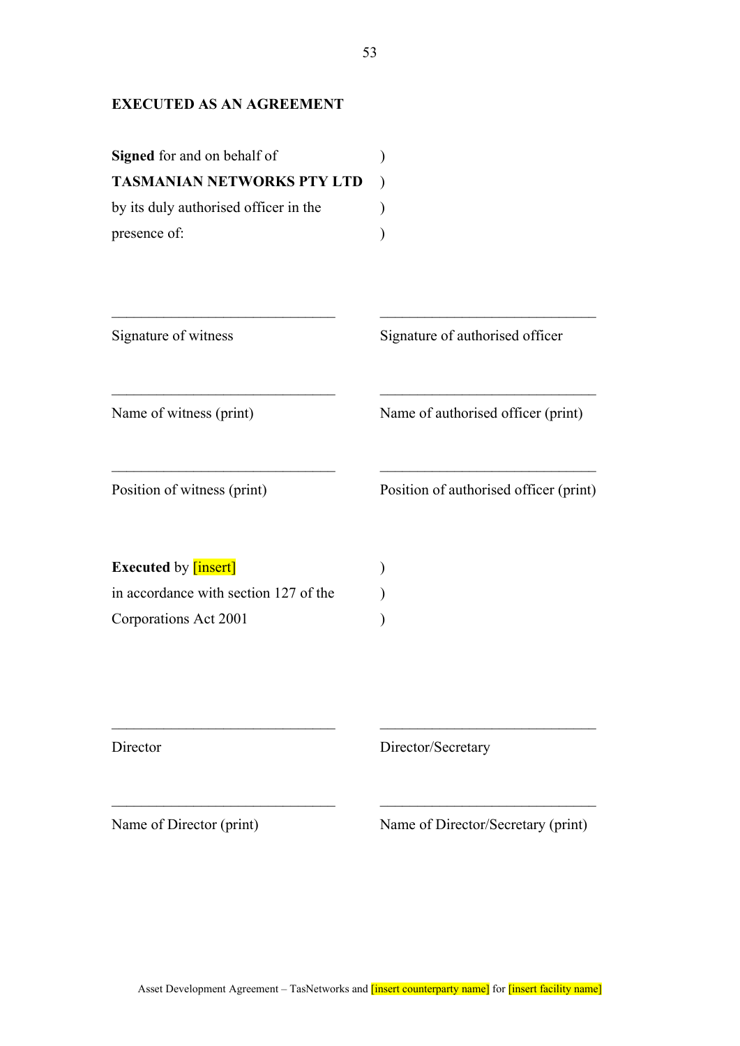## **EXECUTED AS AN AGREEMENT**

| <b>Signed</b> for and on behalf of    |  |
|---------------------------------------|--|
| <b>TASMANIAN NETWORKS PTY LTD</b>     |  |
| by its duly authorised officer in the |  |
| presence of:                          |  |

| Signature of witness                  | Signature of authorised officer        |
|---------------------------------------|----------------------------------------|
| Name of witness (print)               | Name of authorised officer (print)     |
| Position of witness (print)           | Position of authorised officer (print) |
| <b>Executed by [insert]</b>           |                                        |
| in accordance with section 127 of the |                                        |
| Corporations Act 2001                 |                                        |

Director Director/Secretary

Name of Director (print) Name of Director/Secretary (print)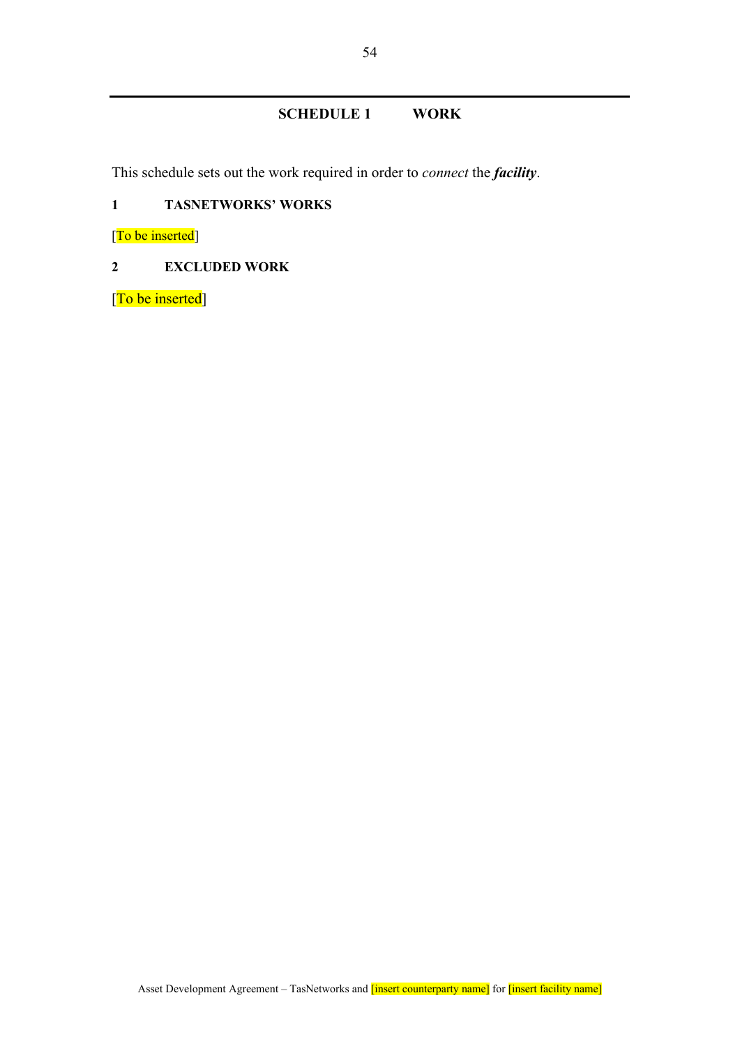## **SCHEDULE 1 WORK**

This schedule sets out the work required in order to *connect* the *facility*.

## **1 TASNETWORKS' WORKS**

[To be inserted]

## **2 EXCLUDED WORK**

[To be inserted]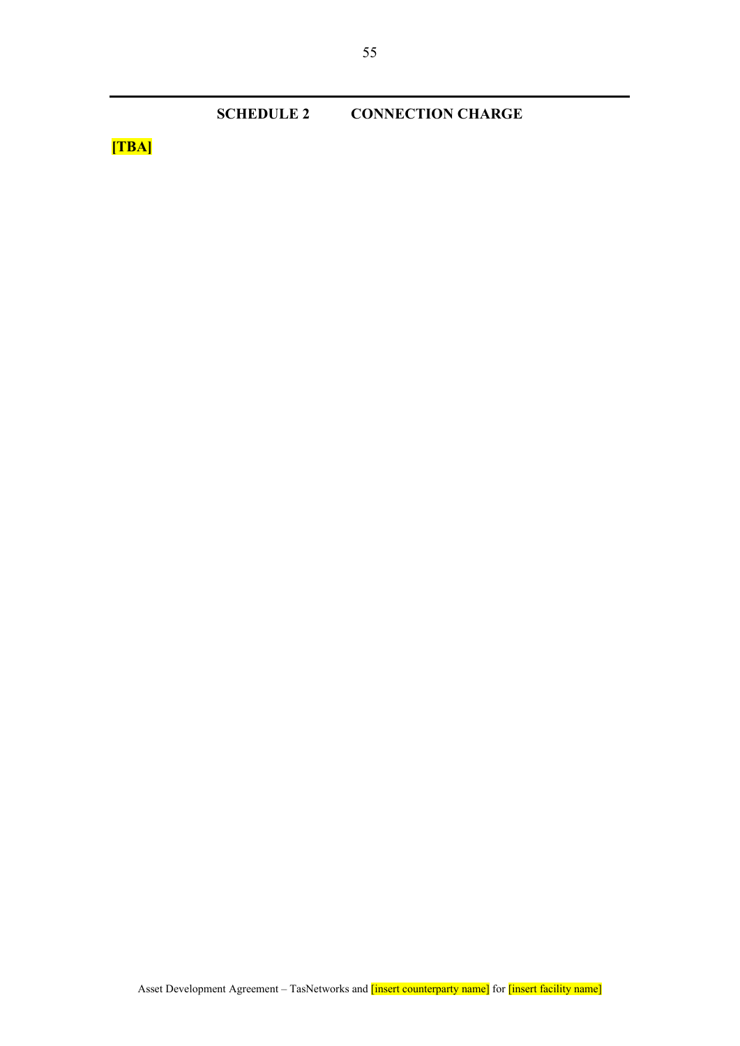**SCHEDULE 2 CONNECTION CHARGE** 

**[TBA]**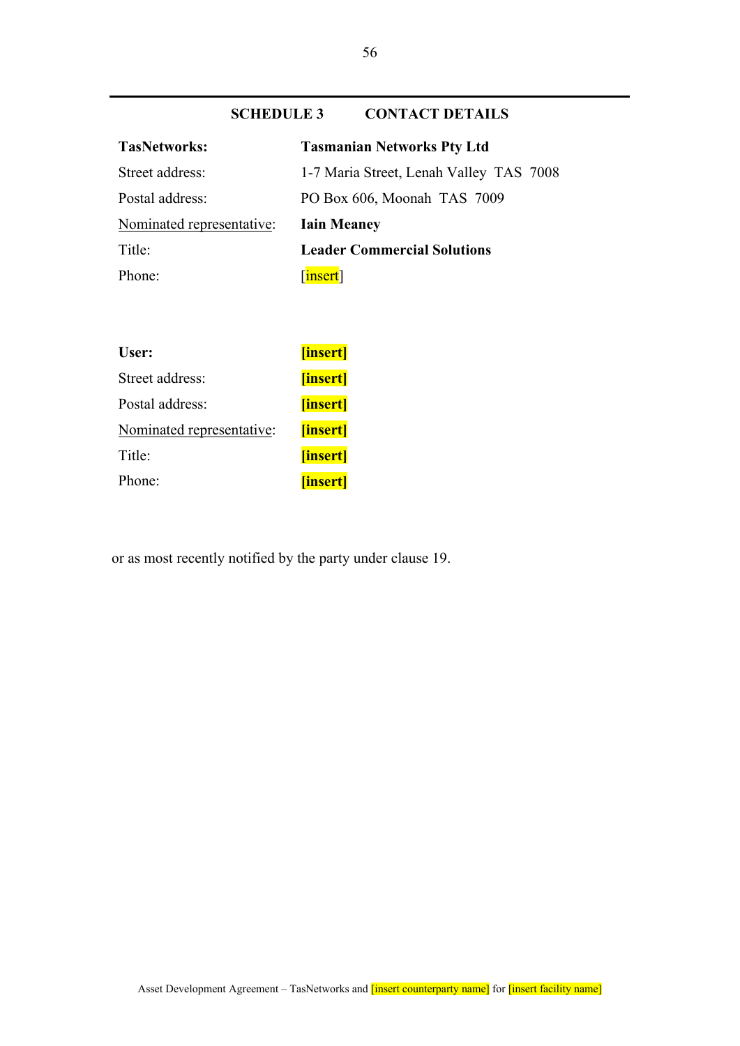## **SCHEDULE 3 CONTACT DETAILS**

| <b>Tasmanian Networks Pty Ltd</b>       |
|-----------------------------------------|
| 1-7 Maria Street, Lenah Valley TAS 7008 |
| PO Box 606, Moonah TAS 7009             |
| <b>Iain Meaney</b>                      |
| <b>Leader Commercial Solutions</b>      |
| $\lceil$ insert]                        |
|                                         |

| User:                     | [insert] |
|---------------------------|----------|
| Street address:           | [insert] |
| Postal address:           | [insert] |
| Nominated representative: | [insert] |
| Title:                    | [insert] |
| Phone:                    | [insert] |

or as most recently notified by the party under clause 19.

56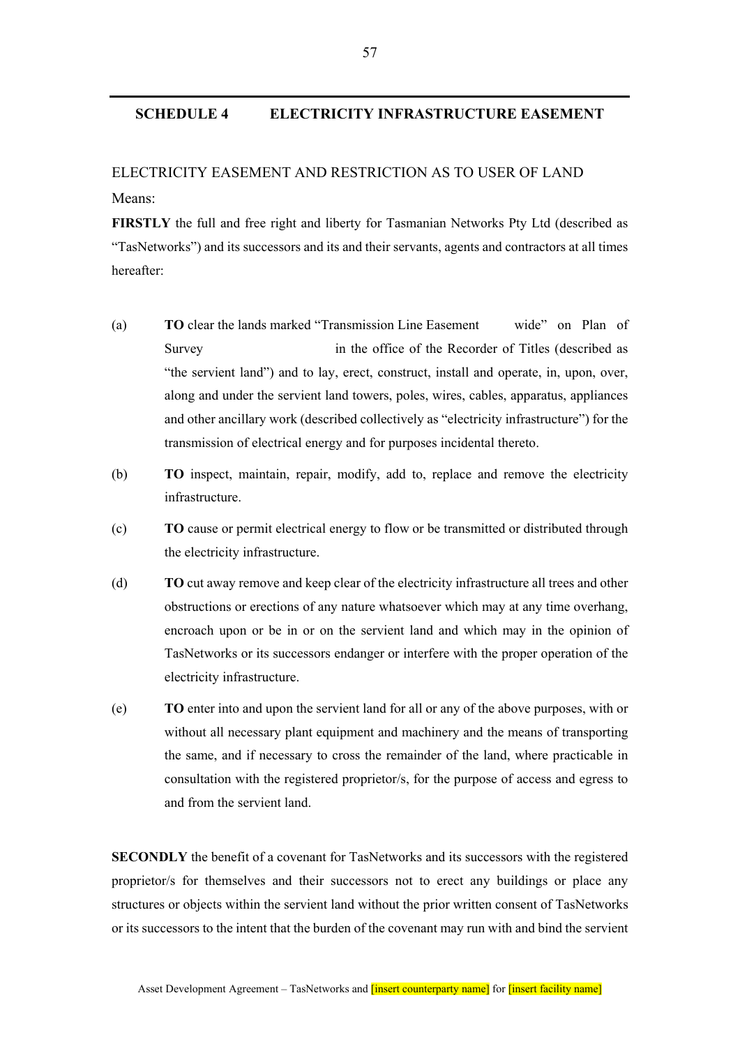### **SCHEDULE 4 ELECTRICITY INFRASTRUCTURE EASEMENT**

# ELECTRICITY EASEMENT AND RESTRICTION AS TO USER OF LAND Means:

**FIRSTLY** the full and free right and liberty for Tasmanian Networks Pty Ltd (described as "TasNetworks") and its successors and its and their servants, agents and contractors at all times hereafter:

- (a) **TO** clear the lands marked "Transmission Line Easement wide" on Plan of Survey in the office of the Recorder of Titles (described as "the servient land") and to lay, erect, construct, install and operate, in, upon, over, along and under the servient land towers, poles, wires, cables, apparatus, appliances and other ancillary work (described collectively as "electricity infrastructure") for the transmission of electrical energy and for purposes incidental thereto.
- (b) **TO** inspect, maintain, repair, modify, add to, replace and remove the electricity infrastructure.
- (c) **TO** cause or permit electrical energy to flow or be transmitted or distributed through the electricity infrastructure.
- (d) **TO** cut away remove and keep clear of the electricity infrastructure all trees and other obstructions or erections of any nature whatsoever which may at any time overhang, encroach upon or be in or on the servient land and which may in the opinion of TasNetworks or its successors endanger or interfere with the proper operation of the electricity infrastructure.
- (e) **TO** enter into and upon the servient land for all or any of the above purposes, with or without all necessary plant equipment and machinery and the means of transporting the same, and if necessary to cross the remainder of the land, where practicable in consultation with the registered proprietor/s, for the purpose of access and egress to and from the servient land.

**SECONDLY** the benefit of a covenant for TasNetworks and its successors with the registered proprietor/s for themselves and their successors not to erect any buildings or place any structures or objects within the servient land without the prior written consent of TasNetworks or its successors to the intent that the burden of the covenant may run with and bind the servient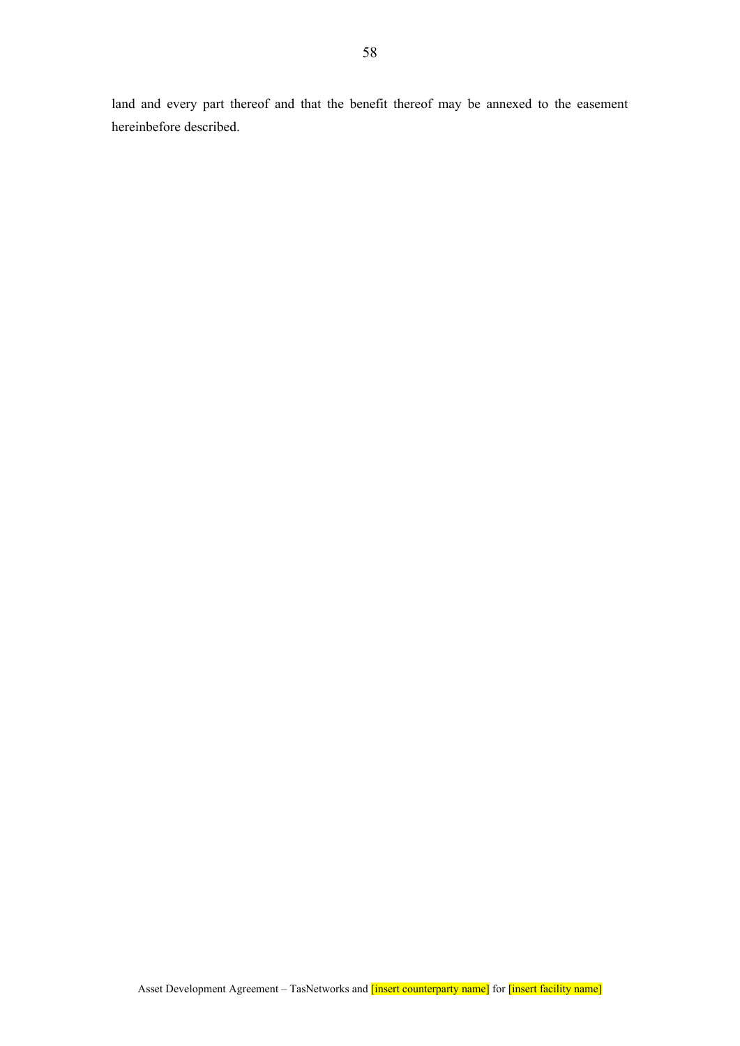land and every part thereof and that the benefit thereof may be annexed to the easement hereinbefore described.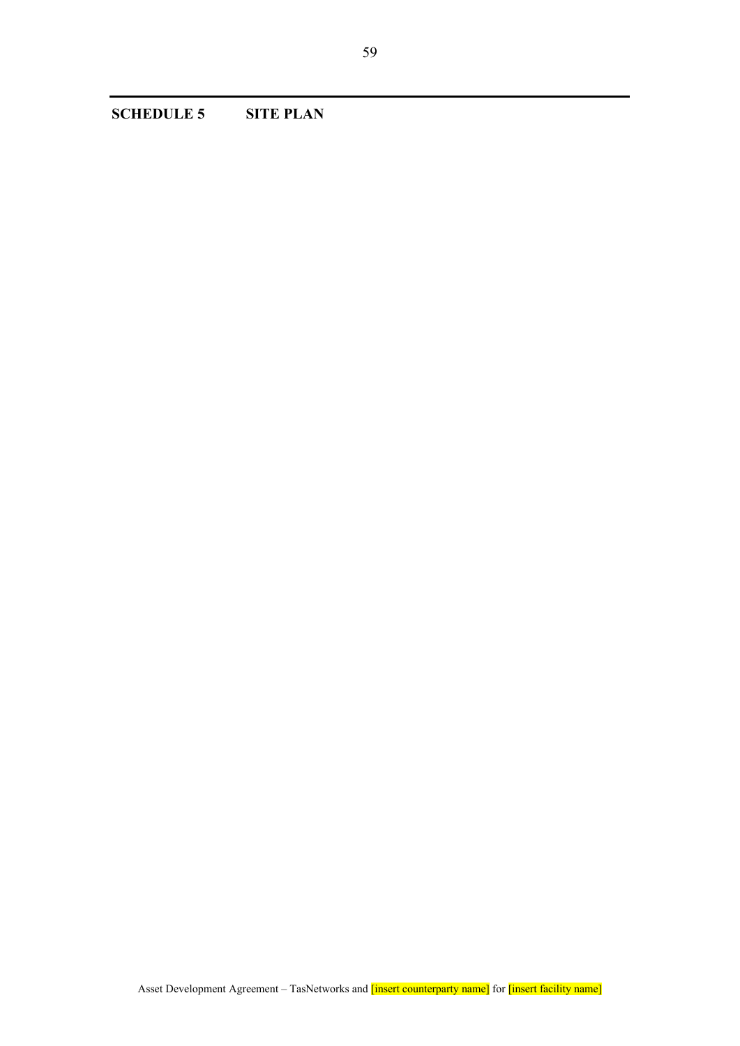**SCHEDULE 5 SITE PLAN**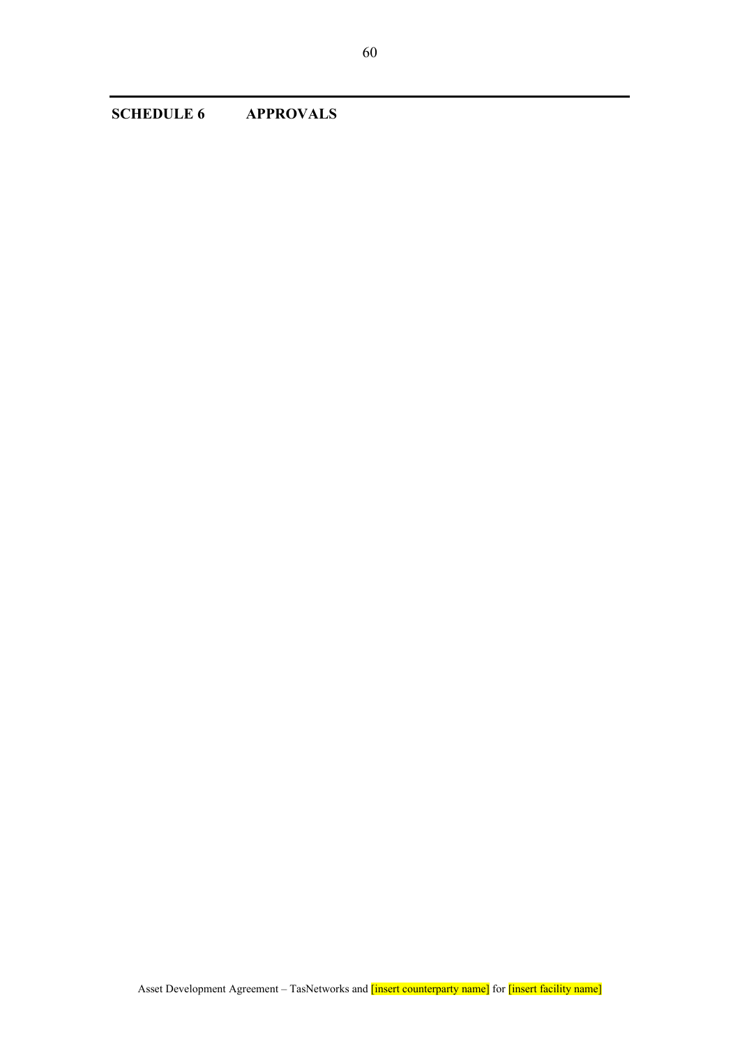**SCHEDULE 6 APPROVALS**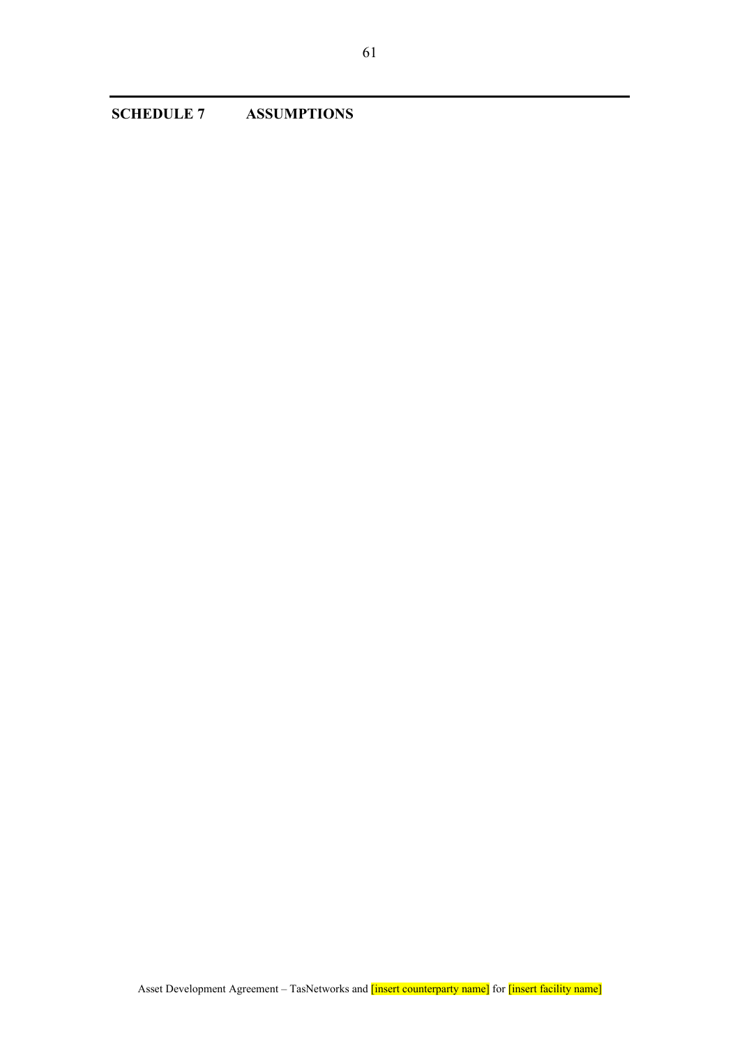**SCHEDULE 7 ASSUMPTIONS**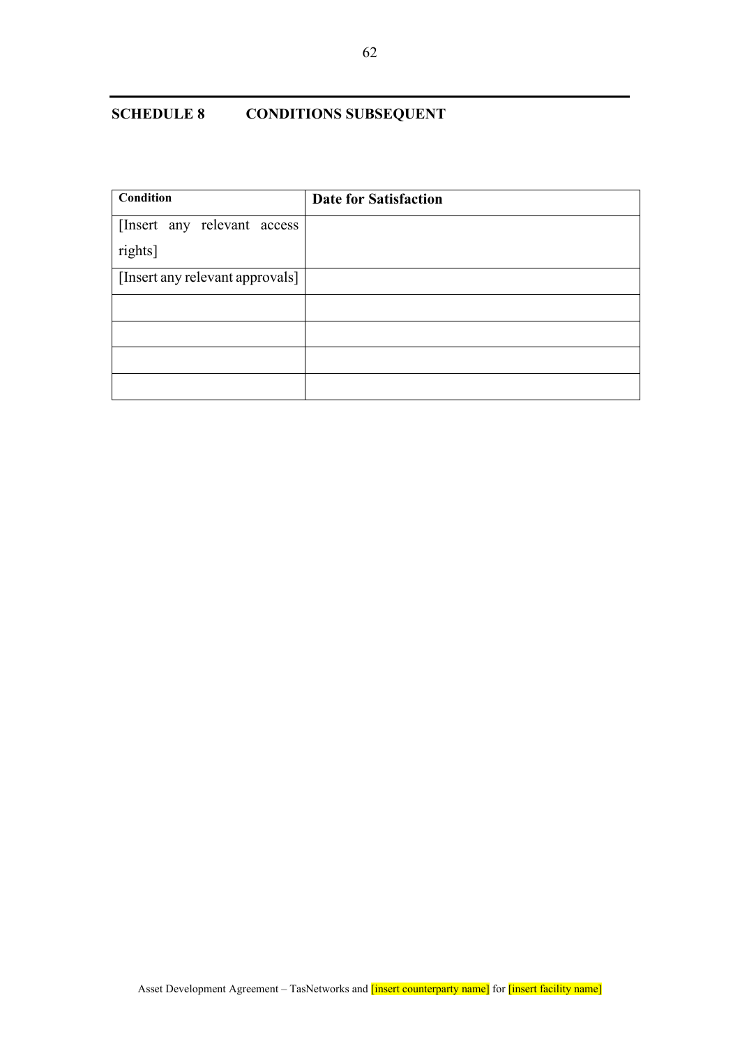## **SCHEDULE 8 CONDITIONS SUBSEQUENT**

| Condition                       | <b>Date for Satisfaction</b> |
|---------------------------------|------------------------------|
| [Insert any relevant access     |                              |
| rights]                         |                              |
| [Insert any relevant approvals] |                              |
|                                 |                              |
|                                 |                              |
|                                 |                              |
|                                 |                              |